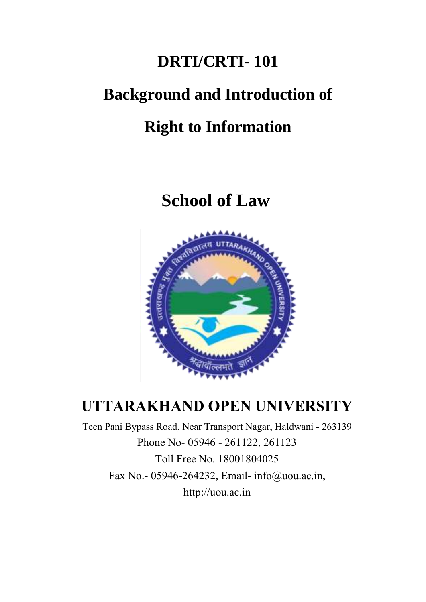# **DRTI/CRTI- 101**

# **Background and Introduction of**

# **Right to Information**

# **School of Law**



# **UTTARAKHAND OPEN UNIVERSITY**

Teen Pani Bypass Road, Near Transport Nagar, Haldwani - 263139 Phone No-05946 - 261122, 261123 Toll Free No. 18001804025 Fax No.-05946-264232, Email- info@uou.ac.in, http://uou.ac.in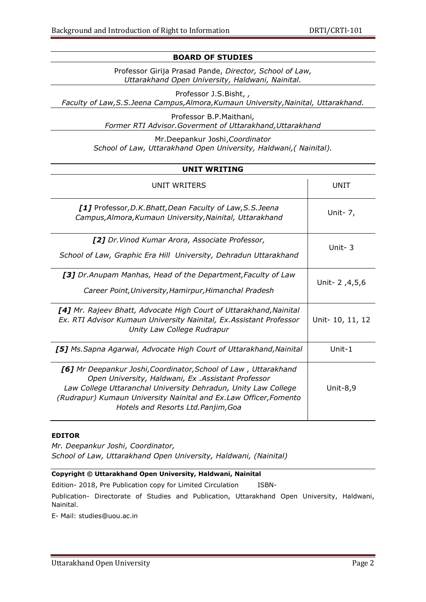#### **BOARD OF STUDIES**

Professor Girija Prasad Pande, *Director, School of Law, Uttarakhand Open University, Haldwani, Nainital.*

Professor J.S.Bisht, *,*

*Faculty of Law,S.S.Jeena Campus,Almora,Kumaun University,Nainital, Uttarakhand.*

Professor B.P.Maithani*, Former RTI Advisor.Goverment of Uttarakhand,Uttarakhand*

Mr.Deepankur Joshi,*Coordinator School of Law, Uttarakhand Open University, Haldwani,( Nainital).*

#### **UNIT WRITING**

| UNIT WRITERS                                                                                                                                                                                                                                                                                       | UNIT             |
|----------------------------------------------------------------------------------------------------------------------------------------------------------------------------------------------------------------------------------------------------------------------------------------------------|------------------|
| [1] Professor, D.K. Bhatt, Dean Faculty of Law, S.S. Jeena<br>Campus, Almora, Kumaun University, Nainital, Uttarakhand                                                                                                                                                                             | Unit- 7,         |
| [2] Dr. Vinod Kumar Arora, Associate Professor,<br>School of Law, Graphic Era Hill University, Dehradun Uttarakhand                                                                                                                                                                                | Unit- $3$        |
| [3] Dr.Anupam Manhas, Head of the Department, Faculty of Law<br>Career Point, University, Hamirpur, Himanchal Pradesh                                                                                                                                                                              | Unit- 2, 4, 5, 6 |
| [4] Mr. Rajeev Bhatt, Advocate High Court of Uttarakhand, Nainital<br>Ex. RTI Advisor Kumaun University Nainital, Ex. Assistant Professor<br>Unity Law College Rudrapur                                                                                                                            | Unit- 10, 11, 12 |
| [5] Ms. Sapna Agarwal, Advocate High Court of Uttarakhand, Nainital                                                                                                                                                                                                                                | Unit- $1$        |
| [6] Mr Deepankur Joshi, Coordinator, School of Law, Uttarakhand<br>Open University, Haldwani, Ex .Assistant Professor<br>Law College Uttaranchal University Dehradun, Unity Law College<br>(Rudrapur) Kumaun University Nainital and Ex.Law Officer, Fomento<br>Hotels and Resorts Ltd.Panjim, Goa | Unit- $8,9$      |

#### **EDITOR**

*Mr. Deepankur Joshi, Coordinator, School of Law, Uttarakhand Open University, Haldwani, (Nainital)*

#### **Copyright © Uttarakhand Open University, Haldwani, Nainital**

Edition- 2018, Pre Publication copy for Limited Circulation ISBN-

Publication- Directorate of Studies and Publication, Uttarakhand Open University, Haldwani, Nainital.

E- Mail: studies@uou.ac.in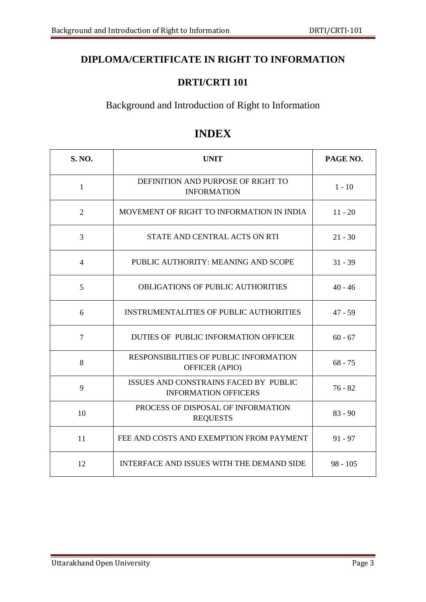## **DIPLOMA/CERTIFICATE IN RIGHT TO INFORMATION**

## **DRTI/CRTI 101**

Background and Introduction of Right to Information

| <b>S. NO.</b>  | <b>UNIT</b>                                                          | PAGE NO.   |
|----------------|----------------------------------------------------------------------|------------|
| $\mathbf{1}$   | DEFINITION AND PURPOSE OF RIGHT TO<br><b>INFORMATION</b>             | $1 - 10$   |
| $\overline{2}$ | MOVEMENT OF RIGHT TO INFORMATION IN INDIA                            | $11 - 20$  |
| $\overline{3}$ | STATE AND CENTRAL ACTS ON RTI                                        | $21 - 30$  |
| $\overline{4}$ | PUBLIC AUTHORITY: MEANING AND SCOPE                                  | $31 - 39$  |
| 5              | <b>OBLIGATIONS OF PUBLIC AUTHORITIES</b>                             | $40 - 46$  |
| 6              | <b>INSTRUMENTALITIES OF PUBLIC AUTHORITIES</b>                       | $47 - 59$  |
| $\overline{7}$ | DUTIES OF PUBLIC INFORMATION OFFICER                                 | $60 - 67$  |
| 8              | RESPONSIBILITIES OF PUBLIC INFORMATION<br><b>OFFICER (APIO)</b>      | $68 - 75$  |
| 9              | ISSUES AND CONSTRAINS FACED BY PUBLIC<br><b>INFORMATION OFFICERS</b> | $76 - 82$  |
| 10             | PROCESS OF DISPOSAL OF INFORMATION<br><b>REQUESTS</b>                | $83 - 90$  |
| 11             | FEE AND COSTS AND EXEMPTION FROM PAYMENT                             | $91 - 97$  |
| 12             | INTERFACE AND ISSUES WITH THE DEMAND SIDE                            | $98 - 105$ |

## **INDEX**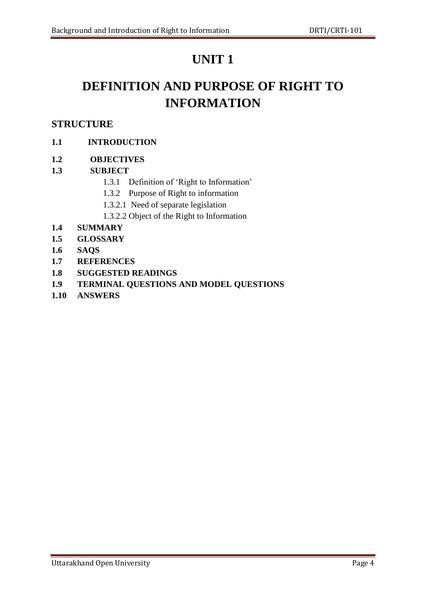## **UNIT 1**

## **DEFINITION AND PURPOSE OF RIGHT TO INFORMATION**

## **STRUCTURE**

### **1.1 INTRODUCTION**

### **1.2 OBJECTIVES**

#### **1.3 SUBJECT**

- 1.3.1 Definition of 'Right to Information'
- 1.3.2 Purpose of Right to information
- 1.3.2.1 Need of separate legislation
- 1.3.2.2 Object of the Right to Information
- **1.4 SUMMARY**
- **1.5 GLOSSARY**
- **1.6 SAQS**
- **1.7 REFERENCES**
- **1.8 SUGGESTED READINGS**
- **1.9 TERMINAL QUESTIONS AND MODEL QUESTIONS**
- **1.10 ANSWERS**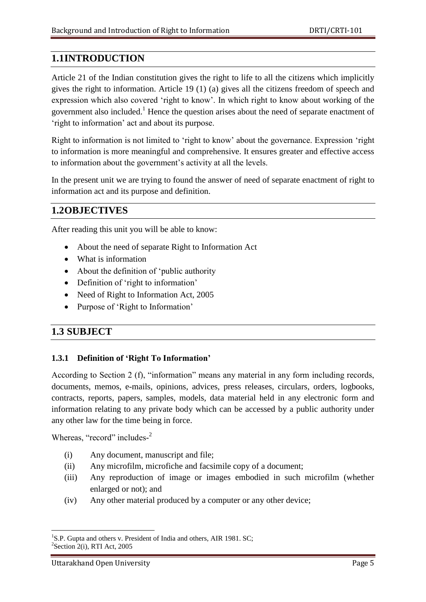### **1.1INTRODUCTION**

Article 21 of the Indian constitution gives the right to life to all the citizens which implicitly gives the right to information. Article 19 (1) (a) gives all the citizens freedom of speech and expression which also covered 'right to know'. In which right to know about working of the government also included.<sup>1</sup> Hence the question arises about the need of separate enactment of 'right to information' act and about its purpose.

Right to information is not limited to 'right to know' about the governance. Expression 'right to information is more meaningful and comprehensive. It ensures greater and effective access to information about the government's activity at all the levels.

In the present unit we are trying to found the answer of need of separate enactment of right to information act and its purpose and definition.

### **1.2OBJECTIVES**

After reading this unit you will be able to know:

- About the need of separate Right to Information Act
- What is information
- About the definition of 'public authority
- Definition of 'right to information'
- Need of Right to Information Act, 2005
- Purpose of 'Right to Information'

## **1.3 SUBJECT**

#### **1.3.1 Definition of 'Right To Information'**

According to Section 2 (f), "information" means any material in any form including records, documents, memos, e-mails, opinions, advices, press releases, circulars, orders, logbooks, contracts, reports, papers, samples, models, data material held in any electronic form and information relating to any private body which can be accessed by a public authority under any other law for the time being in force.

Whereas, "record" includes-<sup>2</sup>

- (i) Any document, manuscript and file;
- (ii) Any microfilm, microfiche and facsimile copy of a document;
- (iii) Any reproduction of image or images embodied in such microfilm (whether enlarged or not); and
- (iv) Any other material produced by a computer or any other device;

1

<sup>&</sup>lt;sup>1</sup>S.P. Gupta and others v. President of India and others, AIR 1981. SC;  $2$ Section  $2(i)$ , RTI Act, 2005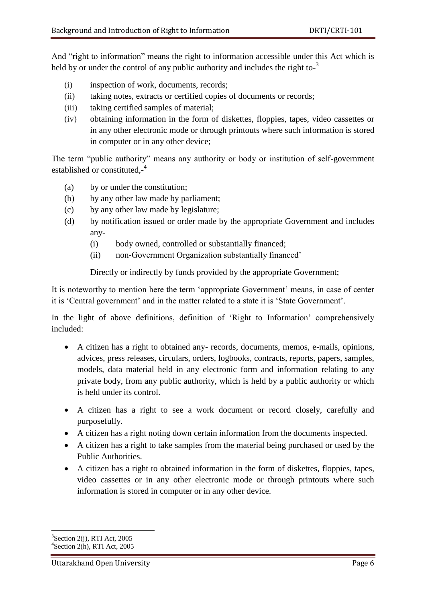And "right to information" means the right to information accessible under this Act which is held by or under the control of any public authority and includes the right to- $3$ 

- (i) inspection of work, documents, records;
- (ii) taking notes, extracts or certified copies of documents or records;
- (iii) taking certified samples of material;
- (iv) obtaining information in the form of diskettes, floppies, tapes, video cassettes or in any other electronic mode or through printouts where such information is stored in computer or in any other device;

The term "public authority" means any authority or body or institution of self-government established or constituted,-4

- (a) by or under the constitution;
- (b) by any other law made by parliament;
- (c) by any other law made by legislature;
- (d) by notification issued or order made by the appropriate Government and includes any-
	- (i) body owned, controlled or substantially financed;
	- (ii) non-Government Organization substantially financed'

Directly or indirectly by funds provided by the appropriate Government;

It is noteworthy to mention here the term 'appropriate Government' means, in case of center it is 'Central government' and in the matter related to a state it is 'State Government'.

In the light of above definitions, definition of 'Right to Information' comprehensively included:

- A citizen has a right to obtained any- records, documents, memos, e-mails, opinions, advices, press releases, circulars, orders, logbooks, contracts, reports, papers, samples, models, data material held in any electronic form and information relating to any private body, from any public authority, which is held by a public authority or which is held under its control.
- A citizen has a right to see a work document or record closely, carefully and purposefully.
- A citizen has a right noting down certain information from the documents inspected.
- A citizen has a right to take samples from the material being purchased or used by the Public Authorities.
- A citizen has a right to obtained information in the form of diskettes, floppies, tapes, video cassettes or in any other electronic mode or through printouts where such information is stored in computer or in any other device.

<sup>1</sup>  ${}^{3}$ Section 2(j), RTI Act, 2005 4 Section 2(h), RTI Act, 2005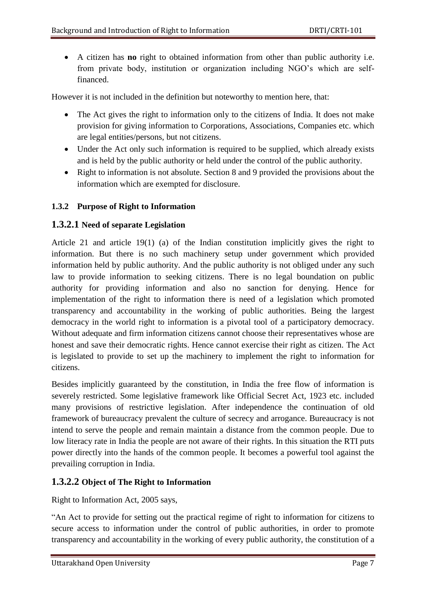A citizen has **no** right to obtained information from other than public authority i.e. from private body, institution or organization including NGO's which are selffinanced.

However it is not included in the definition but noteworthy to mention here, that:

- The Act gives the right to information only to the citizens of India. It does not make provision for giving information to Corporations, Associations, Companies etc. which are legal entities/persons, but not citizens.
- Under the Act only such information is required to be supplied, which already exists and is held by the public authority or held under the control of the public authority.
- Right to information is not absolute. Section 8 and 9 provided the provisions about the information which are exempted for disclosure.

#### **1.3.2 Purpose of Right to Information**

#### **1.3.2.1 Need of separate Legislation**

Article 21 and article 19(1) (a) of the Indian constitution implicitly gives the right to information. But there is no such machinery setup under government which provided information held by public authority. And the public authority is not obliged under any such law to provide information to seeking citizens. There is no legal boundation on public authority for providing information and also no sanction for denying. Hence for implementation of the right to information there is need of a legislation which promoted transparency and accountability in the working of public authorities. Being the largest democracy in the world right to information is a pivotal tool of a participatory democracy. Without adequate and firm information citizens cannot choose their representatives whose are honest and save their democratic rights. Hence cannot exercise their right as citizen. The Act is legislated to provide to set up the machinery to implement the right to information for citizens.

Besides implicitly guaranteed by the constitution, in India the free flow of information is severely restricted. Some legislative framework like Official Secret Act, 1923 etc. included many provisions of restrictive legislation. After independence the continuation of old framework of bureaucracy prevalent the culture of secrecy and arrogance. Bureaucracy is not intend to serve the people and remain maintain a distance from the common people. Due to low literacy rate in India the people are not aware of their rights. In this situation the RTI puts power directly into the hands of the common people. It becomes a powerful tool against the prevailing corruption in India.

#### **1.3.2.2 Object of The Right to Information**

#### Right to Information Act, 2005 says,

―An Act to provide for setting out the practical regime of right to information for citizens to secure access to information under the control of public authorities, in order to promote transparency and accountability in the working of every public authority, the constitution of a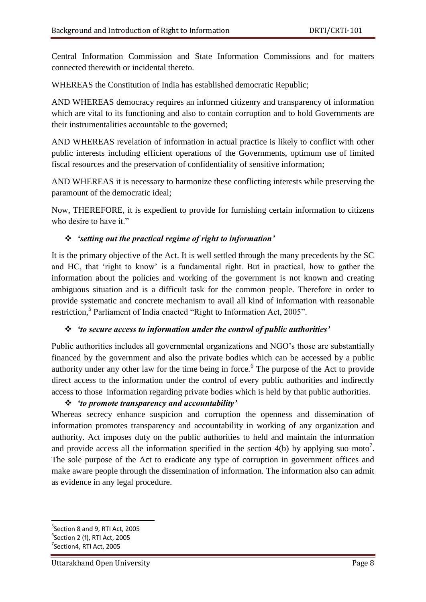Central Information Commission and State Information Commissions and for matters connected therewith or incidental thereto.

WHEREAS the Constitution of India has established democratic Republic;

AND WHEREAS democracy requires an informed citizenry and transparency of information which are vital to its functioning and also to contain corruption and to hold Governments are their instrumentalities accountable to the governed;

AND WHEREAS revelation of information in actual practice is likely to conflict with other public interests including efficient operations of the Governments, optimum use of limited fiscal resources and the preservation of confidentiality of sensitive information;

AND WHEREAS it is necessary to harmonize these conflicting interests while preserving the paramount of the democratic ideal;

Now, THEREFORE, it is expedient to provide for furnishing certain information to citizens who desire to have it."

#### *'setting out the practical regime of right to information'*

It is the primary objective of the Act. It is well settled through the many precedents by the SC and HC, that 'right to know' is a fundamental right. But in practical, how to gather the information about the policies and working of the government is not known and creating ambiguous situation and is a difficult task for the common people. Therefore in order to provide systematic and concrete mechanism to avail all kind of information with reasonable restriction,<sup>5</sup> Parliament of India enacted "Right to Information Act, 2005".

#### *'to secure access to information under the control of public authorities'*

Public authorities includes all governmental organizations and NGO's those are substantially financed by the government and also the private bodies which can be accessed by a public authority under any other law for the time being in force.<sup>6</sup> The purpose of the Act to provide direct access to the information under the control of every public authorities and indirectly access to those information regarding private bodies which is held by that public authorities.

#### *'to promote transparency and accountability'*

Whereas secrecy enhance suspicion and corruption the openness and dissemination of information promotes transparency and accountability in working of any organization and authority. Act imposes duty on the public authorities to held and maintain the information and provide access all the information specified in the section  $4(b)$  by applying suo moto<sup>7</sup>. The sole purpose of the Act to eradicate any type of corruption in government offices and make aware people through the dissemination of information. The information also can admit as evidence in any legal procedure.

**.** 

<sup>5</sup> Section 8 and 9, RTI Act, 2005

 $^6$ Section 2 (f), RTI Act, 2005

<sup>&</sup>lt;sup>7</sup>Section4, RTI Act, 2005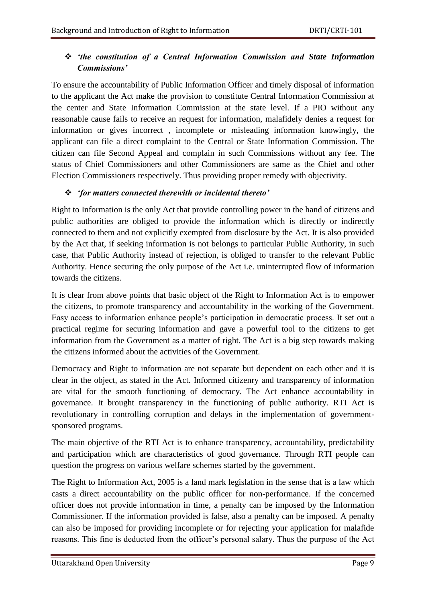### *'the constitution of a Central Information Commission and State Information Commissions'*

To ensure the accountability of Public Information Officer and timely disposal of information to the applicant the Act make the provision to constitute Central Information Commission at the center and State Information Commission at the state level. If a PIO without any reasonable cause fails to receive an request for information, malafidely denies a request for information or gives incorrect , incomplete or misleading information knowingly, the applicant can file a direct complaint to the Central or State Information Commission. The citizen can file Second Appeal and complain in such Commissions without any fee. The status of Chief Commissioners and other Commissioners are same as the Chief and other Election Commissioners respectively. Thus providing proper remedy with objectivity.

#### *'for matters connected therewith or incidental thereto'*

Right to Information is the only Act that provide controlling power in the hand of citizens and public authorities are obliged to provide the information which is directly or indirectly connected to them and not explicitly exempted from disclosure by the Act. It is also provided by the Act that, if seeking information is not belongs to particular Public Authority, in such case, that Public Authority instead of rejection, is obliged to transfer to the relevant Public Authority. Hence securing the only purpose of the Act i.e. uninterrupted flow of information towards the citizens.

It is clear from above points that basic object of the Right to Information Act is to empower the citizens, to promote transparency and accountability in the working of the Government. Easy access to information enhance people's participation in democratic process. It set out a practical regime for securing information and gave a powerful tool to the citizens to get information from the Government as a matter of right. The Act is a big step towards making the citizens informed about the activities of the Government.

Democracy and Right to information are not separate but dependent on each other and it is clear in the object, as stated in the Act. Informed citizenry and transparency of information are vital for the smooth functioning of democracy. The Act enhance accountability in governance. It brought transparency in the functioning of public authority. RTI Act is revolutionary in controlling corruption and delays in the implementation of governmentsponsored programs.

The main objective of the RTI Act is to enhance transparency, accountability, predictability and participation which are characteristics of good governance. Through RTI people can question the progress on various welfare schemes started by the government.

The Right to Information Act, 2005 is a land mark legislation in the sense that is a law which casts a direct accountability on the public officer for non-performance. If the concerned officer does not provide information in time, a penalty can be imposed by the Information Commissioner. If the information provided is false, also a penalty can be imposed. A penalty can also be imposed for providing incomplete or for rejecting your application for malafide reasons. This fine is deducted from the officer's personal salary. Thus the purpose of the Act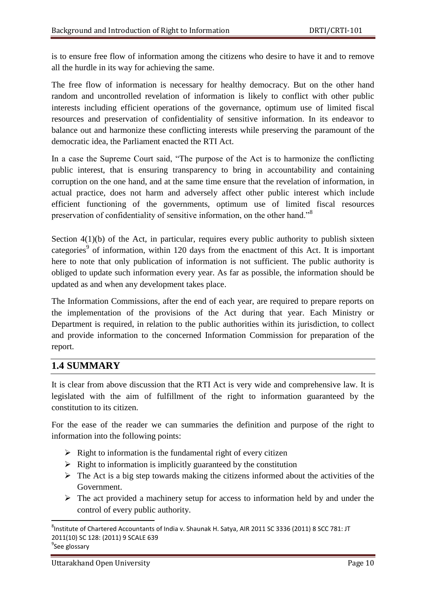is to ensure free flow of information among the citizens who desire to have it and to remove all the hurdle in its way for achieving the same.

The free flow of information is necessary for healthy democracy. But on the other hand random and uncontrolled revelation of information is likely to conflict with other public interests including efficient operations of the governance, optimum use of limited fiscal resources and preservation of confidentiality of sensitive information. In its endeavor to balance out and harmonize these conflicting interests while preserving the paramount of the democratic idea, the Parliament enacted the RTI Act.

In a case the Supreme Court said, "The purpose of the Act is to harmonize the conflicting public interest, that is ensuring transparency to bring in accountability and containing corruption on the one hand, and at the same time ensure that the revelation of information, in actual practice, does not harm and adversely affect other public interest which include efficient functioning of the governments, optimum use of limited fiscal resources preservation of confidentiality of sensitive information, on the other hand.<sup>88</sup>

Section  $4(1)(b)$  of the Act, in particular, requires every public authority to publish sixteen categories<sup>9</sup> of information, within 120 days from the enactment of this Act. It is important here to note that only publication of information is not sufficient. The public authority is obliged to update such information every year. As far as possible, the information should be updated as and when any development takes place.

The Information Commissions, after the end of each year, are required to prepare reports on the implementation of the provisions of the Act during that year. Each Ministry or Department is required, in relation to the public authorities within its jurisdiction, to collect and provide information to the concerned Information Commission for preparation of the report.

## **1.4 SUMMARY**

It is clear from above discussion that the RTI Act is very wide and comprehensive law. It is legislated with the aim of fulfillment of the right to information guaranteed by the constitution to its citizen.

For the ease of the reader we can summaries the definition and purpose of the right to information into the following points:

- $\triangleright$  Right to information is the fundamental right of every citizen
- $\triangleright$  Right to information is implicitly guaranteed by the constitution
- $\triangleright$  The Act is a big step towards making the citizens informed about the activities of the Government.
- $\triangleright$  The act provided a machinery setup for access to information held by and under the control of every public authority.

**.** 

 $^8$ Institute of Chartered Accountants of India v. Shaunak H. Satya, AIR 2011 SC 3336 (2011) 8 SCC 781: JT 2011(10) SC 128: (2011) 9 SCALE 639 <sup>9</sup>See glossary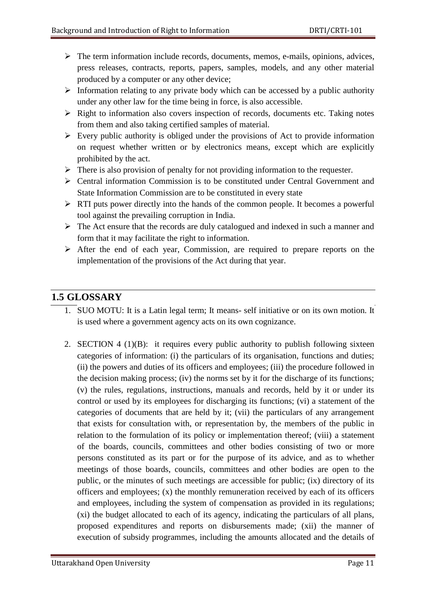- $\triangleright$  The term information include records, documents, memos, e-mails, opinions, advices, press releases, contracts, reports, papers, samples, models, and any other material produced by a computer or any other device;
- $\triangleright$  Information relating to any private body which can be accessed by a public authority under any other law for the time being in force, is also accessible.
- $\triangleright$  Right to information also covers inspection of records, documents etc. Taking notes from them and also taking certified samples of material.
- $\triangleright$  Every public authority is obliged under the provisions of Act to provide information on request whether written or by electronics means, except which are explicitly prohibited by the act.
- $\triangleright$  There is also provision of penalty for not providing information to the requester.
- $\triangleright$  Central information Commission is to be constituted under Central Government and State Information Commission are to be constituted in every state
- $\triangleright$  RTI puts power directly into the hands of the common people. It becomes a powerful tool against the prevailing corruption in India.
- $\triangleright$  The Act ensure that the records are duly catalogued and indexed in such a manner and form that it may facilitate the right to information.
- After the end of each year, Commission, are required to prepare reports on the implementation of the provisions of the Act during that year.

## **1.5 GLOSSARY**

- 1. SUO MOTU: It is a Latin legal term; It means- self initiative or on its own motion. It is used where a government agency acts on its own cognizance.
- 2. SECTION 4 (1)(B): it requires every public authority to publish following sixteen categories of information: (i) the particulars of its organisation, functions and duties; (ii) the powers and duties of its officers and employees; (iii) the procedure followed in the decision making process; (iv) the norms set by it for the discharge of its functions; (v) the rules, regulations, instructions, manuals and records, held by it or under its control or used by its employees for discharging its functions; (vi) a statement of the categories of documents that are held by it; (vii) the particulars of any arrangement that exists for consultation with, or representation by, the members of the public in relation to the formulation of its policy or implementation thereof; (viii) a statement of the boards, councils, committees and other bodies consisting of two or more persons constituted as its part or for the purpose of its advice, and as to whether meetings of those boards, councils, committees and other bodies are open to the public, or the minutes of such meetings are accessible for public; (ix) directory of its officers and employees; (x) the monthly remuneration received by each of its officers and employees, including the system of compensation as provided in its regulations; (xi) the budget allocated to each of its agency, indicating the particulars of all plans, proposed expenditures and reports on disbursements made; (xii) the manner of execution of subsidy programmes, including the amounts allocated and the details of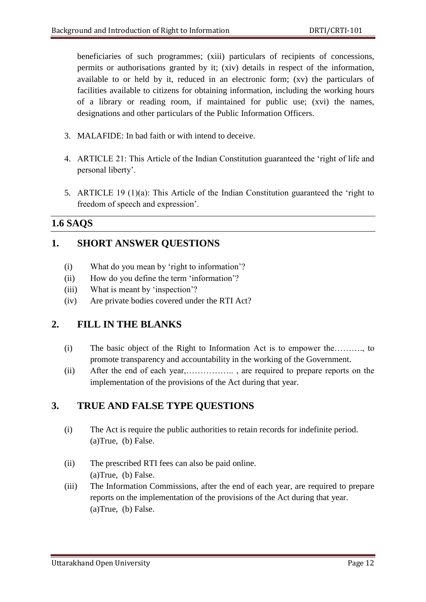beneficiaries of such programmes; (xiii) particulars of recipients of concessions, permits or authorisations granted by it; (xiv) details in respect of the information, available to or held by it, reduced in an electronic form; (xv) the particulars of facilities available to citizens for obtaining information, including the working hours of a library or reading room, if maintained for public use; (xvi) the names, designations and other particulars of the Public Information Officers.

- 3. MALAFIDE: In bad faith or with intend to deceive.
- 4. ARTICLE 21: This Article of the Indian Constitution guaranteed the 'right of life and personal liberty'.
- 5. ARTICLE 19  $(1)(a)$ : This Article of the Indian Constitution guaranteed the 'right to freedom of speech and expression'.

## **1.6 SAQS**

## **1. SHORT ANSWER QUESTIONS**

- (i) What do you mean by 'right to information'?
- (ii) How do you define the term 'information'?
- (iii) What is meant by 'inspection'?
- (iv) Are private bodies covered under the RTI Act?

## **2. FILL IN THE BLANKS**

- (i) The basic object of the Right to Information Act is to empower the………., to promote transparency and accountability in the working of the Government.
- (ii) After the end of each year,…………….. , are required to prepare reports on the implementation of the provisions of the Act during that year.

## **3. TRUE AND FALSE TYPE QUESTIONS**

- (i) The Act is require the public authorities to retain records for indefinite period. (a)True, (b) False.
- (ii) The prescribed RTI fees can also be paid online. (a)True, (b) False.
- (iii) The Information Commissions, after the end of each year, are required to prepare reports on the implementation of the provisions of the Act during that year. (a)True, (b) False.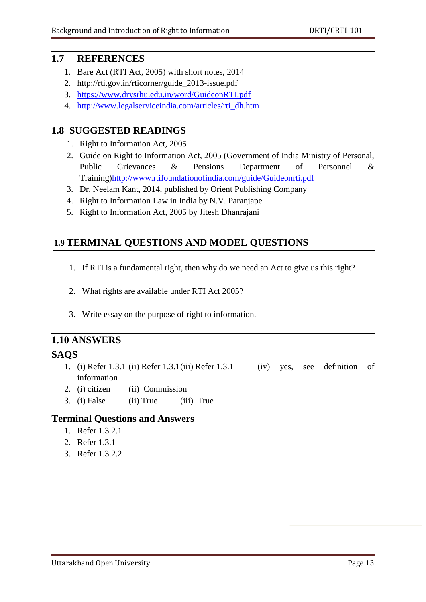#### **1.7 REFERENCES**

- 1. Bare Act (RTI Act, 2005) with short notes, 2014
- 2. http://rti.gov.in/rticorner/guide\_2013-issue.pdf
- 3. <https://www.drysrhu.edu.in/word/GuideonRTI.pdf>
- 4. [http://www.legalserviceindia.com/articles/rti\\_dh.htm](http://www.legalserviceindia.com/articles/rti_dh.htm)

## **1.8 SUGGESTED READINGS**

- 1. Right to Information Act, 2005
- 2. Guide on Right to Information Act, 2005 (Government of India Ministry of Personal, Public Grievances & Pensions Department of Personnel & Training[\)http://www.rtifoundationofindia.com/guide/Guideonrti.pdf](http://www.rtifoundationofindia.com/guide/Guideonrti.pdf)
- 3. Dr. Neelam Kant, 2014, published by Orient Publishing Company
- 4. Right to Information Law in India by N.V. Paranjape
- 5. Right to Information Act, 2005 by Jitesh Dhanrajani

## **1.9 TERMINAL QUESTIONS AND MODEL QUESTIONS**

- 1. If RTI is a fundamental right, then why do we need an Act to give us this right?
- 2. What rights are available under RTI Act 2005?
- 3. Write essay on the purpose of right to information.

## **1.10 ANSWERS**

## **SAQS**

- 1. (i) Refer 1.3.1 (ii) Refer 1.3.1(iii) Refer 1.3.1 (iv) yes, see definition of information
- 2. (i) citizen (ii) Commission
- 3. (i) False (ii) True (iii) True

## **Terminal Questions and Answers**

- 1. Refer 1.3.2.1
- 2. Refer 1.3.1
- 3. Refer 1.3.2.2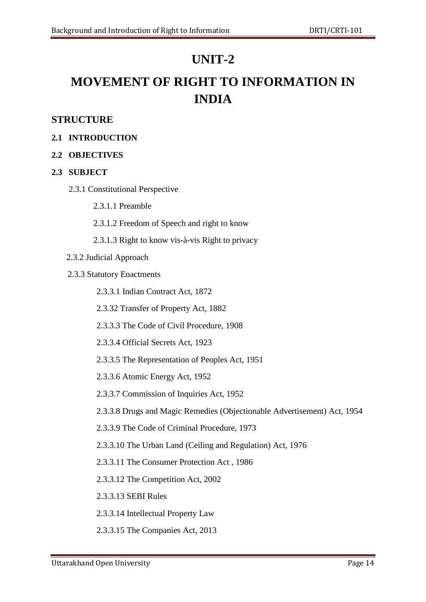## **UNIT-2**

## **MOVEMENT OF RIGHT TO INFORMATION IN INDIA**

## **STRUCTURE**

#### **2.1 INTRODUCTION**

#### **2.2 OBJECTIVES**

#### **2.3 SUBJECT**

- 2.3.1 Constitutional Perspective
	- 2.3.1.1 Preamble
	- 2.3.1.2 Freedom of Speech and right to know
	- 2.3.1.3 Right to know vis-à-vis Right to privacy
- 2.3.2 Judicial Approach
- 2.3.3 Statutory Enactments
	- 2.3.3.1 Indian Contract Act, 1872
	- 2.3.32 Transfer of Property Act, 1882
	- 2.3.3.3 The Code of Civil Procedure, 1908
	- 2.3.3.4 Official Secrets Act, 1923
	- 2.3.3.5 The Representation of Peoples Act, 1951
	- 2.3.3.6 Atomic Energy Act, 1952
	- 2.3.3.7 Commission of Inquiries Act, 1952
	- 2.3.3.8 Drugs and Magic Remedies (Objectionable Advertisement) Act, 1954
	- 2.3.3.9 The Code of Criminal Procedure, 1973
	- 2.3.3.10 The Urban Land (Ceiling and Regulation) Act, 1976
	- 2.3.3.11 The Consumer Protection Act , 1986
	- 2.3.3.12 The Competition Act, 2002
	- 2.3.3.13 SEBI Rules
	- 2.3.3.14 Intellectual Property Law
	- 2.3.3.15 The Companies Act, 2013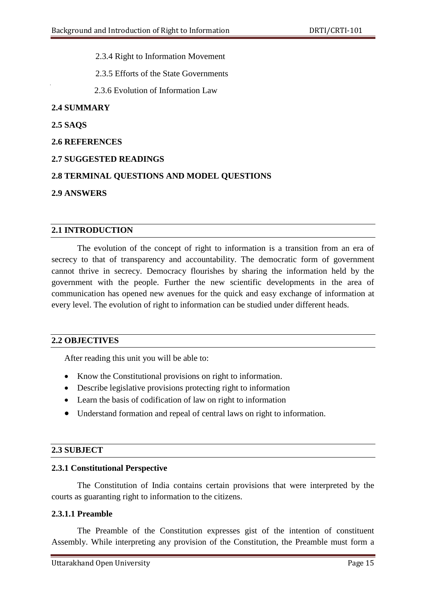2.3.4 Right to Information Movement

2.3.5 Efforts of the State Governments

2.3.6 Evolution of Information Law

#### **2.4 SUMMARY**

- **2.5 SAQS**
- **2.6 REFERENCES**

#### **2.7 SUGGESTED READINGS**

#### **2.8 TERMINAL QUESTIONS AND MODEL QUESTIONS**

#### **2.9 ANSWERS**

#### **2.1 INTRODUCTION**

The evolution of the concept of right to information is a transition from an era of secrecy to that of transparency and accountability. The democratic form of government cannot thrive in secrecy. Democracy flourishes by sharing the information held by the government with the people. Further the new scientific developments in the area of communication has opened new avenues for the quick and easy exchange of information at every level. The evolution of right to information can be studied under different heads.

#### **2.2 OBJECTIVES**

After reading this unit you will be able to:

- Know the Constitutional provisions on right to information.
- Describe legislative provisions protecting right to information
- Learn the basis of codification of law on right to information
- Understand formation and repeal of central laws on right to information.

#### **2.3 SUBJECT**

#### **2.3.1 Constitutional Perspective**

The Constitution of India contains certain provisions that were interpreted by the courts as guaranting right to information to the citizens.

#### **2.3.1.1 Preamble**

The Preamble of the Constitution expresses gist of the intention of constituent Assembly. While interpreting any provision of the Constitution, the Preamble must form a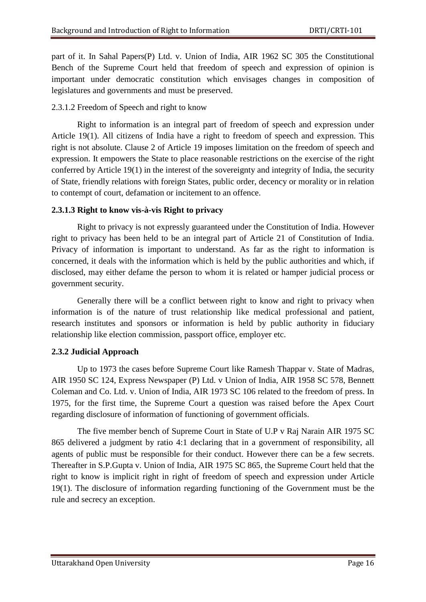part of it. In Sahal Papers(P) Ltd. v. Union of India, AIR 1962 SC 305 the Constitutional Bench of the Supreme Court held that freedom of speech and expression of opinion is important under democratic constitution which envisages changes in composition of legislatures and governments and must be preserved.

#### 2.3.1.2 Freedom of Speech and right to know

Right to information is an integral part of freedom of speech and expression under Article 19(1). All citizens of India have a right to freedom of speech and expression. This right is not absolute. Clause 2 of Article 19 imposes limitation on the freedom of speech and expression. It empowers the State to place reasonable restrictions on the exercise of the right conferred by Article 19(1) in the interest of the sovereignty and integrity of India, the security of State, friendly relations with foreign States, public order, decency or morality or in relation to contempt of court, defamation or incitement to an offence.

#### **2.3.1.3 Right to know vis-à-vis Right to privacy**

Right to privacy is not expressly guaranteed under the Constitution of India. However right to privacy has been held to be an integral part of Article 21 of Constitution of India. Privacy of information is important to understand. As far as the right to information is concerned, it deals with the information which is held by the public authorities and which, if disclosed, may either defame the person to whom it is related or hamper judicial process or government security.

Generally there will be a conflict between right to know and right to privacy when information is of the nature of trust relationship like medical professional and patient, research institutes and sponsors or information is held by public authority in fiduciary relationship like election commission, passport office, employer etc.

#### **2.3.2 Judicial Approach**

Up to 1973 the cases before Supreme Court like Ramesh Thappar v. State of Madras, AIR 1950 SC 124, Express Newspaper (P) Ltd. v Union of India, AIR 1958 SC 578, Bennett Coleman and Co. Ltd. v. Union of India, AIR 1973 SC 106 related to the freedom of press. In 1975, for the first time, the Supreme Court a question was raised before the Apex Court regarding disclosure of information of functioning of government officials.

The five member bench of Supreme Court in State of U.P v Raj Narain AIR 1975 SC 865 delivered a judgment by ratio 4:1 declaring that in a government of responsibility, all agents of public must be responsible for their conduct. However there can be a few secrets. Thereafter in S.P.Gupta v. Union of India, AIR 1975 SC 865, the Supreme Court held that the right to know is implicit right in right of freedom of speech and expression under Article 19(1). The disclosure of information regarding functioning of the Government must be the rule and secrecy an exception.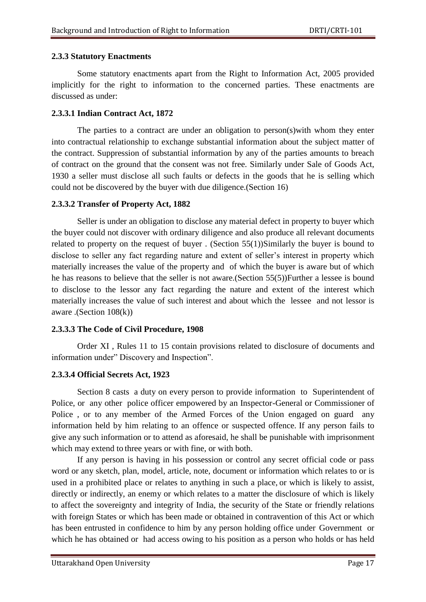#### **2.3.3 Statutory Enactments**

Some statutory enactments apart from the Right to Information Act, 2005 provided implicitly for the right to information to the concerned parties. These enactments are discussed as under:

#### **2.3.3.1 Indian Contract Act, 1872**

The parties to a contract are under an obligation to person(s)with whom they enter into contractual relationship to exchange substantial information about the subject matter of the contract. Suppression of substantial information by any of the parties amounts to breach of contract on the ground that the consent was not free. Similarly under Sale of Goods Act, 1930 a seller must disclose all such faults or defects in the goods that he is selling which could not be discovered by the buyer with due diligence.(Section 16)

#### **2.3.3.2 Transfer of Property Act, 1882**

Seller is under an obligation to disclose any material defect in property to buyer which the buyer could not discover with ordinary diligence and also produce all relevant documents related to property on the request of buyer . (Section 55(1))Similarly the buyer is bound to disclose to seller any fact regarding nature and extent of seller's interest in property which materially increases the value of the property and of which the buyer is aware but of which he has reasons to believe that the seller is not aware.(Section 55(5))Further a lessee is bound to disclose to the lessor any fact regarding the nature and extent of the interest which materially increases the value of such interest and about which the lessee and not lessor is aware .(Section 108(k))

#### **2.3.3.3 The Code of Civil Procedure, 1908**

Order XI , Rules 11 to 15 contain provisions related to disclosure of documents and information under" Discovery and Inspection".

#### **2.3.3.4 Official Secrets Act, 1923**

Section 8 casts a duty on every person to provide information to Superintendent of Police, or any other police officer empowered by an Inspector-General or Commissioner of Police , or to any member of the Armed Forces of the Union engaged on guard any information held by him relating to an offence or suspected offence. If any person fails to give any such information or to attend as aforesaid, he shall be punishable with imprisonment which may extend to three years or with fine, or with both.

If any person is having in his possession or control any secret official code or pass word or any sketch, plan, model, article, note, document or information which relates to or is used in a prohibited place or relates to anything in such a place, or which is likely to assist, directly or indirectly, an enemy or which relates to a matter the disclosure of which is likely to affect the sovereignty and integrity of India, the security of the State or friendly relations with foreign States or which has been made or obtained in contravention of this Act or which has been entrusted in confidence to him by any person holding office under Government or which he has obtained or had access owing to his position as a person who holds or has held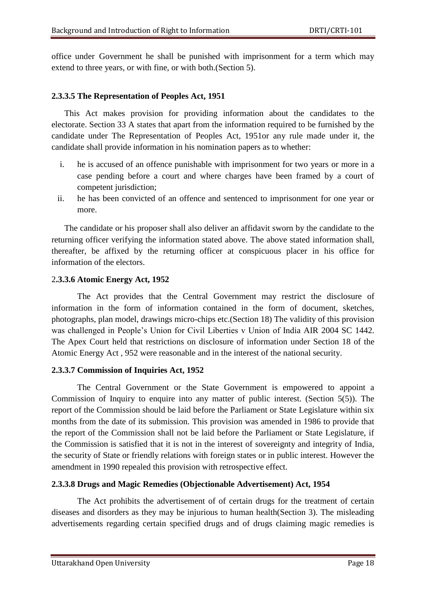office under Government he shall be punished with imprisonment for a term which may extend to three years, or with fine, or with both.(Section 5).

#### **2.3.3.5 The Representation of Peoples Act, 1951**

This Act makes provision for providing information about the candidates to the electorate. Section 33 A states that apart from the information required to be furnished by the candidate under The Representation of Peoples Act, 1951or any rule made under it, the candidate shall provide information in his nomination papers as to whether:

- i. he is accused of an offence punishable with imprisonment for two years or more in a case pending before a court and where charges have been framed by a court of competent jurisdiction;
- ii. he has been convicted of an offence and sentenced to imprisonment for one year or more.

The candidate or his proposer shall also deliver an affidavit sworn by the candidate to the returning officer verifying the information stated above. The above stated information shall, thereafter, be affixed by the returning officer at conspicuous placer in his office for information of the electors.

#### 2**.3.3.6 Atomic Energy Act, 1952**

The Act provides that the Central Government may restrict the disclosure of information in the form of information contained in the form of document, sketches, photographs, plan model, drawings micro-chips etc.(Section 18) The validity of this provision was challenged in People's Union for Civil Liberties v Union of India AIR 2004 SC 1442. The Apex Court held that restrictions on disclosure of information under Section 18 of the Atomic Energy Act , 952 were reasonable and in the interest of the national security.

#### **2.3.3.7 Commission of Inquiries Act, 1952**

The Central Government or the State Government is empowered to appoint a Commission of Inquiry to enquire into any matter of public interest. (Section 5(5)). The report of the Commission should be laid before the Parliament or State Legislature within six months from the date of its submission. This provision was amended in 1986 to provide that the report of the Commission shall not be laid before the Parliament or State Legislature, if the Commission is satisfied that it is not in the interest of sovereignty and integrity of India, the security of State or friendly relations with foreign states or in public interest. However the amendment in 1990 repealed this provision with retrospective effect.

#### **2.3.3.8 Drugs and Magic Remedies (Objectionable Advertisement) Act, 1954**

The Act prohibits the advertisement of of certain drugs for the treatment of certain diseases and disorders as they may be injurious to human health(Section 3). The misleading advertisements regarding certain specified drugs and of drugs claiming magic remedies is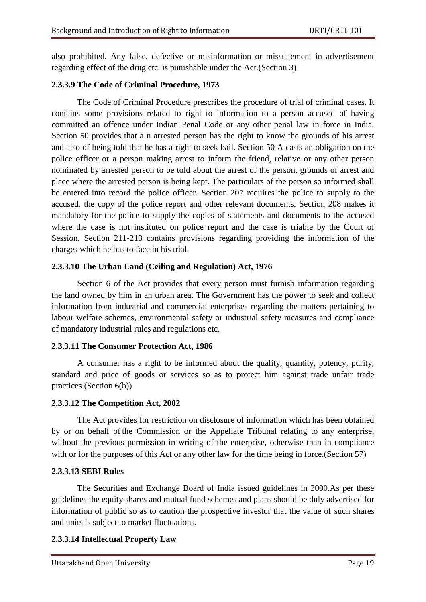also prohibited. Any false, defective or misinformation or misstatement in advertisement regarding effect of the drug etc. is punishable under the Act.(Section 3)

#### **2.3.3.9 The Code of Criminal Procedure, 1973**

The Code of Criminal Procedure prescribes the procedure of trial of criminal cases. It contains some provisions related to right to information to a person accused of having committed an offence under Indian Penal Code or any other penal law in force in India. Section 50 provides that a n arrested person has the right to know the grounds of his arrest and also of being told that he has a right to seek bail. Section 50 A casts an obligation on the police officer or a person making arrest to inform the friend, relative or any other person nominated by arrested person to be told about the arrest of the person, grounds of arrest and place where the arrested person is being kept. The particulars of the person so informed shall be entered into record the police officer. Section 207 requires the police to supply to the accused, the copy of the police report and other relevant documents. Section 208 makes it mandatory for the police to supply the copies of statements and documents to the accused where the case is not instituted on police report and the case is triable by the Court of Session. Section 211-213 contains provisions regarding providing the information of the charges which he has to face in his trial.

#### **2.3.3.10 The Urban Land (Ceiling and Regulation) Act, 1976**

Section 6 of the Act provides that every person must furnish information regarding the land owned by him in an urban area. The Government has the power to seek and collect information from industrial and commercial enterprises regarding the matters pertaining to labour welfare schemes, environmental safety or industrial safety measures and compliance of mandatory industrial rules and regulations etc.

#### **2.3.3.11 The Consumer Protection Act, 1986**

A consumer has a right to be informed about the quality, quantity, potency, purity, standard and price of goods or services so as to protect him against trade unfair trade practices.(Section 6(b))

#### **2.3.3.12 The Competition Act, 2002**

The Act provides for restriction on disclosure of information which has been obtained by or on behalf of the Commission or the Appellate Tribunal relating to any enterprise, without the previous permission in writing of the enterprise, otherwise than in compliance with or for the purposes of this Act or any other law for the time being in force. (Section 57)

#### **2.3.3.13 SEBI Rules**

The Securities and Exchange Board of India issued guidelines in 2000.As per these guidelines the equity shares and mutual fund schemes and plans should be duly advertised for information of public so as to caution the prospective investor that the value of such shares and units is subject to market fluctuations.

#### **2.3.3.14 Intellectual Property Law**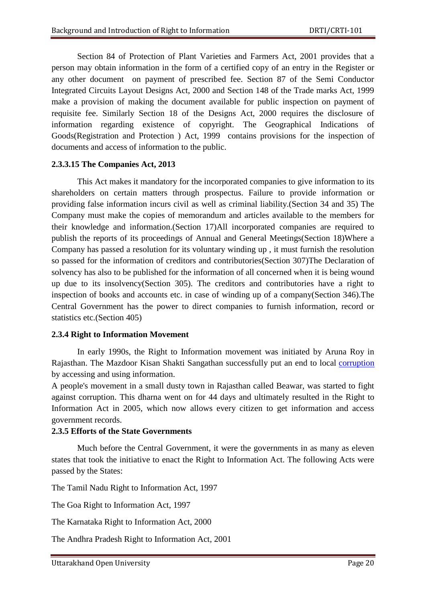Section 84 of Protection of Plant Varieties and Farmers Act, 2001 provides that a person may obtain information in the form of a certified copy of an entry in the Register or any other document on payment of prescribed fee. Section 87 of the Semi Conductor Integrated Circuits Layout Designs Act, 2000 and Section 148 of the Trade marks Act, 1999 make a provision of making the document available for public inspection on payment of requisite fee. Similarly Section 18 of the Designs Act, 2000 requires the disclosure of information regarding existence of copyright. The Geographical Indications of Goods(Registration and Protection ) Act, 1999 contains provisions for the inspection of documents and access of information to the public.

#### **2.3.3.15 The Companies Act, 2013**

This Act makes it mandatory for the incorporated companies to give information to its shareholders on certain matters through prospectus. Failure to provide information or providing false information incurs civil as well as criminal liability.(Section 34 and 35) The Company must make the copies of memorandum and articles available to the members for their knowledge and information.(Section 17)All incorporated companies are required to publish the reports of its proceedings of Annual and General Meetings(Section 18)Where a Company has passed a resolution for its voluntary winding up , it must furnish the resolution so passed for the information of creditors and contributories(Section 307)The Declaration of solvency has also to be published for the information of all concerned when it is being wound up due to its insolvency(Section 305). The creditors and contributories have a right to inspection of books and accounts etc. in case of winding up of a company(Section 346).The Central Government has the power to direct companies to furnish information, record or statistics etc.(Section 405)

#### **2.3.4 Right to Information Movement**

In early 1990s, the Right to Information movement was initiated by Aruna Roy in Rajasthan. The Mazdoor Kisan Shakti Sangathan successfully put an end to local [corruption](https://www.omicsonline.org/searchresult.php?keyword=corruption) by accessing and using information.

A people's movement in a small dusty town in Rajasthan called Beawar, was started to fight against corruption. This dharna went on for 44 days and ultimately resulted in the Right to Information Act in 2005, which now allows every citizen to get information and access government records.

#### **2.3.5 Efforts of the State Governments**

Much before the Central Government, it were the governments in as many as eleven states that took the initiative to enact the Right to Information Act. The following Acts were passed by the States:

The Tamil Nadu Right to Information Act, 1997

The Goa Right to Information Act, 1997

The Karnataka Right to Information Act, 2000

The Andhra Pradesh Right to Information Act, 2001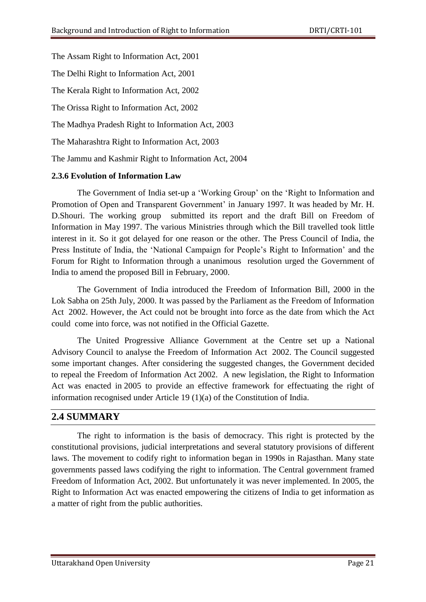The Assam Right to Information Act, 2001 The Delhi Right to Information Act, 2001 The Kerala Right to Information Act, 2002 The Orissa Right to Information Act, 2002 The Madhya Pradesh Right to Information Act, 2003 The Maharashtra Right to Information Act, 2003 The Jammu and Kashmir Right to Information Act, 2004

#### **2.3.6 Evolution of Information Law**

The Government of India set-up a 'Working Group' on the 'Right to Information and Promotion of Open and Transparent Government' in January 1997. It was headed by Mr. H. D.Shouri. The working group submitted its report and the draft Bill on Freedom of Information in May 1997. The various Ministries through which the Bill travelled took little interest in it. So it got delayed for one reason or the other. The Press Council of India, the Press Institute of India, the 'National Campaign for People's Right to Information' and the Forum for Right to Information through a unanimous resolution urged the Government of India to amend the proposed Bill in February, 2000.

The Government of India introduced the Freedom of Information Bill, 2000 in the Lok Sabha on 25th July, 2000. It was passed by the Parliament as the Freedom of Information Act 2002. However, the Act could not be brought into force as the date from which the Act could come into force, was not notified in the Official Gazette.

The United Progressive Alliance Government at the Centre set up a National Advisory Council to analyse the Freedom of Information Act 2002. The Council suggested some important changes. After considering the suggested changes, the Government decided to repeal the Freedom of Information Act 2002. A new legislation, the Right to Information Act was enacted in 2005 to provide an effective framework for effectuating the right of information recognised under Article 19 (1)(a) of the Constitution of India.

## **2.4 SUMMARY**

The right to information is the basis of democracy. This right is protected by the constitutional provisions, judicial interpretations and several statutory provisions of different laws. The movement to codify right to information began in 1990s in Rajasthan. Many state governments passed laws codifying the right to information. The Central government framed Freedom of Information Act, 2002. But unfortunately it was never implemented. In 2005, the Right to Information Act was enacted empowering the citizens of India to get information as a matter of right from the public authorities.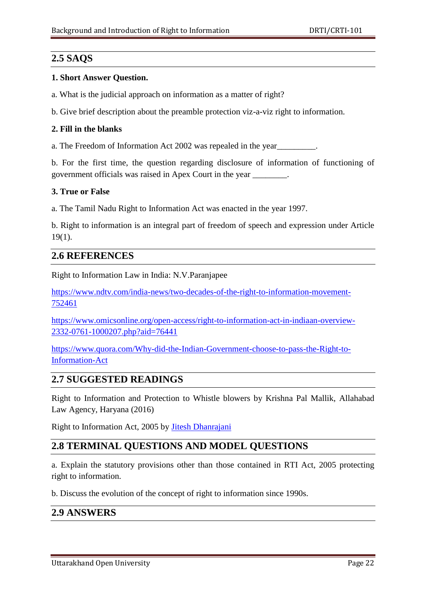## **2.5 SAQS**

#### **1. Short Answer Question.**

a. What is the judicial approach on information as a matter of right?

b. Give brief description about the preamble protection viz-a-viz right to information.

#### **2. Fill in the blanks**

a. The Freedom of Information Act 2002 was repealed in the year

b. For the first time, the question regarding disclosure of information of functioning of government officials was raised in Apex Court in the year \_\_\_\_\_\_\_\_.

#### **3. True or False**

a. The Tamil Nadu Right to Information Act was enacted in the year 1997.

b. Right to information is an integral part of freedom of speech and expression under Article 19(1).

#### **2.6 REFERENCES**

Right to Information Law in India: N.V.Paranjapee

[https://www.ndtv.com/india-news/two-decades-of-the-right-to-information-movement-](https://www.ndtv.com/india-news/two-decades-of-the-right-to-information-movement-752461)[752461](https://www.ndtv.com/india-news/two-decades-of-the-right-to-information-movement-752461)

[https://www.omicsonline.org/open-access/right-to-information-act-in-indiaan-overview-](https://www.omicsonline.org/open-access/right-to-information-act-in-indiaan-overview-2332-0761-1000207.php?aid=76441)[2332-0761-1000207.php?aid=76441](https://www.omicsonline.org/open-access/right-to-information-act-in-indiaan-overview-2332-0761-1000207.php?aid=76441)

[https://www.quora.com/Why-did-the-Indian-Government-choose-to-pass-the-Right-to-](https://www.quora.com/Why-did-the-Indian-Government-choose-to-pass-the-Right-to-Information-Act)[Information-Act](https://www.quora.com/Why-did-the-Indian-Government-choose-to-pass-the-Right-to-Information-Act)

#### **2.7 SUGGESTED READINGS**

Right to Information and Protection to Whistle blowers by Krishna Pal Mallik, Allahabad Law Agency, Haryana (2016)

Right to Information Act, 2005 by [Jitesh Dhanrajani](https://www.amazon.in/s/ref=dp_byline_sr_book_1?ie=UTF8&field-author=Jitesh+Dhanrajani&search-alias=stripbooks)

#### **2.8 TERMINAL QUESTIONS AND MODEL QUESTIONS**

a. Explain the statutory provisions other than those contained in RTI Act, 2005 protecting right to information.

b. Discuss the evolution of the concept of right to information since 1990s.

## **2.9 ANSWERS**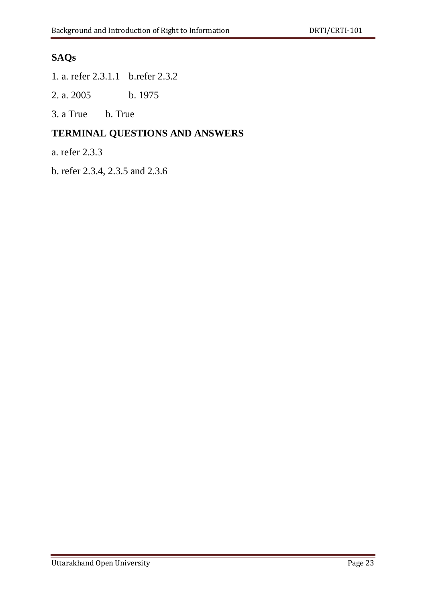## **SAQs**

- 1. a. refer 2.3.1.1 b.refer 2.3.2
- 2. a. 2005 b. 1975
- 3. a True b. True

## **TERMINAL QUESTIONS AND ANSWERS**

- a. refer 2.3.3
- b. refer 2.3.4, 2.3.5 and 2.3.6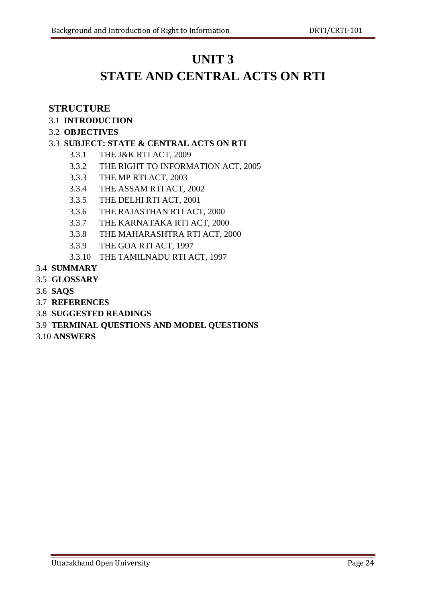## **UNIT 3**

## **STATE AND CENTRAL ACTS ON RTI**

## **STRUCTURE**

- 3.1 **INTRODUCTION**
- 3.2 **OBJECTIVES**
- 3.3 **SUBJECT: STATE & CENTRAL ACTS ON RTI** 
	- 3.3.1 THE J&K RTI ACT, 2009
	- 3.3.2 THE RIGHT TO INFORMATION ACT, 2005
	- 3.3.3 THE MP RTI ACT, 2003
	- 3.3.4 THE ASSAM RTI ACT, 2002
	- 3.3.5 THE DELHI RTI ACT, 2001
	- 3.3.6 THE RAJASTHAN RTI ACT, 2000
	- 3.3.7 THE KARNATAKA RTI ACT, 2000
	- 3.3.8 THE MAHARASHTRA RTI ACT, 2000
	- 3.3.9 THE GOA RTI ACT, 1997
	- 3.3.10 THE TAMILNADU RTI ACT, 1997
- 3.4 **SUMMARY**
- 3.5 **GLOSSARY**
- 3.6 **SAQS**
- 3.7 **REFERENCES**
- 3.8 **SUGGESTED READINGS**
- 3.9 **TERMINAL QUESTIONS AND MODEL QUESTIONS**
- 3.10 **ANSWERS**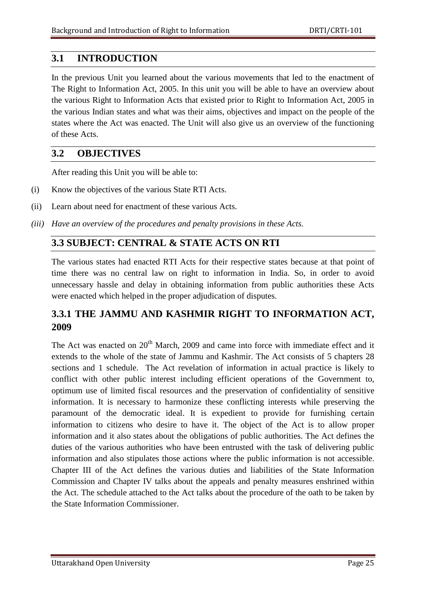### **3.1 INTRODUCTION**

In the previous Unit you learned about the various movements that led to the enactment of The Right to Information Act, 2005. In this unit you will be able to have an overview about the various Right to Information Acts that existed prior to Right to Information Act, 2005 in the various Indian states and what was their aims, objectives and impact on the people of the states where the Act was enacted. The Unit will also give us an overview of the functioning of these Acts.

## **3.2 OBJECTIVES**

After reading this Unit you will be able to:

- (i) Know the objectives of the various State RTI Acts.
- (ii) Learn about need for enactment of these various Acts.
- *(iii) Have an overview of the procedures and penalty provisions in these Acts.*

## **3.3 SUBJECT: CENTRAL & STATE ACTS ON RTI**

The various states had enacted RTI Acts for their respective states because at that point of time there was no central law on right to information in India. So, in order to avoid unnecessary hassle and delay in obtaining information from public authorities these Acts were enacted which helped in the proper adjudication of disputes.

## **3.3.1 THE JAMMU AND KASHMIR RIGHT TO INFORMATION ACT, 2009**

The Act was enacted on 20<sup>th</sup> March, 2009 and came into force with immediate effect and it extends to the whole of the state of Jammu and Kashmir. The Act consists of 5 chapters 28 sections and 1 schedule. The Act revelation of information in actual practice is likely to conflict with other public interest including efficient operations of the Government to, optimum use of limited fiscal resources and the preservation of confidentiality of sensitive information. It is necessary to harmonize these conflicting interests while preserving the paramount of the democratic ideal. It is expedient to provide for furnishing certain information to citizens who desire to have it. The object of the Act is to allow proper information and it also states about the obligations of public authorities. The Act defines the duties of the various authorities who have been entrusted with the task of delivering public information and also stipulates those actions where the public information is not accessible. Chapter III of the Act defines the various duties and liabilities of the State Information Commission and Chapter IV talks about the appeals and penalty measures enshrined within the Act. The schedule attached to the Act talks about the procedure of the oath to be taken by the State Information Commissioner.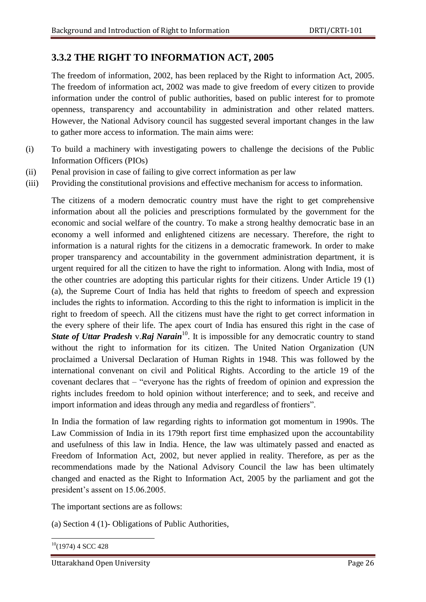## **3.3.2 THE RIGHT TO INFORMATION ACT, 2005**

The freedom of information, 2002, has been replaced by the Right to information Act, 2005. The freedom of information act, 2002 was made to give freedom of every citizen to provide information under the control of public authorities, based on public interest for to promote openness, transparency and accountability in administration and other related matters. However, the National Advisory council has suggested several important changes in the law to gather more access to information. The main aims were:

- (i) To build a machinery with investigating powers to challenge the decisions of the Public Information Officers (PIOs)
- (ii) Penal provision in case of failing to give correct information as per law
- (iii) Providing the constitutional provisions and effective mechanism for access to information.

The citizens of a modern democratic country must have the right to get comprehensive information about all the policies and prescriptions formulated by the government for the economic and social welfare of the country. To make a strong healthy democratic base in an economy a well informed and enlightened citizens are necessary. Therefore, the right to information is a natural rights for the citizens in a democratic framework. In order to make proper transparency and accountability in the government administration department, it is urgent required for all the citizen to have the right to information. Along with India, most of the other countries are adopting this particular rights for their citizens. Under Article 19 (1) (a), the Supreme Court of India has held that rights to freedom of speech and expression includes the rights to information. According to this the right to information is implicit in the right to freedom of speech. All the citizens must have the right to get correct information in the every sphere of their life. The apex court of India has ensured this right in the case of **State of Uttar Pradesh** v. **Raj Narain**<sup>10</sup>. It is impossible for any democratic country to stand without the right to information for its citizen. The United Nation Organization (UN proclaimed a Universal Declaration of Human Rights in 1948. This was followed by the international convenant on civil and Political Rights. According to the article 19 of the covenant declares that – "everyone has the rights of freedom of opinion and expression the rights includes freedom to hold opinion without interference; and to seek, and receive and import information and ideas through any media and regardless of frontiers".

In India the formation of law regarding rights to information got momentum in 1990s. The Law Commission of India in its 179th report first time emphasized upon the accountability and usefulness of this law in India. Hence, the law was ultimately passed and enacted as Freedom of Information Act, 2002, but never applied in reality. Therefore, as per as the recommendations made by the National Advisory Council the law has been ultimately changed and enacted as the Right to Information Act, 2005 by the parliament and got the president's assent on 15.06.2005.

The important sections are as follows:

(a) Section 4 (1)- Obligations of Public Authorities,

**<sup>.</sup>**  $10(1974)$  4 SCC 428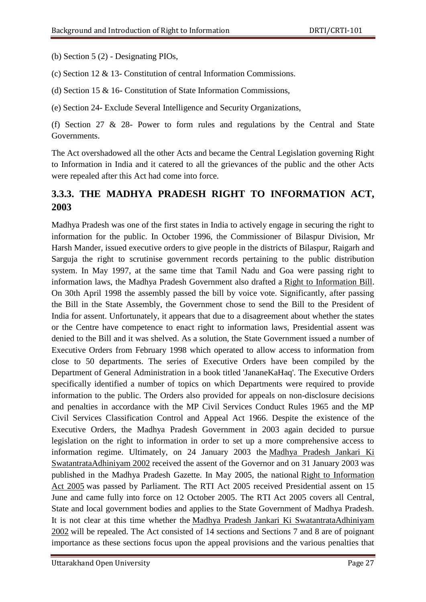(b) Section 5 (2) - Designating PIOs,

(c) Section 12 & 13- Constitution of central Information Commissions.

(d) Section 15 & 16- Constitution of State Information Commissions,

(e) Section 24- Exclude Several Intelligence and Security Organizations,

(f) Section 27 & 28- Power to form rules and regulations by the Central and State Governments.

The Act overshadowed all the other Acts and became the Central Legislation governing Right to Information in India and it catered to all the grievances of the public and the other Acts were repealed after this Act had come into force.

## **3.3.3. THE MADHYA PRADESH RIGHT TO INFORMATION ACT, 2003**

Madhya Pradesh was one of the first states in India to actively engage in securing the right to information for the public. In October 1996, the Commissioner of Bilaspur Division, Mr Harsh Mander, issued executive orders to give people in the districts of Bilaspur, Raigarh and Sarguja the right to scrutinise government records pertaining to the public distribution system. In May 1997, at the same time that Tamil Nadu and Goa were passing right to information laws, the Madhya Pradesh Government also drafted a [Right to Information Bill.](http://www.humanrightsinitiative.org/programs/ai/rti/india/states/mp/rti_bill.htm) On 30th April 1998 the assembly passed the bill by voice vote. Significantly, after passing the Bill in the State Assembly, the Government chose to send the Bill to the President of India for assent. Unfortunately, it appears that due to a disagreement about whether the states or the Centre have competence to enact right to information laws, Presidential assent was denied to the Bill and it was shelved. As a solution, the State Government issued a number of Executive Orders from February 1998 which operated to allow access to information from close to 50 departments. The series of Executive Orders have been compiled by the Department of General Administration in a book titled 'JananeKaHaq'. The Executive Orders specifically identified a number of topics on which Departments were required to provide information to the public. The Orders also provided for appeals on non-disclosure decisions and penalties in accordance with the MP Civil Services Conduct Rules 1965 and the MP Civil Services Classification Control and Appeal Act 1966. Despite the existence of the Executive Orders, the Madhya Pradesh Government in 2003 again decided to pursue legislation on the right to information in order to set up a more comprehensive access to information regime. Ultimately, on 24 January 2003 the [Madhya Pradesh Jankari Ki](http://www.humanrightsinitiative.org/programs/ai/rti/india/legislation/mp_act2003.htm)  [SwatantrataAdhiniyam 2002](http://www.humanrightsinitiative.org/programs/ai/rti/india/legislation/mp_act2003.htm) received the assent of the Governor and on 31 January 2003 was published in the Madhya Pradesh Gazette. In May 2005, the national [Right to Information](http://www.humanrightsinitiative.org/programs/ai/rti/india/national/rti_act_2005.pdf)  [Act 2005](http://www.humanrightsinitiative.org/programs/ai/rti/india/national/rti_act_2005.pdf) was passed by Parliament. The RTI Act 2005 received Presidential assent on 15 June and came fully into force on 12 October 2005. The RTI Act 2005 covers all Central, State and local government bodies and applies to the State Government of Madhya Pradesh. It is not clear at this time whether the [Madhya Pradesh Jankari Ki SwatantrataAdhiniyam](http://www.humanrightsinitiative.org/programs/ai/rti/india/legislation/mp_act2003.htm)  [2002](http://www.humanrightsinitiative.org/programs/ai/rti/india/legislation/mp_act2003.htm) will be repealed. The Act consisted of 14 sections and Sections 7 and 8 are of poignant importance as these sections focus upon the appeal provisions and the various penalties that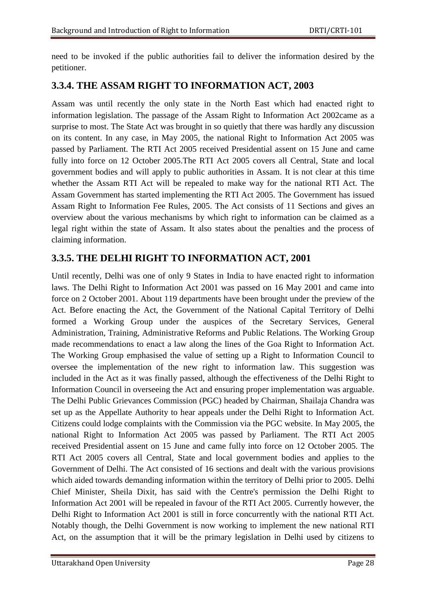need to be invoked if the public authorities fail to deliver the information desired by the petitioner.

## **3.3.4. THE ASSAM RIGHT TO INFORMATION ACT, 2003**

Assam was until recently the only state in the North East which had enacted right to information legislation. The passage of the Assam Right to Information Act 2002came as a surprise to most. The State Act was brought in so quietly that there was hardly any discussion on its content. In any case, in May 2005, the national Right to Information Act 2005 was passed by Parliament. The RTI Act 2005 received Presidential assent on 15 June and came fully into force on 12 October 2005.The RTI Act 2005 covers all Central, State and local government bodies and will apply to public authorities in Assam. It is not clear at this time whether the Assam RTI Act will be repealed to make way for the national RTI Act. The Assam Government has started implementing the RTI Act 2005. The Government has issued Assam Right to Information Fee Rules, 2005. The Act consists of 11 Sections and gives an overview about the various mechanisms by which right to information can be claimed as a legal right within the state of Assam. It also states about the penalties and the process of claiming information.

## **3.3.5. THE DELHI RIGHT TO INFORMATION ACT, 2001**

Until recently, Delhi was one of only 9 States in India to have enacted right to information laws. The Delhi Right to Information Act 2001 was passed on 16 May 2001 and came into force on 2 October 2001. About 119 departments have been brought under the preview of the Act. Before enacting the Act, the Government of the National Capital Territory of Delhi formed a Working Group under the auspices of the Secretary Services, General Administration, Training, Administrative Reforms and Public Relations. The Working Group made recommendations to enact a law along the lines of the Goa Right to Information Act. The Working Group emphasised the value of setting up a Right to Information Council to oversee the implementation of the new right to information law. This suggestion was included in the Act as it was finally passed, although the effectiveness of the Delhi Right to Information Council in overseeing the Act and ensuring proper implementation was arguable. The Delhi Public Grievances Commission (PGC) headed by Chairman, Shailaja Chandra was set up as the Appellate Authority to hear appeals under the Delhi Right to Information Act. Citizens could lodge complaints with the Commission via the PGC website. In May 2005, the national Right to Information Act 2005 was passed by Parliament. The RTI Act 2005 received Presidential assent on 15 June and came fully into force on 12 October 2005. The RTI Act 2005 covers all Central, State and local government bodies and applies to the Government of Delhi. The Act consisted of 16 sections and dealt with the various provisions which aided towards demanding information within the territory of Delhi prior to 2005. Delhi Chief Minister, Sheila Dixit, has said with the Centre's permission the Delhi Right to Information Act 2001 will be repealed in favour of the RTI Act 2005. Currently however, the Delhi Right to Information Act 2001 is still in force concurrently with the national RTI Act. Notably though, the Delhi Government is now working to implement the new national RTI Act, on the assumption that it will be the primary legislation in Delhi used by citizens to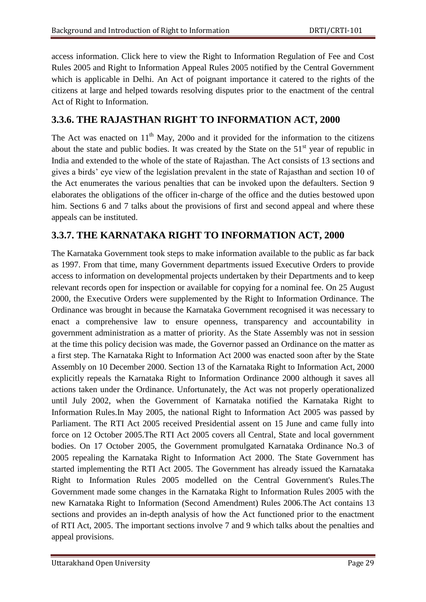access information. Click here to view the Right to Information Regulation of Fee and Cost Rules 2005 and Right to Information Appeal Rules 2005 notified by the Central Government which is applicable in Delhi. An Act of poignant importance it catered to the rights of the citizens at large and helped towards resolving disputes prior to the enactment of the central Act of Right to Information.

## **3.3.6. THE RAJASTHAN RIGHT TO INFORMATION ACT, 2000**

The Act was enacted on  $11<sup>th</sup>$  May, 200o and it provided for the information to the citizens about the state and public bodies. It was created by the State on the  $51<sup>st</sup>$  year of republic in India and extended to the whole of the state of Rajasthan. The Act consists of 13 sections and gives a birds' eye view of the legislation prevalent in the state of Rajasthan and section 10 of the Act enumerates the various penalties that can be invoked upon the defaulters. Section 9 elaborates the obligations of the officer in-charge of the office and the duties bestowed upon him. Sections 6 and 7 talks about the provisions of first and second appeal and where these appeals can be instituted.

## **3.3.7. THE KARNATAKA RIGHT TO INFORMATION ACT, 2000**

The Karnataka Government took steps to make information available to the public as far back as 1997. From that time, many Government departments issued Executive Orders to provide access to information on developmental projects undertaken by their Departments and to keep relevant records open for inspection or available for copying for a nominal fee. On 25 August 2000, the Executive Orders were supplemented by the Right to Information Ordinance. The Ordinance was brought in because the Karnataka Government recognised it was necessary to enact a comprehensive law to ensure openness, transparency and accountability in government administration as a matter of priority. As the State Assembly was not in session at the time this policy decision was made, the Governor passed an Ordinance on the matter as a first step. The Karnataka Right to Information Act 2000 was enacted soon after by the State Assembly on 10 December 2000. Section 13 of the Karnataka Right to Information Act, 2000 explicitly repeals the Karnataka Right to Information Ordinance 2000 although it saves all actions taken under the Ordinance. Unfortunately, the Act was not properly operationalized until July 2002, when the Government of Karnataka notified the Karnataka Right to Information Rules.In May 2005, the national Right to Information Act 2005 was passed by Parliament. The RTI Act 2005 received Presidential assent on 15 June and came fully into force on 12 October 2005.The RTI Act 2005 covers all Central, State and local government bodies. On 17 October 2005, the Government promulgated Karnataka Ordinance No.3 of 2005 repealing the Karnataka Right to Information Act 2000. The State Government has started implementing the RTI Act 2005. The Government has already issued the Karnataka Right to Information Rules 2005 modelled on the Central Government's Rules.The Government made some changes in the Karnataka Right to Information Rules 2005 with the new Karnataka Right to Information (Second Amendment) Rules 2006.The Act contains 13 sections and provides an in-depth analysis of how the Act functioned prior to the enactment of RTI Act, 2005. The important sections involve 7 and 9 which talks about the penalties and appeal provisions.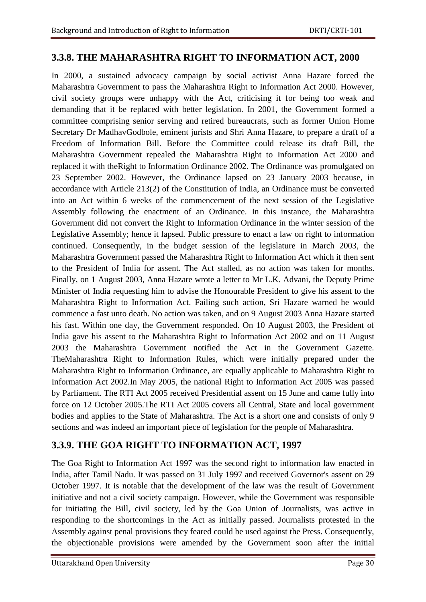## **3.3.8. THE MAHARASHTRA RIGHT TO INFORMATION ACT, 2000**

In 2000, a sustained advocacy campaign by social activist Anna Hazare forced the Maharashtra Government to pass the Maharashtra Right to Information Act 2000. However, civil society groups were unhappy with the Act, criticising it for being too weak and demanding that it be replaced with better legislation. In 2001, the Government formed a committee comprising senior serving and retired bureaucrats, such as former Union Home Secretary Dr MadhavGodbole, eminent jurists and Shri Anna Hazare, to prepare a draft of a Freedom of Information Bill. Before the Committee could release its draft Bill, the Maharashtra Government repealed the Maharashtra Right to Information Act 2000 and replaced it with theRight to Information Ordinance 2002. The Ordinance was promulgated on 23 September 2002. However, the Ordinance lapsed on 23 January 2003 because, in accordance with Article 213(2) of the Constitution of India, an Ordinance must be converted into an Act within 6 weeks of the commencement of the next session of the Legislative Assembly following the enactment of an Ordinance. In this instance, the Maharashtra Government did not convert the Right to Information Ordinance in the winter session of the Legislative Assembly; hence it lapsed. Public pressure to enact a law on right to information continued. Consequently, in the budget session of the legislature in March 2003, the Maharashtra Government passed the Maharashtra Right to Information Act which it then sent to the President of India for assent. The Act stalled, as no action was taken for months. Finally, on 1 August 2003, Anna Hazare wrote a letter to Mr L.K. Advani, the Deputy Prime Minister of India requesting him to advise the Honourable President to give his assent to the Maharashtra Right to Information Act. Failing such action, Sri Hazare warned he would commence a fast unto death. No action was taken, and on 9 August 2003 Anna Hazare started his fast. Within one day, the Government responded. On 10 August 2003, the President of India gave his assent to the Maharashtra Right to Information Act 2002 and on 11 August 2003 the Maharashtra Government notified the Act in the Government Gazette. TheMaharashtra Right to Information Rules, which were initially prepared under the Maharashtra Right to Information Ordinance, are equally applicable to Maharashtra Right to Information Act 2002.In May 2005, the national Right to Information Act 2005 was passed by Parliament. The RTI Act 2005 received Presidential assent on 15 June and came fully into force on 12 October 2005.The RTI Act 2005 covers all Central, State and local government bodies and applies to the State of Maharashtra. The Act is a short one and consists of only 9 sections and was indeed an important piece of legislation for the people of Maharashtra.

## **3.3.9. THE GOA RIGHT TO INFORMATION ACT, 1997**

The Goa Right to Information Act 1997 was the second right to information law enacted in India, after Tamil Nadu. It was passed on 31 July 1997 and received Governor's assent on 29 October 1997. It is notable that the development of the law was the result of Government initiative and not a civil society campaign. However, while the Government was responsible for initiating the Bill, civil society, led by the Goa Union of Journalists, was active in responding to the shortcomings in the Act as initially passed. Journalists protested in the Assembly against penal provisions they feared could be used against the Press. Consequently, the objectionable provisions were amended by the Government soon after the initial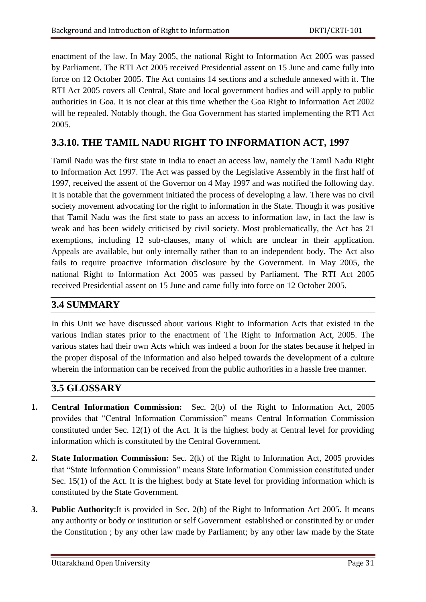enactment of the law. In May 2005, the national Right to Information Act 2005 was passed by Parliament. The RTI Act 2005 received Presidential assent on 15 June and came fully into force on 12 October 2005. The Act contains 14 sections and a schedule annexed with it. The RTI Act 2005 covers all Central, State and local government bodies and will apply to public authorities in Goa. It is not clear at this time whether the Goa Right to Information Act 2002 will be repealed. Notably though, the Goa Government has started implementing the RTI Act 2005.

## **3.3.10. THE TAMIL NADU RIGHT TO INFORMATION ACT, 1997**

Tamil Nadu was the first state in India to enact an access law, namely the Tamil Nadu Right to Information Act 1997. The Act was passed by the Legislative Assembly in the first half of 1997, received the assent of the Governor on 4 May 1997 and was notified the following day. It is notable that the government initiated the process of developing a law. There was no civil society movement advocating for the right to information in the State. Though it was positive that Tamil Nadu was the first state to pass an access to information law, in fact the law is weak and has been widely criticised by civil society. Most problematically, the Act has 21 exemptions, including 12 sub-clauses, many of which are unclear in their application. Appeals are available, but only internally rather than to an independent body. The Act also fails to require proactive information disclosure by the Government. In May 2005, the national Right to Information Act 2005 was passed by Parliament. The RTI Act 2005 received Presidential assent on 15 June and came fully into force on 12 October 2005.

## **3.4 SUMMARY**

In this Unit we have discussed about various Right to Information Acts that existed in the various Indian states prior to the enactment of The Right to Information Act, 2005. The various states had their own Acts which was indeed a boon for the states because it helped in the proper disposal of the information and also helped towards the development of a culture wherein the information can be received from the public authorities in a hassle free manner.

## **3.5 GLOSSARY**

- **1. Central Information Commission:** Sec. 2(b) of the Right to Information Act, 2005 provides that "Central Information Commission" means Central Information Commission constituted under Sec. 12(1) of the Act. It is the highest body at Central level for providing information which is constituted by the Central Government.
- **2. State Information Commission:** Sec. 2(k) of the Right to Information Act, 2005 provides that "State Information Commission" means State Information Commission constituted under Sec. 15(1) of the Act. It is the highest body at State level for providing information which is constituted by the State Government.
- **3. Public Authority**:It is provided in Sec. 2(h) of the Right to Information Act 2005. It means any authority or body or institution or self Government established or constituted by or under the Constitution ; by any other law made by Parliament; by any other law made by the State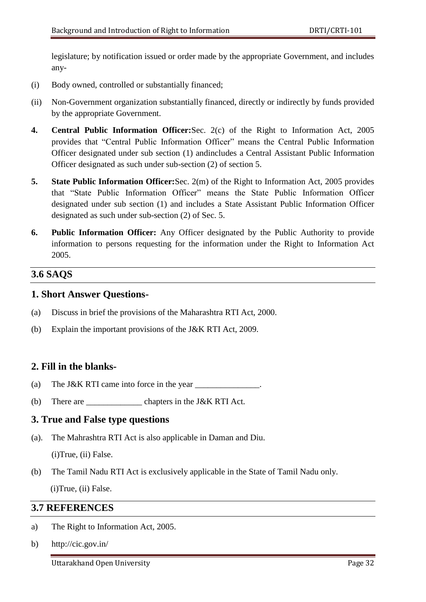legislature; by notification issued or order made by the appropriate Government, and includes any-

- (i) Body owned, controlled or substantially financed;
- (ii) Non-Government organization substantially financed, directly or indirectly by funds provided by the appropriate Government.
- **4. Central Public Information Officer:**Sec. 2(c) of the Right to Information Act, 2005 provides that "Central Public Information Officer" means the Central Public Information Officer designated under sub section (1) andincludes a Central Assistant Public Information Officer designated as such under sub-section (2) of section 5.
- **5. State Public Information Officer:**Sec. 2(m) of the Right to Information Act, 2005 provides that "State Public Information Officer" means the State Public Information Officer designated under sub section (1) and includes a State Assistant Public Information Officer designated as such under sub-section (2) of Sec. 5.
- **6. Public Information Officer:** Any Officer designated by the Public Authority to provide information to persons requesting for the information under the Right to Information Act 2005.

### **3.6 SAQS**

#### **1. Short Answer Questions-**

- (a) Discuss in brief the provisions of the Maharashtra RTI Act, 2000.
- (b) Explain the important provisions of the J&K RTI Act, 2009.

## **2. Fill in the blanks-**

- (a) The J&K RTI came into force in the year
- (b) There are  $\Box$  chapters in the J&K RTI Act.

#### **3. True and False type questions**

(a). The Mahrashtra RTI Act is also applicable in Daman and Diu.

(i)True, (ii) False.

(b) The Tamil Nadu RTI Act is exclusively applicable in the State of Tamil Nadu only.

(i)True, (ii) False.

#### **3.7 REFERENCES**

- a) The Right to Information Act, 2005.
- b) http://cic.gov.in/

Uttarakhand Open University **Page 32**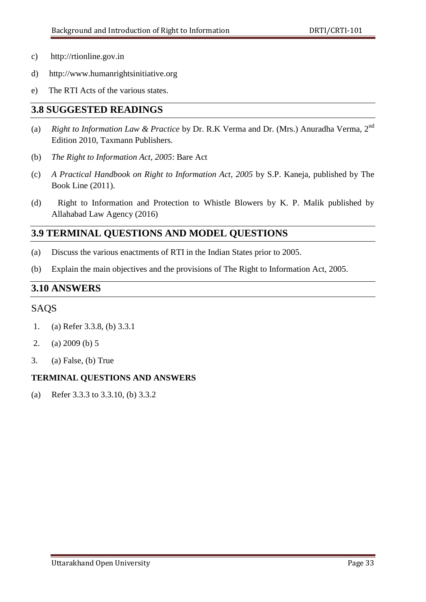- c) http://rtionline.gov.in
- d) http://www.humanrightsinitiative.org
- e) The RTI Acts of the various states.

#### **3.8 SUGGESTED READINGS**

- (a) *Right to Information Law & Practice* by Dr. R.K Verma and Dr. (Mrs.) Anuradha Verma, 2nd Edition 2010, Taxmann Publishers.
- (b) *The Right to Information Act, 2005*: Bare Act
- (c) *A Practical Handbook on Right to Information Act, 2005* by S.P. Kaneja, published by The Book Line (2011).
- (d) Right to Information and Protection to Whistle Blowers by K. P. Malik published by Allahabad Law Agency (2016)

#### **3.9 TERMINAL QUESTIONS AND MODEL QUESTIONS**

- (a) Discuss the various enactments of RTI in the Indian States prior to 2005.
- (b) Explain the main objectives and the provisions of The Right to Information Act, 2005.

### **3.10 ANSWERS**

#### SAQS

- 1. (a) Refer 3.3.8, (b) 3.3.1
- 2. (a) 2009 (b) 5
- 3. (a) False, (b) True

#### **TERMINAL QUESTIONS AND ANSWERS**

(a) Refer 3.3.3 to 3.3.10, (b) 3.3.2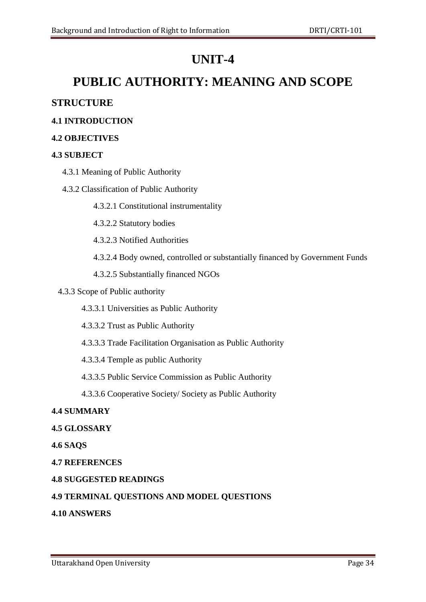## **UNIT-4**

## **PUBLIC AUTHORITY: MEANING AND SCOPE**

## **STRUCTURE**

### **4.1 INTRODUCTION**

#### **4.2 OBJECTIVES**

### **4.3 SUBJECT**

- 4.3.1 Meaning of Public Authority
- 4.3.2 Classification of Public Authority
	- 4.3.2.1 Constitutional instrumentality
	- 4.3.2.2 Statutory bodies
	- 4.3.2.3 Notified Authorities
	- 4.3.2.4 Body owned, controlled or substantially financed by Government Funds
	- 4.3.2.5 Substantially financed NGOs
- 4.3.3 Scope of Public authority
	- 4.3.3.1 Universities as Public Authority
	- 4.3.3.2 Trust as Public Authority
	- 4.3.3.3 Trade Facilitation Organisation as Public Authority
	- 4.3.3.4 Temple as public Authority
	- 4.3.3.5 Public Service Commission as Public Authority
	- 4.3.3.6 Cooperative Society/ Society as Public Authority

#### **4.4 SUMMARY**

- **4.5 GLOSSARY**
- **4.6 SAQS**
- **4.7 REFERENCES**

#### **4.8 SUGGESTED READINGS**

#### **4.9 TERMINAL QUESTIONS AND MODEL QUESTIONS**

#### **4.10 ANSWERS**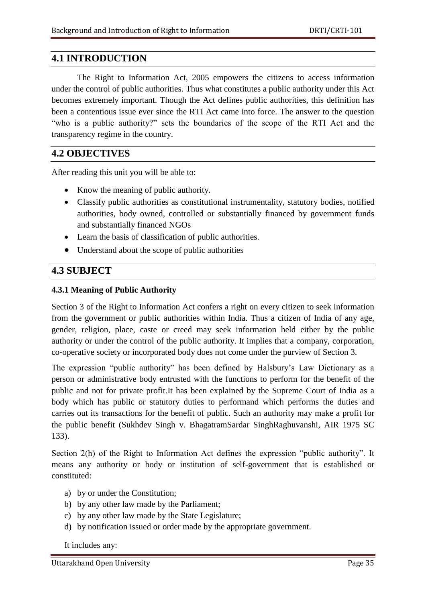#### **4.1 INTRODUCTION**

The Right to Information Act, 2005 empowers the citizens to access information under the control of public authorities. Thus what constitutes a public authority under this Act becomes extremely important. Though the Act defines public authorities, this definition has been a contentious issue ever since the RTI Act came into force. The answer to the question "who is a public authority?" sets the boundaries of the scope of the RTI Act and the transparency regime in the country.

## **4.2 OBJECTIVES**

After reading this unit you will be able to:

- Know the meaning of public authority.
- Classify public authorities as constitutional instrumentality, statutory bodies, notified authorities, body owned, controlled or substantially financed by government funds and substantially financed NGOs
- Learn the basis of classification of public authorities.
- Understand about the scope of public authorities

#### **4.3 SUBJECT**

#### **4.3.1 Meaning of Public Authority**

Section 3 of the Right to Information Act confers a right on every citizen to seek information from the government or public authorities within India. Thus a citizen of India of any age, gender, religion, place, caste or creed may seek information held either by the public authority or under the control of the public authority. It implies that a company, corporation, co-operative society or incorporated body does not come under the purview of Section 3.

The expression "public authority" has been defined by Halsbury's Law Dictionary as a person or administrative body entrusted with the functions to perform for the benefit of the public and not for private profit.It has been explained by the Supreme Court of India as a body which has public or statutory duties to performand which performs the duties and carries out its transactions for the benefit of public. Such an authority may make a profit for the public benefit (Sukhdev Singh v. BhagatramSardar SinghRaghuvanshi, AIR 1975 SC 133).

Section  $2(h)$  of the Right to Information Act defines the expression "public authority". It means any authority or body or institution of self-government that is established or constituted:

- a) by or under the Constitution;
- b) by any other law made by the Parliament;
- c) by any other law made by the State Legislature;
- d) by notification issued or order made by the appropriate government.

#### It includes any: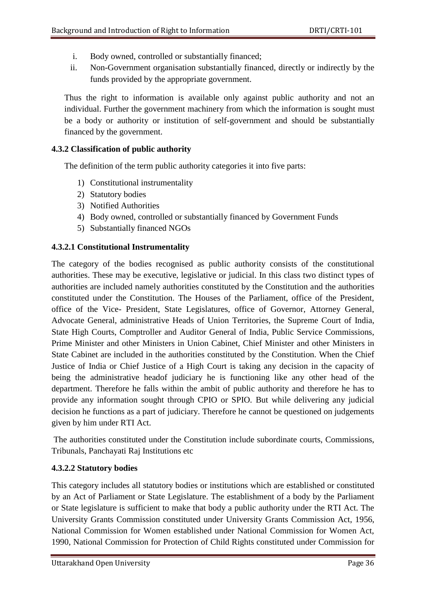- i. Body owned, controlled or substantially financed;
- ii. Non-Government organisation substantially financed, directly or indirectly by the funds provided by the appropriate government.

Thus the right to information is available only against public authority and not an individual. Further the government machinery from which the information is sought must be a body or authority or institution of self-government and should be substantially financed by the government.

#### **4.3.2 Classification of public authority**

The definition of the term public authority categories it into five parts:

- 1) Constitutional instrumentality
- 2) Statutory bodies
- 3) Notified Authorities
- 4) Body owned, controlled or substantially financed by Government Funds
- 5) Substantially financed NGOs

#### **4.3.2.1 Constitutional Instrumentality**

The category of the bodies recognised as public authority consists of the constitutional authorities. These may be executive, legislative or judicial. In this class two distinct types of authorities are included namely authorities constituted by the Constitution and the authorities constituted under the Constitution. The Houses of the Parliament, office of the President, office of the Vice- President, State Legislatures, office of Governor, Attorney General, Advocate General, administrative Heads of Union Territories, the Supreme Court of India, State High Courts, Comptroller and Auditor General of India, Public Service Commissions, Prime Minister and other Ministers in Union Cabinet, Chief Minister and other Ministers in State Cabinet are included in the authorities constituted by the Constitution. When the Chief Justice of India or Chief Justice of a High Court is taking any decision in the capacity of being the administrative headof judiciary he is functioning like any other head of the department. Therefore he falls within the ambit of public authority and therefore he has to provide any information sought through CPIO or SPIO. But while delivering any judicial decision he functions as a part of judiciary. Therefore he cannot be questioned on judgements given by him under RTI Act.

The authorities constituted under the Constitution include subordinate courts, Commissions, Tribunals, Panchayati Raj Institutions etc

#### **4.3.2.2 Statutory bodies**

This category includes all statutory bodies or institutions which are established or constituted by an Act of Parliament or State Legislature. The establishment of a body by the Parliament or State legislature is sufficient to make that body a public authority under the RTI Act. The University Grants Commission constituted under University Grants Commission Act, 1956, National Commission for Women established under National Commission for Women Act, 1990, National Commission for Protection of Child Rights constituted under Commission for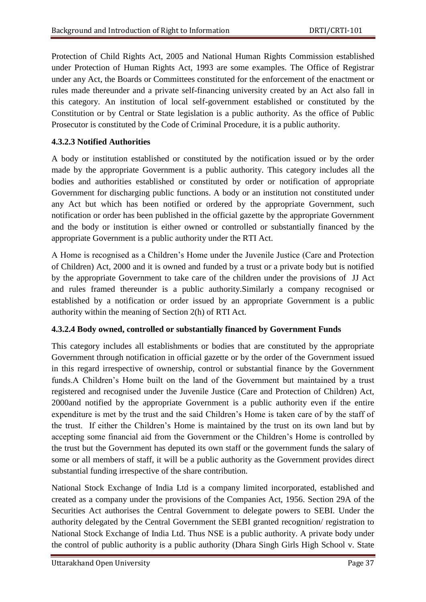Protection of Child Rights Act, 2005 and National Human Rights Commission established under Protection of Human Rights Act, 1993 are some examples. The Office of Registrar under any Act, the Boards or Committees constituted for the enforcement of the enactment or rules made thereunder and a private self-financing university created by an Act also fall in this category. An institution of local self-government established or constituted by the Constitution or by Central or State legislation is a public authority. As the office of Public Prosecutor is constituted by the Code of Criminal Procedure, it is a public authority.

#### **4.3.2.3 Notified Authorities**

A body or institution established or constituted by the notification issued or by the order made by the appropriate Government is a public authority. This category includes all the bodies and authorities established or constituted by order or notification of appropriate Government for discharging public functions. A body or an institution not constituted under any Act but which has been notified or ordered by the appropriate Government, such notification or order has been published in the official gazette by the appropriate Government and the body or institution is either owned or controlled or substantially financed by the appropriate Government is a public authority under the RTI Act.

A Home is recognised as a Children's Home under the Juvenile Justice (Care and Protection of Children) Act, 2000 and it is owned and funded by a trust or a private body but is notified by the appropriate Government to take care of the children under the provisions of JJ Act and rules framed thereunder is a public authority.Similarly a company recognised or established by a notification or order issued by an appropriate Government is a public authority within the meaning of Section 2(h) of RTI Act.

#### **4.3.2.4 Body owned, controlled or substantially financed by Government Funds**

This category includes all establishments or bodies that are constituted by the appropriate Government through notification in official gazette or by the order of the Government issued in this regard irrespective of ownership, control or substantial finance by the Government funds.A Children's Home built on the land of the Government but maintained by a trust registered and recognised under the Juvenile Justice (Care and Protection of Children) Act, 2000and notified by the appropriate Government is a public authority even if the entire expenditure is met by the trust and the said Children's Home is taken care of by the staff of the trust. If either the Children's Home is maintained by the trust on its own land but by accepting some financial aid from the Government or the Children's Home is controlled by the trust but the Government has deputed its own staff or the government funds the salary of some or all members of staff, it will be a public authority as the Government provides direct substantial funding irrespective of the share contribution.

National Stock Exchange of India Ltd is a company limited incorporated, established and created as a company under the provisions of the Companies Act, 1956. Section 29A of the Securities Act authorises the Central Government to delegate powers to SEBI. Under the authority delegated by the Central Government the SEBI granted recognition/ registration to National Stock Exchange of India Ltd. Thus NSE is a public authority. A private body under the control of public authority is a public authority (Dhara Singh Girls High School v. State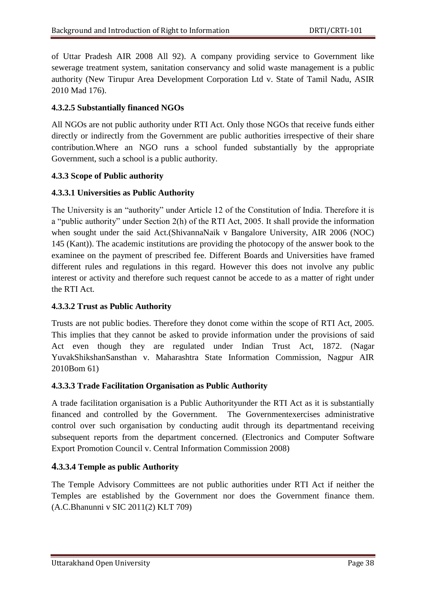of Uttar Pradesh AIR 2008 All 92). A company providing service to Government like sewerage treatment system, sanitation conservancy and solid waste management is a public authority (New Tirupur Area Development Corporation Ltd v. State of Tamil Nadu, ASIR 2010 Mad 176).

#### **4.3.2.5 Substantially financed NGOs**

All NGOs are not public authority under RTI Act. Only those NGOs that receive funds either directly or indirectly from the Government are public authorities irrespective of their share contribution.Where an NGO runs a school funded substantially by the appropriate Government, such a school is a public authority.

#### **4.3.3 Scope of Public authority**

#### **4.3.3.1 Universities as Public Authority**

The University is an "authority" under Article 12 of the Constitution of India. Therefore it is a "public authority" under Section 2(h) of the RTI Act, 2005. It shall provide the information when sought under the said Act.(ShivannaNaik v Bangalore University, AIR 2006 (NOC) 145 (Kant)). The academic institutions are providing the photocopy of the answer book to the examinee on the payment of prescribed fee. Different Boards and Universities have framed different rules and regulations in this regard. However this does not involve any public interest or activity and therefore such request cannot be accede to as a matter of right under the RTI Act.

## **4.3.3.2 Trust as Public Authority**

Trusts are not public bodies. Therefore they donot come within the scope of RTI Act, 2005. This implies that they cannot be asked to provide information under the provisions of said Act even though they are regulated under Indian Trust Act, 1872. (Nagar YuvakShikshanSansthan v. Maharashtra State Information Commission, Nagpur AIR 2010Bom 61)

#### **4.3.3.3 Trade Facilitation Organisation as Public Authority**

A trade facilitation organisation is a Public Authorityunder the RTI Act as it is substantially financed and controlled by the Government. The Governmentexercises administrative control over such organisation by conducting audit through its departmentand receiving subsequent reports from the department concerned. (Electronics and Computer Software Export Promotion Council v. Central Information Commission 2008)

## **4.3.3.4 Temple as public Authority**

The Temple Advisory Committees are not public authorities under RTI Act if neither the Temples are established by the Government nor does the Government finance them. (A.C.Bhanunni v SIC 2011(2) KLT 709)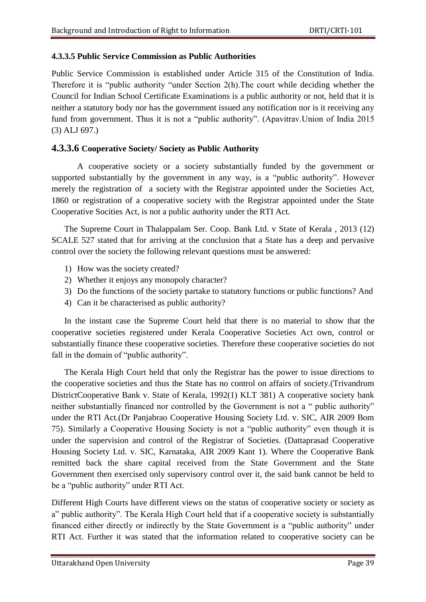### **4.3.3.5 Public Service Commission as Public Authorities**

Public Service Commission is established under Article 315 of the Constitution of India. Therefore it is "public authority "under Section  $2(h)$ . The court while deciding whether the Council for Indian School Certificate Examinations is a public authority or not, held that it is neither a statutory body nor has the government issued any notification nor is it receiving any fund from government. Thus it is not a "public authority". (Apavitrav. Union of India 2015 (3) ALJ 697.)

#### **4.3.3.6 Cooperative Society/ Society as Public Authority**

A cooperative society or a society substantially funded by the government or supported substantially by the government in any way, is a "public authority". However merely the registration of a society with the Registrar appointed under the Societies Act, 1860 or registration of a cooperative society with the Registrar appointed under the State Cooperative Socities Act, is not a public authority under the RTI Act.

The Supreme Court in Thalappalam Ser. Coop. Bank Ltd. v State of Kerala , 2013 (12) SCALE 527 stated that for arriving at the conclusion that a State has a deep and pervasive control over the society the following relevant questions must be answered:

- 1) How was the society created?
- 2) Whether it enjoys any monopoly character?
- 3) Do the functions of the society partake to statutory functions or public functions? And
- 4) Can it be characterised as public authority?

In the instant case the Supreme Court held that there is no material to show that the cooperative societies registered under Kerala Cooperative Societies Act own, control or substantially finance these cooperative societies. Therefore these cooperative societies do not fall in the domain of "public authority".

The Kerala High Court held that only the Registrar has the power to issue directions to the cooperative societies and thus the State has no control on affairs of society.(Trivandrum DistrictCooperative Bank v. State of Kerala, 1992(1) KLT 381) A cooperative society bank neither substantially financed nor controlled by the Government is not a " public authority" under the RTI Act.(Dr Panjabrao Cooperative Housing Society Ltd. v. SIC, AIR 2009 Bom 75). Similarly a Cooperative Housing Society is not a "public authority" even though it is under the supervision and control of the Registrar of Societies. (Dattaprasad Cooperative Housing Society Ltd. v. SIC, Karnataka, AIR 2009 Kant 1). Where the Cooperative Bank remitted back the share capital received from the State Government and the State Government then exercised only supervisory control over it, the said bank cannot be held to be a "public authority" under RTI Act.

Different High Courts have different views on the status of cooperative society or society as a" public authority". The Kerala High Court held that if a cooperative society is substantially financed either directly or indirectly by the State Government is a "public authority" under RTI Act. Further it was stated that the information related to cooperative society can be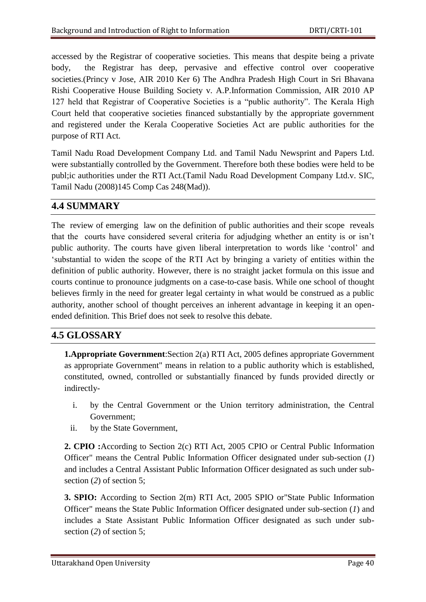accessed by the Registrar of cooperative societies. This means that despite being a private body, the Registrar has deep, pervasive and effective control over cooperative societies.(Princy v Jose, AIR 2010 Ker 6) The Andhra Pradesh High Court in Sri Bhavana Rishi Cooperative House Building Society v. A.P.Information Commission, AIR 2010 AP 127 held that Registrar of Cooperative Societies is a "public authority". The Kerala High Court held that cooperative societies financed substantially by the appropriate government and registered under the Kerala Cooperative Societies Act are public authorities for the purpose of RTI Act.

Tamil Nadu Road Development Company Ltd. and Tamil Nadu Newsprint and Papers Ltd. were substantially controlled by the Government. Therefore both these bodies were held to be publ;ic authorities under the RTI Act.(Tamil Nadu Road Development Company Ltd.v. SIC, Tamil Nadu (2008)145 Comp Cas 248(Mad)).

## **4.4 SUMMARY**

The review of emerging law on the definition of public authorities and their scope reveals that the courts have considered several criteria for adjudging whether an entity is or isn't public authority. The courts have given liberal interpretation to words like ‗control' and ‗substantial to widen the scope of the RTI Act by bringing a variety of entities within the definition of public authority. However, there is no straight jacket formula on this issue and courts continue to pronounce judgments on a case-to-case basis. While one school of thought believes firmly in the need for greater legal certainty in what would be construed as a public authority, another school of thought perceives an inherent advantage in keeping it an openended definition. This Brief does not seek to resolve this debate.

## **4.5 GLOSSARY**

**1.Appropriate Government**:Section 2(a) RTI Act, 2005 defines appropriate Government as appropriate Government" means in relation to a public authority which is established, constituted, owned, controlled or substantially financed by funds provided directly or indirectly-

- i. by the Central Government or the Union territory administration, the Central Government;
- ii. by the State Government,

**2. CPIO :**According to Section 2(c) RTI Act, 2005 CPIO or Central Public Information Officer" means the Central Public Information Officer designated under sub-section (*1*) and includes a Central Assistant Public Information Officer designated as such under subsection (*2*) of section 5;

**3. SPIO:** According to Section 2(m) RTI Act, 2005 SPIO or"State Public Information Officer" means the State Public Information Officer designated under sub-section (*1*) and includes a State Assistant Public Information Officer designated as such under subsection (*2*) of section 5;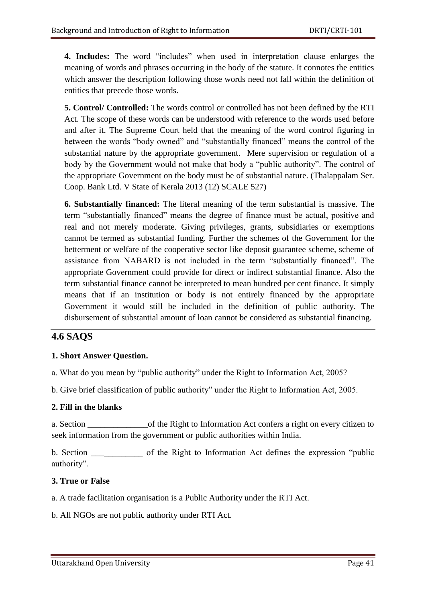**4. Includes:** The word "includes" when used in interpretation clause enlarges the meaning of words and phrases occurring in the body of the statute. It connotes the entities which answer the description following those words need not fall within the definition of entities that precede those words.

**5. Control/ Controlled:** The words control or controlled has not been defined by the RTI Act. The scope of these words can be understood with reference to the words used before and after it. The Supreme Court held that the meaning of the word control figuring in between the words "body owned" and "substantially financed" means the control of the substantial nature by the appropriate government. Mere supervision or regulation of a body by the Government would not make that body a "public authority". The control of the appropriate Government on the body must be of substantial nature. (Thalappalam Ser. Coop. Bank Ltd. V State of Kerala 2013 (12) SCALE 527)

**6. Substantially financed:** The literal meaning of the term substantial is massive. The term "substantially financed" means the degree of finance must be actual, positive and real and not merely moderate. Giving privileges, grants, subsidiaries or exemptions cannot be termed as substantial funding. Further the schemes of the Government for the betterment or welfare of the cooperative sector like deposit guarantee scheme, scheme of assistance from NABARD is not included in the term "substantially financed". The appropriate Government could provide for direct or indirect substantial finance. Also the term substantial finance cannot be interpreted to mean hundred per cent finance. It simply means that if an institution or body is not entirely financed by the appropriate Government it would still be included in the definition of public authority. The disbursement of substantial amount of loan cannot be considered as substantial financing.

# **4.6 SAQS**

#### **1. Short Answer Question.**

a. What do you mean by "public authority" under the Right to Information Act, 2005?

b. Give brief classification of public authority" under the Right to Information Act, 2005.

#### **2. Fill in the blanks**

a. Section of the Right to Information Act confers a right on every citizen to seek information from the government or public authorities within India.

b. Section \_\_\_\_\_\_\_\_ of the Right to Information Act defines the expression "public authority".

#### **3. True or False**

a. A trade facilitation organisation is a Public Authority under the RTI Act.

b. All NGOs are not public authority under RTI Act.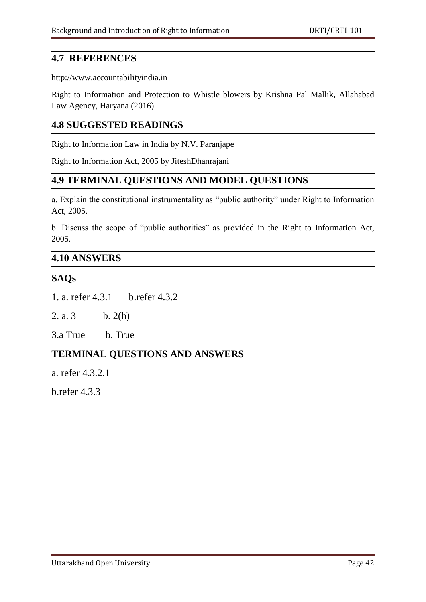## **4.7 REFERENCES**

http://www.accountabilityindia.in

Right to Information and Protection to Whistle blowers by Krishna Pal Mallik, Allahabad Law Agency, Haryana (2016)

## **4.8 SUGGESTED READINGS**

Right to Information Law in India by [N.V. Paranjape](https://www.amazon.in/s/ref=dp_byline_sr_book_1?ie=UTF8&field-author=N.V.+Paranjape&search-alias=stripbooks)

Right to Information Act, 2005 by [JiteshDhanrajani](https://www.amazon.in/s/ref=dp_byline_sr_book_1?ie=UTF8&field-author=Jitesh+Dhanrajani&search-alias=stripbooks)

## **4.9 TERMINAL QUESTIONS AND MODEL QUESTIONS**

a. Explain the constitutional instrumentality as "public authority" under Right to Information Act, 2005.

b. Discuss the scope of "public authorities" as provided in the Right to Information Act, 2005.

## **4.10 ANSWERS**

## **SAQs**

1. a. refer 4.3.1 b.refer 4.3.2

2. a. 3 b.  $2(h)$ 

3.a True b. True

# **TERMINAL QUESTIONS AND ANSWERS**

a. refer 4.3.2.1

b.refer 4.3.3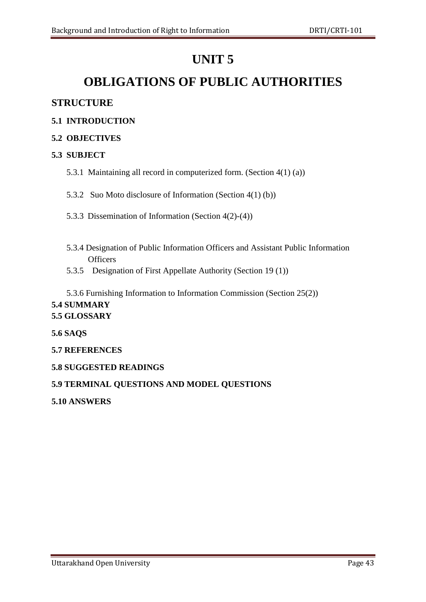# **UNIT 5**

# **OBLIGATIONS OF PUBLIC AUTHORITIES**

## **STRUCTURE**

**5.1 INTRODUCTION**

## **5.2 OBJECTIVES**

## **5.3 SUBJECT**

- 5.3.1 Maintaining all record in computerized form. (Section 4(1) (a))
- 5.3.2 Suo Moto disclosure of Information (Section 4(1) (b))
- 5.3.3Dissemination of Information (Section 4(2)-(4))
- 5.3.4 Designation of Public Information Officers and Assistant Public Information **Officers**
- 5.3.5 Designation of First Appellate Authority (Section 19 (1))
- 5.3.6 Furnishing Information to Information Commission (Section 25(2))

#### **5.4 SUMMARY 5.5 GLOSSARY**

## **5.6 SAQS**

**5.7 REFERENCES**

**5.8 SUGGESTED READINGS**

## **5.9 TERMINAL QUESTIONS AND MODEL QUESTIONS**

**5.10 ANSWERS**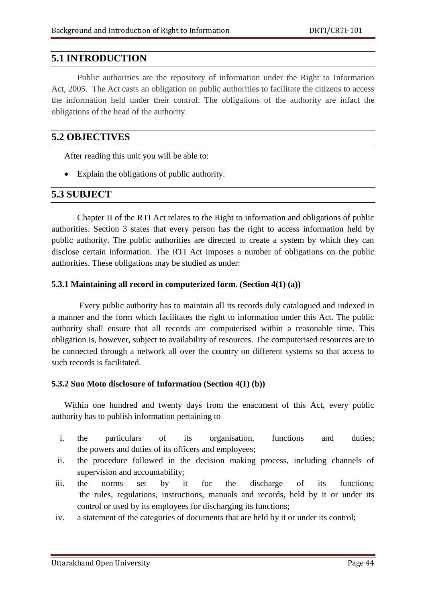## **5.1 INTRODUCTION**

Public authorities are the repository of information under the Right to Information Act, 2005. The Act casts an obligation on public authorities to facilitate the citizens to access the information held under their control. The obligations of the authority are infact the obligations of the head of the authority.

## **5.2 OBJECTIVES**

After reading this unit you will be able to:

Explain the obligations of public authority.

## **5.3 SUBJECT**

Chapter II of the RTI Act relates to the Right to information and obligations of public authorities. Section 3 states that every person has the right to access information held by public authority. The public authorities are directed to create a system by which they can disclose certain information. The RTI Act imposes a number of obligations on the public authorities. These obligations may be studied as under:

#### **5.3.1 Maintaining all record in computerized form. (Section 4(1) (a))**

Every public authority has to maintain all its records duly catalogued and indexed in a manner and the form which facilitates the right to information under this Act. The public authority shall ensure that all records are computerised within a reasonable time. This obligation is, however, subject to availability of resources. The computerised resources are to be connected through a network all over the country on different systems so that access to such records is facilitated.

#### **5.3.2 Suo Moto disclosure of Information (Section 4(1) (b))**

Within one hundred and twenty days from the enactment of this Act, every public authority has to publish information pertaining to

- i. the particulars of its organisation, functions and duties; the powers and duties of its officers and employees;
- ii. the procedure followed in the decision making process, including channels of supervision and accountability;
- iii. the norms set by it for the discharge of its functions; the rules, regulations, instructions, manuals and records, held by it or under its control or used by its employees for discharging its functions;
- iv. a statement of the categories of documents that are held by it or under its control;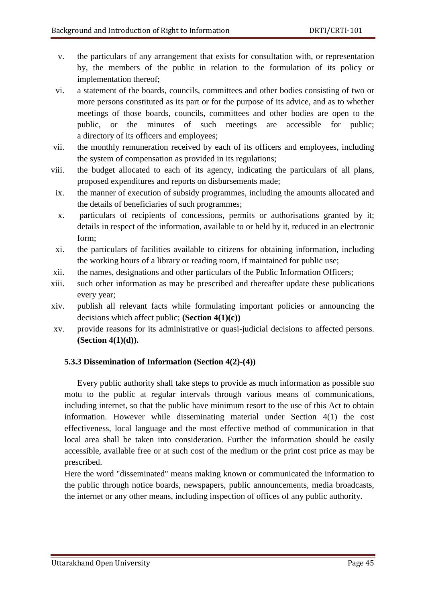- v. the particulars of any arrangement that exists for consultation with, or representation by, the members of the public in relation to the formulation of its policy or implementation thereof;
- vi. a statement of the boards, councils, committees and other bodies consisting of two or more persons constituted as its part or for the purpose of its advice, and as to whether meetings of those boards, councils, committees and other bodies are open to the public, or the minutes of such meetings are accessible for public; a directory of its officers and employees;
- vii. the monthly remuneration received by each of its officers and employees, including the system of compensation as provided in its regulations;
- viii. the budget allocated to each of its agency, indicating the particulars of all plans, proposed expenditures and reports on disbursements made;
- ix. the manner of execution of subsidy programmes, including the amounts allocated and the details of beneficiaries of such programmes;
- x. particulars of recipients of concessions, permits or authorisations granted by it; details in respect of the information, available to or held by it, reduced in an electronic form;
- xi. the particulars of facilities available to citizens for obtaining information, including the working hours of a library or reading room, if maintained for public use;
- xii. the names, designations and other particulars of the Public Information Officers;
- xiii. such other information as may be prescribed and thereafter update these publications every year;
- xiv. publish all relevant facts while formulating important policies or announcing the decisions which affect public; **(Section 4(1)(c))**
- xv. provide reasons for its administrative or quasi-judicial decisions to affected persons. **(Section 4(1)(d)).**

## **5.3.3 Dissemination of Information (Section 4(2)-(4))**

Every public authority shall take steps to provide as much information as possible suo motu to the public at regular intervals through various means of communications, including internet, so that the public have minimum resort to the use of this Act to obtain information. However while disseminating material under Section 4(1) the cost effectiveness, local language and the most effective method of communication in that local area shall be taken into consideration. Further the information should be easily accessible, available free or at such cost of the medium or the print cost price as may be prescribed.

Here the word "disseminated" means making known or communicated the information to the public through notice boards, newspapers, public announcements, media broadcasts, the internet or any other means, including inspection of offices of any public authority.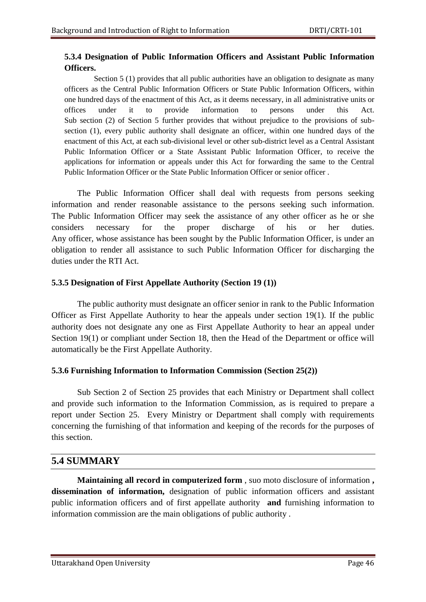## **5.3.4 Designation of Public Information Officers and Assistant Public Information Officers.**

Section 5 (1) provides that all public authorities have an obligation to designate as many officers as the Central Public Information Officers or State Public Information Officers, within one hundred days of the enactment of this Act, as it deems necessary, in all administrative units or offices under it to provide information to persons under this Act. Sub section (2) of Section 5 further provides that without prejudice to the provisions of subsection (1), every public authority shall designate an officer, within one hundred days of the enactment of this Act, at each sub-divisional level or other sub-district level as a Central Assistant Public Information Officer or a State Assistant Public Information Officer, to receive the applications for information or appeals under this Act for forwarding the same to the Central Public Information Officer or the State Public Information Officer or senior officer.

The Public Information Officer shall deal with requests from persons seeking information and render reasonable assistance to the persons seeking such information. The Public Information Officer may seek the assistance of any other officer as he or she considers necessary for the proper discharge of his or her duties. Any officer, whose assistance has been sought by the Public Information Officer, is under an obligation to render all assistance to such Public Information Officer for discharging the duties under the RTI Act.

#### **5.3.5 Designation of First Appellate Authority (Section 19 (1))**

The public authority must designate an officer senior in rank to the Public Information Officer as First Appellate Authority to hear the appeals under section 19(1). If the public authority does not designate any one as First Appellate Authority to hear an appeal under Section 19(1) or compliant under Section 18, then the Head of the Department or office will automatically be the First Appellate Authority.

## **5.3.6 Furnishing Information to Information Commission (Section 25(2))**

Sub Section 2 of Section 25 provides that each Ministry or Department shall collect and provide such information to the Information Commission, as is required to prepare a report under Section 25. Every Ministry or Department shall comply with requirements concerning the furnishing of that information and keeping of the records for the purposes of this section.

## **5.4 SUMMARY**

**Maintaining all record in computerized form** , suo moto disclosure of information **, dissemination of information,** designation of public information officers and assistant public information officers and of first appellate authority **and** furnishing information to information commission are the main obligations of public authority .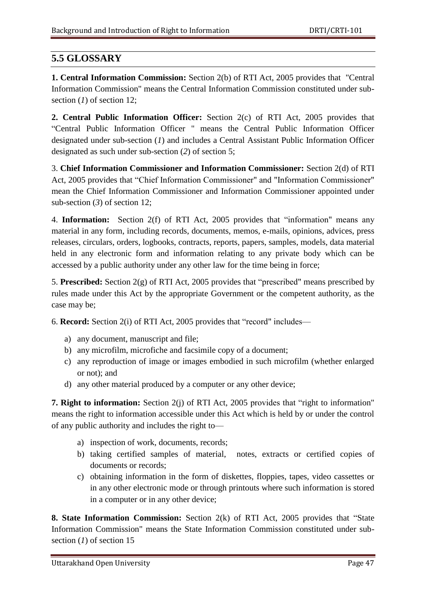# **5.5 GLOSSARY**

**1. Central Information Commission:** Section 2(b) of RTI Act, 2005 provides that "Central Information Commission" means the Central Information Commission constituted under subsection (*1*) of section 12;

**2. Central Public Information Officer:** Section 2(c) of RTI Act, 2005 provides that ―Central Public Information Officer " means the Central Public Information Officer designated under sub-section (*1*) and includes a Central Assistant Public Information Officer designated as such under sub-section (*2*) of section 5;

3. **Chief Information Commissioner and Information Commissioner:** Section 2(d) of RTI Act, 2005 provides that "Chief Information Commissioner" and "Information Commissioner" mean the Chief Information Commissioner and Information Commissioner appointed under sub-section (*3*) of section 12;

4. **Information:** Section 2(f) of RTI Act, 2005 provides that "information" means any material in any form, including records, documents, memos, e-mails, opinions, advices, press releases, circulars, orders, logbooks, contracts, reports, papers, samples, models, data material held in any electronic form and information relating to any private body which can be accessed by a public authority under any other law for the time being in force;

5. **Prescribed:** Section  $2(g)$  of RTI Act, 2005 provides that "prescribed" means prescribed by rules made under this Act by the appropriate Government or the competent authority, as the case may be;

6. **Record:** Section 2(i) of RTI Act, 2005 provides that "record" includes—

- a) any document, manuscript and file;
- b) any microfilm, microfiche and facsimile copy of a document;
- c) any reproduction of image or images embodied in such microfilm (whether enlarged or not); and
- d) any other material produced by a computer or any other device;

**7. Right to information:** Section 2(j) of RTI Act, 2005 provides that "right to information" means the right to information accessible under this Act which is held by or under the control of any public authority and includes the right to—

- a) inspection of work, documents, records;
- b) taking certified samples of material, notes, extracts or certified copies of documents or records;
- c) obtaining information in the form of diskettes, floppies, tapes, video cassettes or in any other electronic mode or through printouts where such information is stored in a computer or in any other device;

**8. State Information Commission:** Section 2(k) of RTI Act, 2005 provides that "State Information Commission" means the State Information Commission constituted under subsection (*1*) of section 15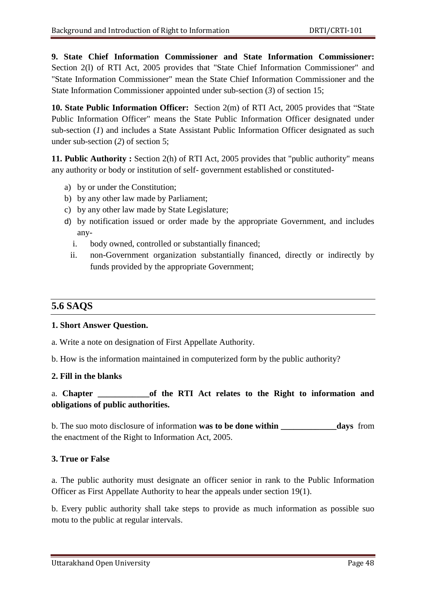**9. State Chief Information Commissioner and State Information Commissioner:**  Section 2(l) of RTI Act, 2005 provides that "State Chief Information Commissioner" and "State Information Commissioner" mean the State Chief Information Commissioner and the State Information Commissioner appointed under sub-section (*3*) of section 15;

**10. State Public Information Officer:** Section 2(m) of RTI Act, 2005 provides that "State" Public Information Officer" means the State Public Information Officer designated under sub-section (*I*) and includes a State Assistant Public Information Officer designated as such under sub-section (*2*) of section 5;

**11. Public Authority :** Section 2(h) of RTI Act, 2005 provides that "public authority" means any authority or body or institution of self- government established or constituted-

- a) by or under the Constitution;
- b) by any other law made by Parliament;
- c) by any other law made by State Legislature;
- d) by notification issued or order made by the appropriate Government, and includes any
	- i. body owned, controlled or substantially financed;
	- ii. non-Government organization substantially financed, directly or indirectly by funds provided by the appropriate Government;

## **5.6 SAQS**

#### **1. Short Answer Question.**

- a. Write a note on designation of First Appellate Authority.
- b. How is the information maintained in computerized form by the public authority?

#### **2. Fill in the blanks**

#### a. **Chapter \_\_\_\_\_\_\_\_\_\_\_\_of the RTI Act relates to the Right to information and obligations of public authorities.**

b. The suo moto disclosure of information **was to be done within \_\_\_\_\_\_\_\_\_\_\_\_\_days** from the enactment of the Right to Information Act, 2005.

#### **3. True or False**

a. The public authority must designate an officer senior in rank to the Public Information Officer as First Appellate Authority to hear the appeals under section 19(1).

b. Every public authority shall take steps to provide as much information as possible suo motu to the public at regular intervals.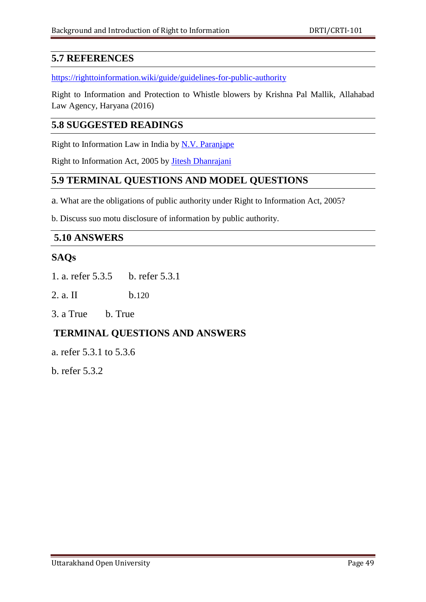## **5.7 REFERENCES**

<https://righttoinformation.wiki/guide/guidelines-for-public-authority>

Right to Information and Protection to Whistle blowers by Krishna Pal Mallik, Allahabad Law Agency, Haryana (2016)

## **5.8 SUGGESTED READINGS**

Right to Information Law in India by [N.V. Paranjape](https://www.amazon.in/s/ref=dp_byline_sr_book_1?ie=UTF8&field-author=N.V.+Paranjape&search-alias=stripbooks)

Right to Information Act, 2005 by [Jitesh Dhanrajani](https://www.amazon.in/s/ref=dp_byline_sr_book_1?ie=UTF8&field-author=Jitesh+Dhanrajani&search-alias=stripbooks)

## **5.9 TERMINAL QUESTIONS AND MODEL QUESTIONS**

a. What are the obligations of public authority under Right to Information Act, 2005?

b. Discuss suo motu disclosure of information by public authority.

## **5.10 ANSWERS**

#### **SAQs**

1. a. refer 5.3.5 b. refer 5.3.1

2. a. II b.120

3. a True b. True

## **TERMINAL QUESTIONS AND ANSWERS**

a. refer 5.3.1 to 5.3.6

b. refer 5.3.2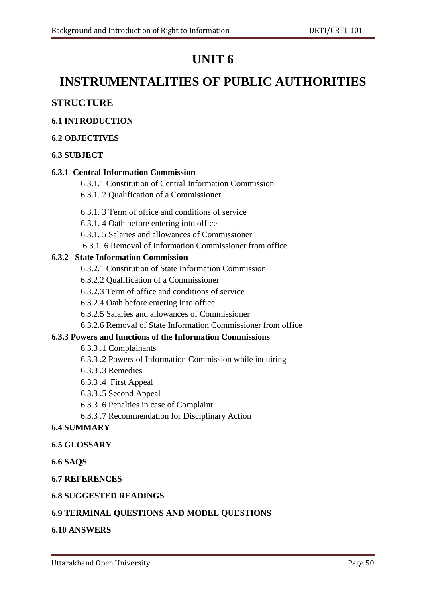# **UNIT 6**

# **INSTRUMENTALITIES OF PUBLIC AUTHORITIES**

## **STRUCTURE**

## **6.1 INTRODUCTION**

#### **6.2 OBJECTIVES**

### **6.3 SUBJECT**

#### **6.3.1 Central Information Commission**

- 6.3.1.1 Constitution of Central Information Commission
- 6.3.1. 2 Qualification of a Commissioner
- 6.3.1. 3 Term of office and conditions of service
- 6.3.1. 4 Oath before entering into office
- 6.3.1. 5 Salaries and allowances of Commissioner
- 6.3.1. 6 Removal of Information Commissioner from office

#### **6.3.2 State Information Commission**

- 6.3.2.1 Constitution of State Information Commission
- 6.3.2.2 Qualification of a Commissioner
- 6.3.2.3 Term of office and conditions of service
- 6.3.2.4 Oath before entering into office
- 6.3.2.5 Salaries and allowances of Commissioner
- 6.3.2.6 Removal of State Information Commissioner from office

#### **6.3.3 Powers and functions of the Information Commissions**

- 6.3.3 .1 Complainants
- 6.3.3 .2 Powers of Information Commission while inquiring
- 6.3.3 .3 Remedies
- 6.3.3 .4 First Appeal
- 6.3.3 .5 Second Appeal
- 6.3.3 .6 Penalties in case of Complaint
- 6.3.3 .7 Recommendation for Disciplinary Action

#### **6.4 SUMMARY**

#### **6.5 GLOSSARY**

#### **6.6 SAQS**

#### **6.7 REFERENCES**

#### **6.8 SUGGESTED READINGS**

## **6.9 TERMINAL QUESTIONS AND MODEL QUESTIONS**

#### **6.10 ANSWERS**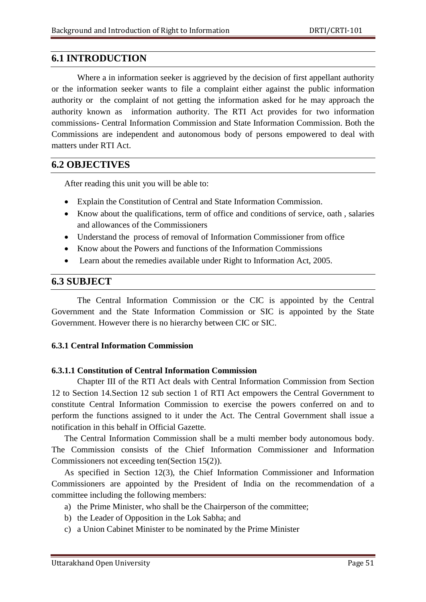## **6.1 INTRODUCTION**

Where a in information seeker is aggrieved by the decision of first appellant authority or the information seeker wants to file a complaint either against the public information authority or the complaint of not getting the information asked for he may approach the authority known as information authority. The RTI Act provides for two information commissions- Central Information Commission and State Information Commission. Both the Commissions are independent and autonomous body of persons empowered to deal with matters under RTI Act.

## **6.2 OBJECTIVES**

After reading this unit you will be able to:

- Explain the Constitution of Central and State Information Commission.
- Know about the qualifications, term of office and conditions of service, oath , salaries and allowances of the Commissioners
- Understand the process of removal of Information Commissioner from office
- Know about the Powers and functions of the Information Commissions
- Learn about the remedies available under Right to Information Act, 2005.

#### **6.3 SUBJECT**

The Central Information Commission or the CIC is appointed by the Central Government and the State Information Commission or SIC is appointed by the State Government. However there is no hierarchy between CIC or SIC.

#### **6.3.1 Central Information Commission**

#### **6.3.1.1 Constitution of Central Information Commission**

Chapter III of the RTI Act deals with Central Information Commission from Section 12 to Section 14.Section 12 sub section 1 of RTI Act empowers the Central Government to constitute Central Information Commission to exercise the powers conferred on and to perform the functions assigned to it under the Act. The Central Government shall issue a notification in this behalf in Official Gazette.

The Central Information Commission shall be a multi member body autonomous body. The Commission consists of the Chief Information Commissioner and Information Commissioners not exceeding ten(Section 15(2)).

As specified in Section 12(3), the Chief Information Commissioner and Information Commissioners are appointed by the President of India on the recommendation of a committee including the following members:

- a) the Prime Minister, who shall be the Chairperson of the committee;
- b) the Leader of Opposition in the Lok Sabha; and
- c) a Union Cabinet Minister to be nominated by the Prime Minister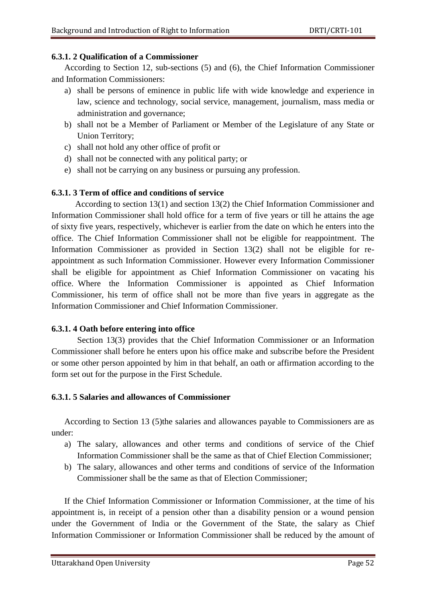#### **6.3.1. 2 Qualification of a Commissioner**

According to Section 12, sub-sections (5) and (6), the Chief Information Commissioner and Information Commissioners:

- a) shall be persons of eminence in public life with wide knowledge and experience in law, science and technology, social service, management, journalism, mass media or administration and governance;
- b) shall not be a Member of Parliament or Member of the Legislature of any State or Union Territory;
- c) shall not hold any other office of profit or
- d) shall not be connected with any political party; or
- e) shall not be carrying on any business or pursuing any profession.

#### **6.3.1. 3 Term of office and conditions of service**

 According to section 13(1) and section 13(2) the Chief Information Commissioner and Information Commissioner shall hold office for a term of five years or till he attains the age of sixty five years, respectively, whichever is earlier from the date on which he enters into the office. The Chief Information Commissioner shall not be eligible for reappointment. The Information Commissioner as provided in Section 13(2) shall not be eligible for reappointment as such Information Commissioner. However every Information Commissioner shall be eligible for appointment as Chief Information Commissioner on vacating his office. Where the Information Commissioner is appointed as Chief Information Commissioner, his term of office shall not be more than five years in aggregate as the Information Commissioner and Chief Information Commissioner.

#### **6.3.1. 4 Oath before entering into office**

Section 13(3) provides that the Chief Information Commissioner or an Information Commissioner shall before he enters upon his office make and subscribe before the President or some other person appointed by him in that behalf, an oath or affirmation according to the form set out for the purpose in the First Schedule.

#### **6.3.1. 5 Salaries and allowances of Commissioner**

According to Section 13 (5)the salaries and allowances payable to Commissioners are as under:

- a) The salary, allowances and other terms and conditions of service of the Chief Information Commissioner shall be the same as that of Chief Election Commissioner;
- b) The salary, allowances and other terms and conditions of service of the Information Commissioner shall be the same as that of Election Commissioner;

If the Chief Information Commissioner or Information Commissioner, at the time of his appointment is, in receipt of a pension other than a disability pension or a wound pension under the Government of India or the Government of the State, the salary as Chief Information Commissioner or Information Commissioner shall be reduced by the amount of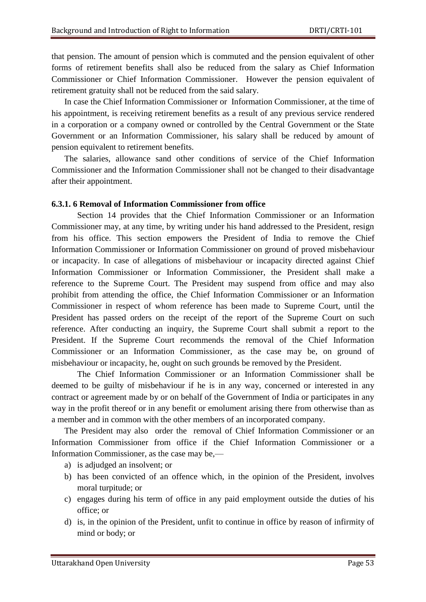that pension. The amount of pension which is commuted and the pension equivalent of other forms of retirement benefits shall also be reduced from the salary as Chief Information Commissioner or Chief Information Commissioner. However the pension equivalent of retirement gratuity shall not be reduced from the said salary.

In case the Chief Information Commissioner or Information Commissioner, at the time of his appointment, is receiving retirement benefits as a result of any previous service rendered in a corporation or a company owned or controlled by the Central Government or the State Government or an Information Commissioner, his salary shall be reduced by amount of pension equivalent to retirement benefits.

The salaries, allowance sand other conditions of service of the Chief Information Commissioner and the Information Commissioner shall not be changed to their disadvantage after their appointment.

#### **6.3.1. 6 Removal of Information Commissioner from office**

Section 14 provides that the Chief Information Commissioner or an Information Commissioner may, at any time, by writing under his hand addressed to the President, resign from his office. This section empowers the President of India to remove the Chief Information Commissioner or Information Commissioner on ground of proved misbehaviour or incapacity. In case of allegations of misbehaviour or incapacity directed against Chief Information Commissioner or Information Commissioner, the President shall make a reference to the Supreme Court. The President may suspend from office and may also prohibit from attending the office, the Chief Information Commissioner or an Information Commissioner in respect of whom reference has been made to Supreme Court, until the President has passed orders on the receipt of the report of the Supreme Court on such reference. After conducting an inquiry, the Supreme Court shall submit a report to the President. If the Supreme Court recommends the removal of the Chief Information Commissioner or an Information Commissioner, as the case may be, on ground of misbehaviour or incapacity, he, ought on such grounds be removed by the President.

The Chief Information Commissioner or an Information Commissioner shall be deemed to be guilty of misbehaviour if he is in any way, concerned or interested in any contract or agreement made by or on behalf of the Government of India or participates in any way in the profit thereof or in any benefit or emolument arising there from otherwise than as a member and in common with the other members of an incorporated company.

The President may also order the removal of Chief Information Commissioner or an Information Commissioner from office if the Chief Information Commissioner or a Information Commissioner, as the case may be,—

- a) is adjudged an insolvent; or
- b) has been convicted of an offence which, in the opinion of the President, involves moral turpitude; or
- c) engages during his term of office in any paid employment outside the duties of his office; or
- d) is, in the opinion of the President, unfit to continue in office by reason of infirmity of mind or body; or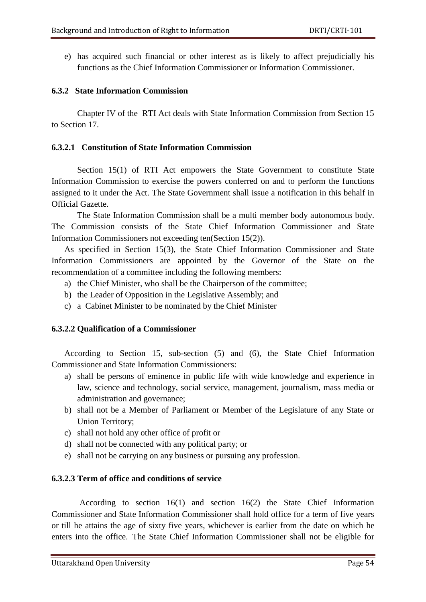e) has acquired such financial or other interest as is likely to affect prejudicially his functions as the Chief Information Commissioner or Information Commissioner.

#### **6.3.2 State Information Commission**

Chapter IV of the RTI Act deals with State Information Commission from Section 15 to Section 17.

#### **6.3.2.1 Constitution of State Information Commission**

Section 15(1) of RTI Act empowers the State Government to constitute State Information Commission to exercise the powers conferred on and to perform the functions assigned to it under the Act. The State Government shall issue a notification in this behalf in Official Gazette.

The State Information Commission shall be a multi member body autonomous body. The Commission consists of the State Chief Information Commissioner and State Information Commissioners not exceeding ten(Section 15(2)).

As specified in Section 15(3), the State Chief Information Commissioner and State Information Commissioners are appointed by the Governor of the State on the recommendation of a committee including the following members:

- a) the Chief Minister, who shall be the Chairperson of the committee;
- b) the Leader of Opposition in the Legislative Assembly; and
- c) a Cabinet Minister to be nominated by the Chief Minister

#### **6.3.2.2 Qualification of a Commissioner**

According to Section 15, sub-section (5) and (6), the State Chief Information Commissioner and State Information Commissioners:

- a) shall be persons of eminence in public life with wide knowledge and experience in law, science and technology, social service, management, journalism, mass media or administration and governance;
- b) shall not be a Member of Parliament or Member of the Legislature of any State or Union Territory;
- c) shall not hold any other office of profit or
- d) shall not be connected with any political party; or
- e) shall not be carrying on any business or pursuing any profession.

#### **6.3.2.3 Term of office and conditions of service**

 According to section 16(1) and section 16(2) the State Chief Information Commissioner and State Information Commissioner shall hold office for a term of five years or till he attains the age of sixty five years, whichever is earlier from the date on which he enters into the office. The State Chief Information Commissioner shall not be eligible for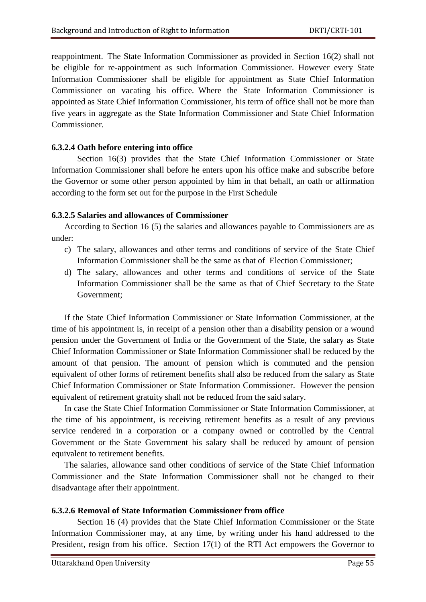reappointment. The State Information Commissioner as provided in Section 16(2) shall not be eligible for re-appointment as such Information Commissioner. However every State Information Commissioner shall be eligible for appointment as State Chief Information Commissioner on vacating his office. Where the State Information Commissioner is appointed as State Chief Information Commissioner, his term of office shall not be more than five years in aggregate as the State Information Commissioner and State Chief Information Commissioner.

#### **6.3.2.4 Oath before entering into office**

Section 16(3) provides that the State Chief Information Commissioner or State Information Commissioner shall before he enters upon his office make and subscribe before the Governor or some other person appointed by him in that behalf, an oath or affirmation according to the form set out for the purpose in the First Schedule

#### **6.3.2.5 Salaries and allowances of Commissioner**

According to Section 16 (5) the salaries and allowances payable to Commissioners are as under:

- c) The salary, allowances and other terms and conditions of service of the State Chief Information Commissioner shall be the same as that of Election Commissioner;
- d) The salary, allowances and other terms and conditions of service of the State Information Commissioner shall be the same as that of Chief Secretary to the State Government;

If the State Chief Information Commissioner or State Information Commissioner, at the time of his appointment is, in receipt of a pension other than a disability pension or a wound pension under the Government of India or the Government of the State, the salary as State Chief Information Commissioner or State Information Commissioner shall be reduced by the amount of that pension. The amount of pension which is commuted and the pension equivalent of other forms of retirement benefits shall also be reduced from the salary as State Chief Information Commissioner or State Information Commissioner. However the pension equivalent of retirement gratuity shall not be reduced from the said salary.

In case the State Chief Information Commissioner or State Information Commissioner, at the time of his appointment, is receiving retirement benefits as a result of any previous service rendered in a corporation or a company owned or controlled by the Central Government or the State Government his salary shall be reduced by amount of pension equivalent to retirement benefits.

The salaries, allowance sand other conditions of service of the State Chief Information Commissioner and the State Information Commissioner shall not be changed to their disadvantage after their appointment.

#### **6.3.2.6 Removal of State Information Commissioner from office**

Section 16 (4) provides that the State Chief Information Commissioner or the State Information Commissioner may, at any time, by writing under his hand addressed to the President, resign from his office. Section 17(1) of the RTI Act empowers the Governor to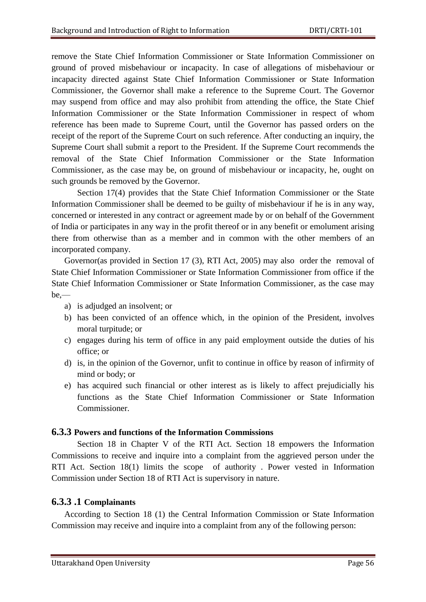remove the State Chief Information Commissioner or State Information Commissioner on ground of proved misbehaviour or incapacity. In case of allegations of misbehaviour or incapacity directed against State Chief Information Commissioner or State Information Commissioner, the Governor shall make a reference to the Supreme Court. The Governor may suspend from office and may also prohibit from attending the office, the State Chief Information Commissioner or the State Information Commissioner in respect of whom reference has been made to Supreme Court, until the Governor has passed orders on the receipt of the report of the Supreme Court on such reference. After conducting an inquiry, the Supreme Court shall submit a report to the President. If the Supreme Court recommends the removal of the State Chief Information Commissioner or the State Information Commissioner, as the case may be, on ground of misbehaviour or incapacity, he, ought on such grounds be removed by the Governor.

Section 17(4) provides that the State Chief Information Commissioner or the State Information Commissioner shall be deemed to be guilty of misbehaviour if he is in any way, concerned or interested in any contract or agreement made by or on behalf of the Government of India or participates in any way in the profit thereof or in any benefit or emolument arising there from otherwise than as a member and in common with the other members of an incorporated company.

Governor(as provided in Section 17 (3), RTI Act, 2005) may also order the removal of State Chief Information Commissioner or State Information Commissioner from office if the State Chief Information Commissioner or State Information Commissioner, as the case may be,—

- a) is adjudged an insolvent; or
- b) has been convicted of an offence which, in the opinion of the President, involves moral turpitude; or
- c) engages during his term of office in any paid employment outside the duties of his office; or
- d) is, in the opinion of the Governor, unfit to continue in office by reason of infirmity of mind or body; or
- e) has acquired such financial or other interest as is likely to affect prejudicially his functions as the State Chief Information Commissioner or State Information Commissioner.

#### **6.3.3 Powers and functions of the Information Commissions**

Section 18 in Chapter V of the RTI Act. Section 18 empowers the Information Commissions to receive and inquire into a complaint from the aggrieved person under the RTI Act. Section 18(1) limits the scope of authority . Power vested in Information Commission under Section 18 of RTI Act is supervisory in nature.

#### **6.3.3 .1 Complainants**

According to Section 18 (1) the Central Information Commission or State Information Commission may receive and inquire into a complaint from any of the following person: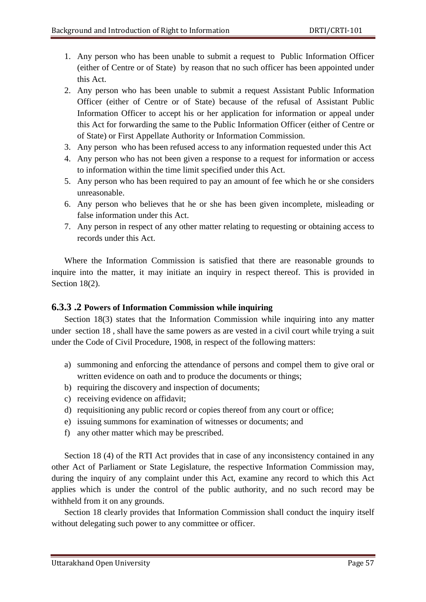- 1. Any person who has been unable to submit a request to Public Information Officer (either of Centre or of State) by reason that no such officer has been appointed under this Act.
- 2. Any person who has been unable to submit a request Assistant Public Information Officer (either of Centre or of State) because of the refusal of Assistant Public Information Officer to accept his or her application for information or appeal under this Act for forwarding the same to the Public Information Officer (either of Centre or of State) or First Appellate Authority or Information Commission.
- 3. Any person who has been refused access to any information requested under this Act
- 4. Any person who has not been given a response to a request for information or access to information within the time limit specified under this Act.
- 5. Any person who has been required to pay an amount of fee which he or she considers unreasonable.
- 6. Any person who believes that he or she has been given incomplete, misleading or false information under this Act.
- 7. Any person in respect of any other matter relating to requesting or obtaining access to records under this Act.

Where the Information Commission is satisfied that there are reasonable grounds to inquire into the matter, it may initiate an inquiry in respect thereof. This is provided in Section 18(2).

## **6.3.3 .2 Powers of Information Commission while inquiring**

Section 18(3) states that the Information Commission while inquiring into any matter under section 18 , shall have the same powers as are vested in a civil court while trying a suit under the Code of Civil Procedure, 1908, in respect of the following matters:

- a) summoning and enforcing the attendance of persons and compel them to give oral or written evidence on oath and to produce the documents or things;
- b) requiring the discovery and inspection of documents;
- c) receiving evidence on affidavit;
- d) requisitioning any public record or copies thereof from any court or office;
- e) issuing summons for examination of witnesses or documents; and
- f) any other matter which may be prescribed.

Section 18 (4) of the RTI Act provides that in case of any inconsistency contained in any other Act of Parliament or State Legislature, the respective Information Commission may, during the inquiry of any complaint under this Act, examine any record to which this Act applies which is under the control of the public authority, and no such record may be withheld from it on any grounds.

Section 18 clearly provides that Information Commission shall conduct the inquiry itself without delegating such power to any committee or officer.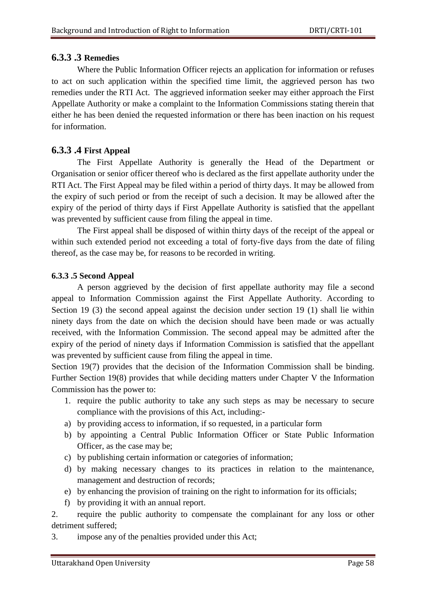### **6.3.3 .3 Remedies**

Where the Public Information Officer rejects an application for information or refuses to act on such application within the specified time limit, the aggrieved person has two remedies under the RTI Act. The aggrieved information seeker may either approach the First Appellate Authority or make a complaint to the Information Commissions stating therein that either he has been denied the requested information or there has been inaction on his request for information.

## **6.3.3 .4 First Appeal**

The First Appellate Authority is generally the Head of the Department or Organisation or senior officer thereof who is declared as the first appellate authority under the RTI Act. The First Appeal may be filed within a period of thirty days. It may be allowed from the expiry of such period or from the receipt of such a decision. It may be allowed after the expiry of the period of thirty days if First Appellate Authority is satisfied that the appellant was prevented by sufficient cause from filing the appeal in time.

The First appeal shall be disposed of within thirty days of the receipt of the appeal or within such extended period not exceeding a total of forty-five days from the date of filing thereof, as the case may be, for reasons to be recorded in writing.

#### **6.3.3 .5 Second Appeal**

A person aggrieved by the decision of first appellate authority may file a second appeal to Information Commission against the First Appellate Authority. According to Section 19 (3) the second appeal against the decision under section 19 (1) shall lie within ninety days from the date on which the decision should have been made or was actually received, with the Information Commission. The second appeal may be admitted after the expiry of the period of ninety days if Information Commission is satisfied that the appellant was prevented by sufficient cause from filing the appeal in time.

Section 19(7) provides that the decision of the Information Commission shall be binding. Further Section 19(8) provides that while deciding matters under Chapter V the Information Commission has the power to:

- 1. require the public authority to take any such steps as may be necessary to secure compliance with the provisions of this Act, including:-
- a) by providing access to information, if so requested, in a particular form
- b) by appointing a Central Public Information Officer or State Public Information Officer, as the case may be;
- c) by publishing certain information or categories of information;
- d) by making necessary changes to its practices in relation to the maintenance, management and destruction of records;
- e) by enhancing the provision of training on the right to information for its officials;
- f) by providing it with an annual report.

2. require the public authority to compensate the complainant for any loss or other detriment suffered;

3. impose any of the penalties provided under this Act;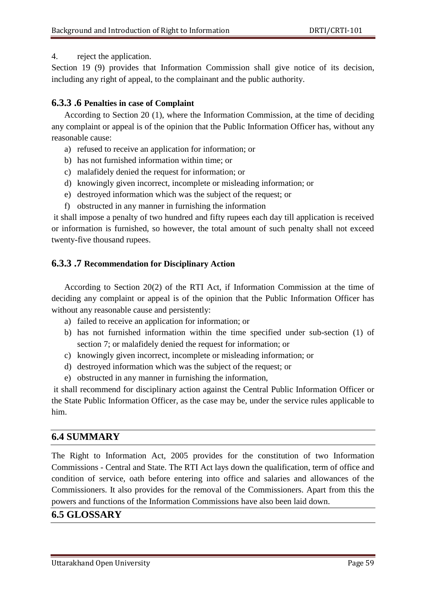#### 4. reject the application.

Section 19 (9) provides that Information Commission shall give notice of its decision, including any right of appeal, to the complainant and the public authority.

## **6.3.3 .6 Penalties in case of Complaint**

According to Section 20 (1), where the Information Commission, at the time of deciding any complaint or appeal is of the opinion that the Public Information Officer has, without any reasonable cause:

- a) refused to receive an application for information; or
- b) has not furnished information within time; or
- c) malafidely denied the request for information; or
- d) knowingly given incorrect, incomplete or misleading information; or
- e) destroyed information which was the subject of the request; or
- f) obstructed in any manner in furnishing the information

it shall impose a penalty of two hundred and fifty rupees each day till application is received or information is furnished, so however, the total amount of such penalty shall not exceed twenty-five thousand rupees.

## **6.3.3 .7 Recommendation for Disciplinary Action**

According to Section 20(2) of the RTI Act, if Information Commission at the time of deciding any complaint or appeal is of the opinion that the Public Information Officer has without any reasonable cause and persistently:

- a) failed to receive an application for information; or
- b) has not furnished information within the time specified under sub-section (1) of section 7; or malafidely denied the request for information; or
- c) knowingly given incorrect, incomplete or misleading information; or
- d) destroyed information which was the subject of the request; or
- e) obstructed in any manner in furnishing the information,

it shall recommend for disciplinary action against the Central Public Information Officer or the State Public Information Officer, as the case may be, under the service rules applicable to him.

# **6.4 SUMMARY**

The Right to Information Act, 2005 provides for the constitution of two Information Commissions - Central and State. The RTI Act lays down the qualification, term of office and condition of service, oath before entering into office and salaries and allowances of the Commissioners. It also provides for the removal of the Commissioners. Apart from this the powers and functions of the Information Commissions have also been laid down.

# **6.5 GLOSSARY**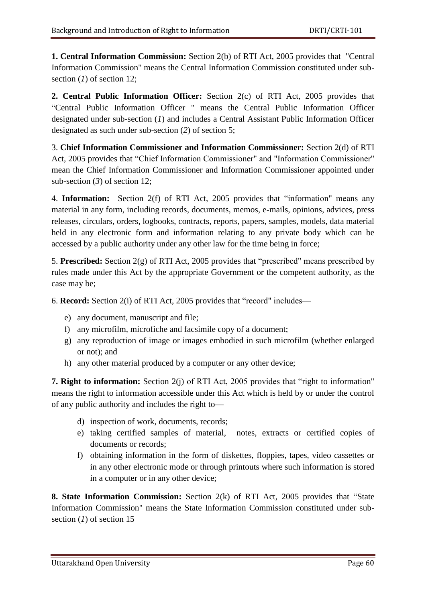**1. Central Information Commission:** Section 2(b) of RTI Act, 2005 provides that "Central Information Commission" means the Central Information Commission constituted under subsection (*1*) of section 12;

**2. Central Public Information Officer:** Section 2(c) of RTI Act, 2005 provides that ―Central Public Information Officer " means the Central Public Information Officer designated under sub-section (*1*) and includes a Central Assistant Public Information Officer designated as such under sub-section (*2*) of section 5;

3. **Chief Information Commissioner and Information Commissioner:** Section 2(d) of RTI Act, 2005 provides that "Chief Information Commissioner" and "Information Commissioner" mean the Chief Information Commissioner and Information Commissioner appointed under sub-section (*3*) of section 12;

4. **Information:** Section 2(f) of RTI Act, 2005 provides that "information" means any material in any form, including records, documents, memos, e-mails, opinions, advices, press releases, circulars, orders, logbooks, contracts, reports, papers, samples, models, data material held in any electronic form and information relating to any private body which can be accessed by a public authority under any other law for the time being in force;

5. **Prescribed:** Section  $2(g)$  of RTI Act, 2005 provides that "prescribed" means prescribed by rules made under this Act by the appropriate Government or the competent authority, as the case may be;

6. **Record:** Section 2(i) of RTI Act, 2005 provides that "record" includes—

- e) any document, manuscript and file;
- f) any microfilm, microfiche and facsimile copy of a document;
- g) any reproduction of image or images embodied in such microfilm (whether enlarged or not); and
- h) any other material produced by a computer or any other device;

**7. Right to information:** Section 2(j) of RTI Act, 2005 provides that "right to information" means the right to information accessible under this Act which is held by or under the control of any public authority and includes the right to—

- d) inspection of work, documents, records;
- e) taking certified samples of material, notes, extracts or certified copies of documents or records;
- f) obtaining information in the form of diskettes, floppies, tapes, video cassettes or in any other electronic mode or through printouts where such information is stored in a computer or in any other device;

**8. State Information Commission:** Section 2(k) of RTI Act, 2005 provides that "State Information Commission" means the State Information Commission constituted under subsection (*1*) of section 15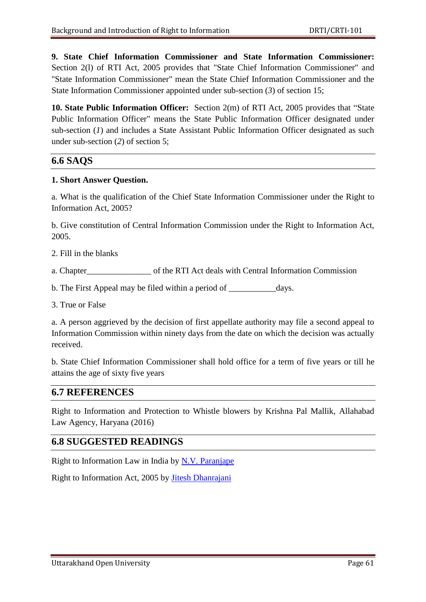**9. State Chief Information Commissioner and State Information Commissioner:**  Section 2(l) of RTI Act, 2005 provides that "State Chief Information Commissioner" and "State Information Commissioner" mean the State Chief Information Commissioner and the State Information Commissioner appointed under sub-section (*3*) of section 15;

**10. State Public Information Officer:** Section 2(m) of RTI Act, 2005 provides that "State" Public Information Officer" means the State Public Information Officer designated under sub-section (*I*) and includes a State Assistant Public Information Officer designated as such under sub-section (*2*) of section 5;

## **6.6 SAQS**

#### **1. Short Answer Question.**

a. What is the qualification of the Chief State Information Commissioner under the Right to Information Act, 2005?

b. Give constitution of Central Information Commission under the Right to Information Act, 2005.

2. Fill in the blanks

a. Chapter of the RTI Act deals with Central Information Commission

b. The First Appeal may be filed within a period of \_\_\_\_\_\_\_\_\_\_\_\_\_days.

3. True or False

a. A person aggrieved by the decision of first appellate authority may file a second appeal to Information Commission within ninety days from the date on which the decision was actually received.

b. State Chief Information Commissioner shall hold office for a term of five years or till he attains the age of sixty five years

## **6.7 REFERENCES**

Right to Information and Protection to Whistle blowers by Krishna Pal Mallik, Allahabad Law Agency, Haryana (2016)

## **6.8 SUGGESTED READINGS**

Right to Information Law in India by [N.V. Paranjape](https://www.amazon.in/s/ref=dp_byline_sr_book_1?ie=UTF8&field-author=N.V.+Paranjape&search-alias=stripbooks)

Right to Information Act, 2005 by [Jitesh Dhanrajani](https://www.amazon.in/s/ref=dp_byline_sr_book_1?ie=UTF8&field-author=Jitesh+Dhanrajani&search-alias=stripbooks)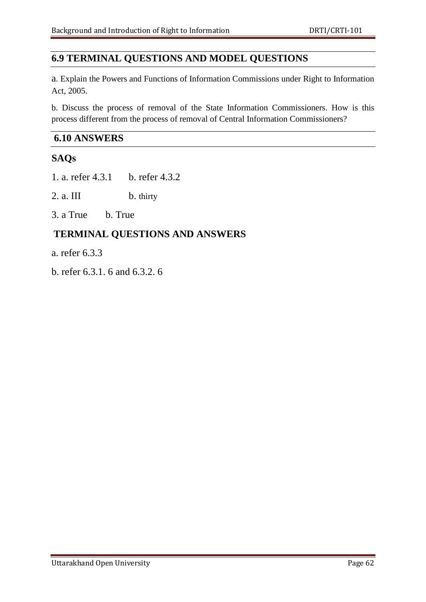## **6.9 TERMINAL QUESTIONS AND MODEL QUESTIONS**

a. Explain the Powers and Functions of Information Commissions under Right to Information Act, 2005.

b. Discuss the process of removal of the State Information Commissioners. How is this process different from the process of removal of Central Information Commissioners?

## **6.10 ANSWERS**

## **SAQs**

1. a. refer 4.3.1 b. refer 4.3.2

2. a. III b. thirty

3. a True b. True

## **TERMINAL QUESTIONS AND ANSWERS**

a. refer 6.3.3

b. refer 6.3.1. 6 and 6.3.2. 6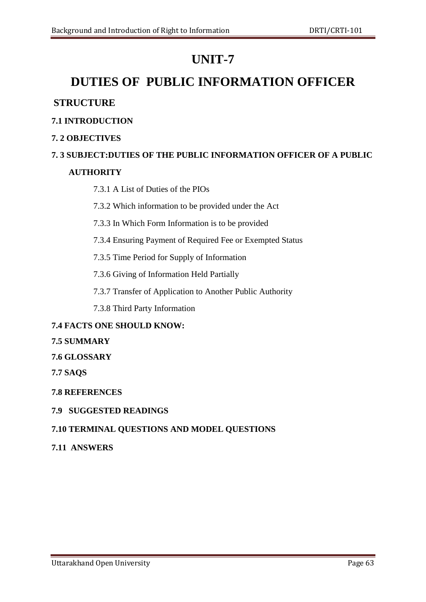# **UNIT-7**

# **DUTIES OF PUBLIC INFORMATION OFFICER**

## **STRUCTURE**

## **7.1 INTRODUCTION**

## **7. 2 OBJECTIVES**

# **7. 3 SUBJECT:DUTIES OF THE PUBLIC INFORMATION OFFICER OF A PUBLIC AUTHORITY**

## 7.3.1 A List of Duties of the PIOs

- 7.3.2 Which information to be provided under the Act
- 7.3.3 In Which Form Information is to be provided
- 7.3.4 Ensuring Payment of Required Fee or Exempted Status
- 7.3.5 Time Period for Supply of Information
- 7.3.6 Giving of Information Held Partially
- 7.3.7 Transfer of Application to Another Public Authority
- 7.3.8 Third Party Information

## **7.4 FACTS ONE SHOULD KNOW:**

## **7.5 SUMMARY**

## **7.6 GLOSSARY**

**7.7 SAQS**

## **7.8 REFERENCES**

## **7.9 SUGGESTED READINGS**

## **7.10 TERMINAL QUESTIONS AND MODEL QUESTIONS**

## **7.11 ANSWERS**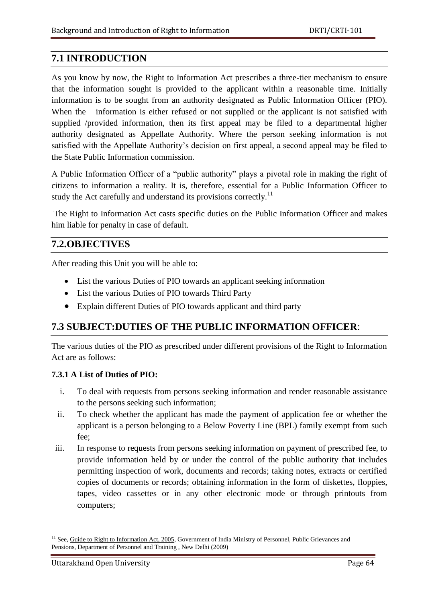## **7.1 INTRODUCTION**

As you know by now, the Right to Information Act prescribes a three-tier mechanism to ensure that the information sought is provided to the applicant within a reasonable time. Initially information is to be sought from an authority designated as Public Information Officer (PIO). When the information is either refused or not supplied or the applicant is not satisfied with supplied /provided information, then its first appeal may be filed to a departmental higher authority designated as Appellate Authority. Where the person seeking information is not satisfied with the Appellate Authority's decision on first appeal, a second appeal may be filed to the State Public Information commission.

A Public Information Officer of a "public authority" plays a pivotal role in making the right of citizens to information a reality. It is, therefore, essential for a Public Information Officer to study the Act carefully and understand its provisions correctly.<sup>11</sup>

The Right to Information Act casts specific duties on the Public Information Officer and makes him liable for penalty in case of default.

## **7.2.OBJECTIVES**

After reading this Unit you will be able to:

- List the various Duties of PIO towards an applicant seeking information
- List the various Duties of PIO towards Third Party
- Explain different Duties of PIO towards applicant and third party

## **7.3 SUBJECT:DUTIES OF THE PUBLIC INFORMATION OFFICER**:

The various duties of the PIO as prescribed under different provisions of the Right to Information Act are as follows:

#### **7.3.1 A List of Duties of PIO:**

- i. To deal with requests from persons seeking information and render reasonable assistance to the persons seeking such information;
- ii. To check whether the applicant has made the payment of application fee or whether the applicant is a person belonging to a Below Poverty Line (BPL) family exempt from such fee;
- iii. In response to requests from persons seeking information on payment of prescribed fee, to provide information held by or under the control of the public authority that includes permitting inspection of work, documents and records; taking notes, extracts or certified copies of documents or records; obtaining information in the form of diskettes, floppies, tapes, video cassettes or in any other electronic mode or through printouts from computers;

<sup>1</sup>  $11$  See, Guide to Right to Information Act, 2005, Government of India Ministry of Personnel, Public Grievances and Pensions, Department of Personnel and Training , New Delhi (2009)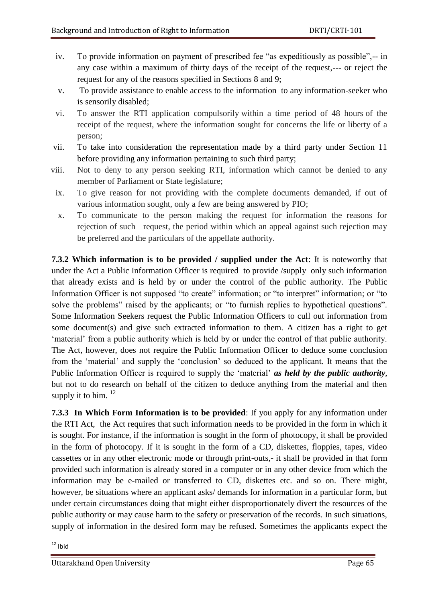- iv. To provide information on payment of prescribed fee "as expeditiously as possible",-- in any case within a maximum of thirty days of the receipt of the request,--- or reject the request for any of the reasons specified in Sections 8 and 9;
- v. To provide assistance to enable access to the information to any information-seeker who is sensorily disabled;
- vi. To answer the RTI application compulsorily within a time period of 48 hours of the receipt of the request, where the information sought for concerns the life or liberty of a person;
- vii. To take into consideration the representation made by a third party under Section 11 before providing any information pertaining to such third party;
- viii. Not to deny to any person seeking RTI, information which cannot be denied to any member of Parliament or State legislature;
- ix. To give reason for not providing with the complete documents demanded, if out of various information sought, only a few are being answered by PIO;
- x. To communicate to the person making the request for information the reasons for rejection of such request, the period within which an appeal against such rejection may be preferred and the particulars of the appellate authority.

**7.3.2 Which information is to be provided / supplied under the Act**: It is noteworthy that under the Act a Public Information Officer is required to provide /supply only such information that already exists and is held by or under the control of the public authority. The Public Information Officer is not supposed "to create" information; or "to interpret" information; or "to solve the problems" raised by the applicants; or "to furnish replies to hypothetical questions". Some Information Seekers request the Public Information Officers to cull out information from some document(s) and give such extracted information to them. A citizen has a right to get ‗material' from a public authority which is held by or under the control of that public authority. The Act, however, does not require the Public Information Officer to deduce some conclusion from the ‗material' and supply the ‗conclusion' so deduced to the applicant. It means that the Public Information Officer is required to supply the 'material' *as held by the public authority*, but not to do research on behalf of the citizen to deduce anything from the material and then supply it to him.  $12$ 

**7.3.3 In Which Form Information is to be provided**: If you apply for any information under the RTI Act, the Act requires that such information needs to be provided in the form in which it is sought. For instance, if the information is sought in the form of photocopy, it shall be provided in the form of photocopy. If it is sought in the form of a CD, diskettes, floppies, tapes, video cassettes or in any other electronic mode or through print-outs,- it shall be provided in that form provided such information is already stored in a computer or in any other device from which the information may be e-mailed or transferred to CD, diskettes etc. and so on. There might, however, be situations where an applicant asks/ demands for information in a particular form, but under certain circumstances doing that might either disproportionately divert the resources of the public authority or may cause harm to the safety or preservation of the records. In such situations, supply of information in the desired form may be refused. Sometimes the applicants expect the

**<sup>.</sup>**  $12$  Ibid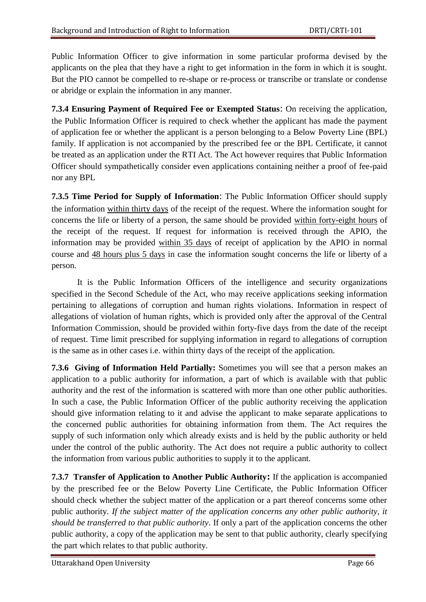Public Information Officer to give information in some particular proforma devised by the applicants on the plea that they have a right to get information in the form in which it is sought. But the PIO cannot be compelled to re-shape or re-process or transcribe or translate or condense or abridge or explain the information in any manner.

**7.3.4 Ensuring Payment of Required Fee or Exempted Status**: On receiving the application, the Public Information Officer is required to check whether the applicant has made the payment of application fee or whether the applicant is a person belonging to a Below Poverty Line (BPL) family. If application is not accompanied by the prescribed fee or the BPL Certificate, it cannot be treated as an application under the RTI Act. The Act however requires that Public Information Officer should sympathetically consider even applications containing neither a proof of fee-paid nor any BPL

**7.3.5 Time Period for Supply of Information**: The Public Information Officer should supply the information within thirty days of the receipt of the request. Where the information sought for concerns the life or liberty of a person, the same should be provided within forty-eight hours of the receipt of the request. If request for information is received through the APIO, the information may be provided within 35 days of receipt of application by the APIO in normal course and 48 hours plus 5 days in case the information sought concerns the life or liberty of a person.

It is the Public Information Officers of the intelligence and security organizations specified in the Second Schedule of the Act, who may receive applications seeking information pertaining to allegations of corruption and human rights violations. Information in respect of allegations of violation of human rights, which is provided only after the approval of the Central Information Commission, should be provided within forty-five days from the date of the receipt of request. Time limit prescribed for supplying information in regard to allegations of corruption is the same as in other cases i.e. within thirty days of the receipt of the application.

**7.3.6 Giving of Information Held Partially:** Sometimes you will see that a person makes an application to a public authority for information, a part of which is available with that public authority and the rest of the information is scattered with more than one other public authorities. In such a case, the Public Information Officer of the public authority receiving the application should give information relating to it and advise the applicant to make separate applications to the concerned public authorities for obtaining information from them. The Act requires the supply of such information only which already exists and is held by the public authority or held under the control of the public authority. The Act does not require a public authority to collect the information from various public authorities to supply it to the applicant.

**7.3.7 Transfer of Application to Another Public Authority:** If the application is accompanied by the prescribed fee or the Below Poverty Line Certificate, the Public Information Officer should check whether the subject matter of the application or a part thereof concerns some other public authority. *If the subject matter of the application concerns any other public authority, it should be transferred to that public authority*. If only a part of the application concerns the other public authority, a copy of the application may be sent to that public authority, clearly specifying the part which relates to that public authority.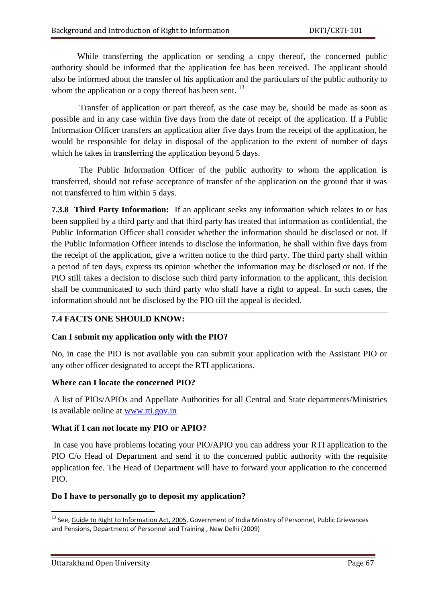While transferring the application or sending a copy thereof, the concerned public authority should be informed that the application fee has been received. The applicant should also be informed about the transfer of his application and the particulars of the public authority to whom the application or a copy thereof has been sent.  $^{13}$ 

Transfer of application or part thereof, as the case may be, should be made as soon as possible and in any case within five days from the date of receipt of the application. If a Public Information Officer transfers an application after five days from the receipt of the application, he would be responsible for delay in disposal of the application to the extent of number of days which he takes in transferring the application beyond 5 days.

The Public Information Officer of the public authority to whom the application is transferred, should not refuse acceptance of transfer of the application on the ground that it was not transferred to him within 5 days.

**7.3.8 Third Party Information:** If an applicant seeks any information which relates to or has been supplied by a third party and that third party has treated that information as confidential, the Public Information Officer shall consider whether the information should be disclosed or not. If the Public Information Officer intends to disclose the information, he shall within five days from the receipt of the application, give a written notice to the third party. The third party shall within a period of ten days, express its opinion whether the information may be disclosed or not. If the PIO still takes a decision to disclose such third party information to the applicant, this decision shall be communicated to such third party who shall have a right to appeal. In such cases, the information should not be disclosed by the PIO till the appeal is decided.

## **7.4 FACTS ONE SHOULD KNOW:**

#### **Can I submit my application only with the PIO?**

No, in case the PIO is not available you can submit your application with the Assistant PIO or any other officer designated to accept the RTI applications.

#### **Where can I locate the concerned PIO?**

A list of PIOs/APIOs and Appellate Authorities for all Central and State departments/Ministries is available online at [www.rti.gov.in](http://www.rti.gov.in/)

#### **What if I can not locate my PIO or APIO?**

In case you have problems locating your PIO/APIO you can address your RTI application to the PIO C/o Head of Department and send it to the concerned public authority with the requisite application fee. The Head of Department will have to forward your application to the concerned PIO.

#### **Do I have to personally go to deposit my application?**

1

<sup>&</sup>lt;sup>13</sup> See, Guide to Right to Information Act, 2005, Government of India Ministry of Personnel, Public Grievances and Pensions, Department of Personnel and Training , New Delhi (2009)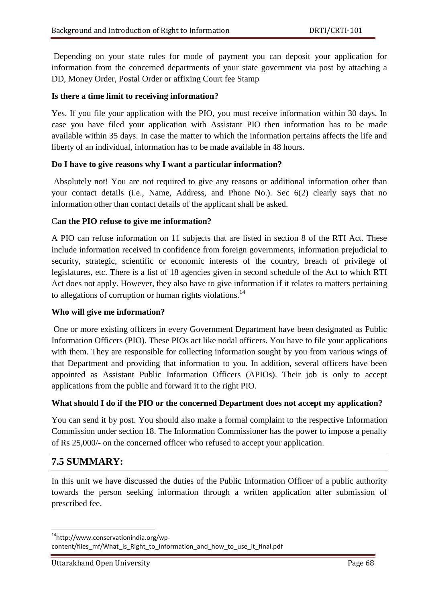Depending on your state rules for mode of payment you can deposit your application for information from the concerned departments of your state government via post by attaching a DD, Money Order, Postal Order or affixing Court fee Stamp

#### **Is there a time limit to receiving information?**

Yes. If you file your application with the PIO, you must receive information within 30 days. In case you have filed your application with Assistant PIO then information has to be made available within 35 days. In case the matter to which the information pertains affects the life and liberty of an individual, information has to be made available in 48 hours.

#### **Do I have to give reasons why I want a particular information?**

Absolutely not! You are not required to give any reasons or additional information other than your contact details (i.e., Name, Address, and Phone No.). Sec 6(2) clearly says that no information other than contact details of the applicant shall be asked.

#### C**an the PIO refuse to give me information?**

A PIO can refuse information on 11 subjects that are listed in section 8 of the RTI Act. These include information received in confidence from foreign governments, information prejudicial to security, strategic, scientific or economic interests of the country, breach of privilege of legislatures, etc. There is a list of 18 agencies given in second schedule of the Act to which RTI Act does not apply. However, they also have to give information if it relates to matters pertaining to allegations of corruption or human rights violations.<sup>14</sup>

#### **Who will give me information?**

One or more existing officers in every Government Department have been designated as Public Information Officers (PIO). These PIOs act like nodal officers. You have to file your applications with them. They are responsible for collecting information sought by you from various wings of that Department and providing that information to you. In addition, several officers have been appointed as Assistant Public Information Officers (APIOs). Their job is only to accept applications from the public and forward it to the right PIO.

#### **What should I do if the PIO or the concerned Department does not accept my application?**

You can send it by post. You should also make a formal complaint to the respective Information Commission under section 18. The Information Commissioner has the power to impose a penalty of Rs 25,000/- on the concerned officer who refused to accept your application.

## **7.5 SUMMARY:**

 $\overline{a}$ 

In this unit we have discussed the duties of the Public Information Officer of a public authority towards the person seeking information through a written application after submission of prescribed fee.

<sup>14</sup>http://www.conservationindia.org/wpcontent/files\_mf/What\_is\_Right\_to\_Information\_and\_how\_to\_use\_it\_final.pdf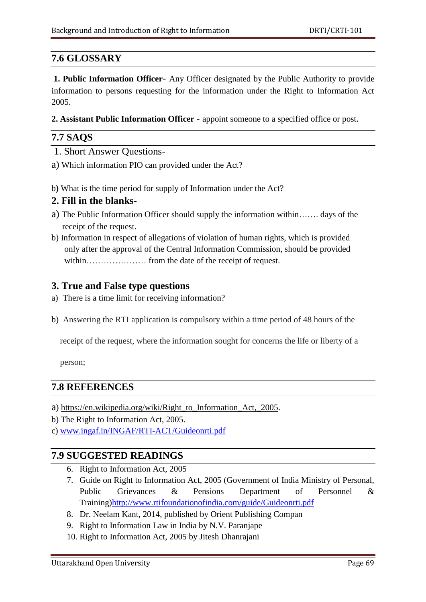# **7.6 GLOSSARY**

**1. Public Information Officer-** Any Officer designated by the Public Authority to provide information to persons requesting for the information under the Right to Information Act 2005.

**2. Assistant Public Information Officer -** appoint someone to a specified office or post.

## **7.7 SAQS**

- 1. Short Answer Questions-
- a) Which information PIO can provided under the Act?
- b**)** What is the time period for supply of Information under the Act?

## **2. Fill in the blanks-**

- a) The Public Information Officer should supply the information within……. days of the receipt of the request.
- b) Information in respect of allegations of violation of human rights, which is provided only after the approval of the Central Information Commission, should be provided within………………… from the date of the receipt of request.

## **3. True and False type questions**

- a) There is a time limit for receiving information?
- b) Answering the RTI application is compulsory within a time period of 48 hours of the

receipt of the request, where the information sought for concerns the life or liberty of a

person;

## **7.8 REFERENCES**

- a) [https://en.wikipedia.org/wiki/Right\\_to\\_Information\\_Act,\\_2005.](https://en.wikipedia.org/wiki/Right_to_Information_Act,_2005)
- b) The Right to Information Act, 2005.
- c) [www.ingaf.in/INGAF/RTI-ACT/Guideonrti.pdf](http://www.ingaf.in/INGAF/RTI-ACT/Guideonrti.pdf)

## **7.9 SUGGESTED READINGS**

- 6. Right to Information Act, 2005
- 7. Guide on Right to Information Act, 2005 (Government of India Ministry of Personal, Public Grievances & Pensions Department of Personnel & Training[\)http://www.rtifoundationofindia.com/guide/Guideonrti.pdf](http://www.rtifoundationofindia.com/guide/Guideonrti.pdf)
- 8. Dr. Neelam Kant, 2014, published by Orient Publishing Compan
- 9. Right to Information Law in India by N.V. Paranjape
- 10. Right to Information Act, 2005 by Jitesh Dhanrajani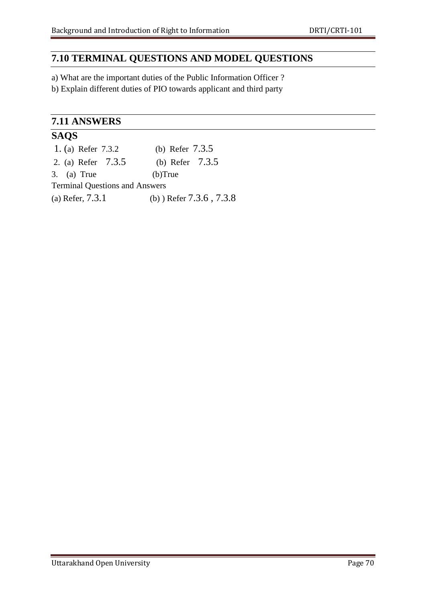# **7.10 TERMINAL QUESTIONS AND MODEL QUESTIONS**

- a) What are the important duties of the Public Information Officer ?
- b) Explain different duties of PIO towards applicant and third party

# **7.11 ANSWERS**

# **SAQS**

| 1. (a) Refer 7.3.2                    | (b) Refer $7.3.5$           |
|---------------------------------------|-----------------------------|
| 2. (a) Refer 7.3.5                    | (b) Refer $7.3.5$           |
| 3. (a) True                           | $(b)$ True                  |
| <b>Terminal Questions and Answers</b> |                             |
| (a) Refer, $7.3.1$                    | (b) Refer $7.3.6$ , $7.3.8$ |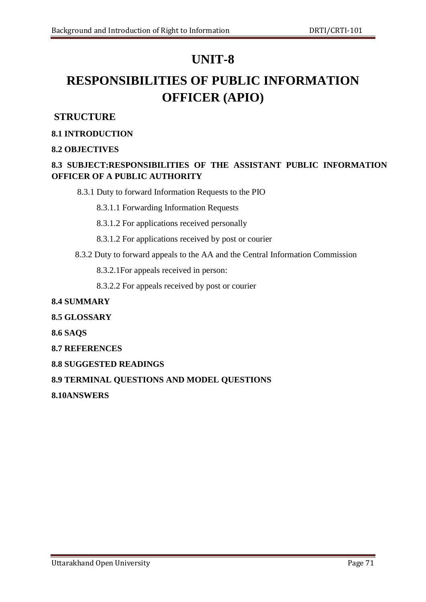# **UNIT-8**

# **RESPONSIBILITIES OF PUBLIC INFORMATION OFFICER (APIO)**

# **STRUCTURE**

### **8.1 INTRODUCTION**

#### **8.2 OBJECTIVES**

## **8.3 SUBJECT:RESPONSIBILITIES OF THE ASSISTANT PUBLIC INFORMATION OFFICER OF A PUBLIC AUTHORITY**

8.3.1 Duty to forward Information Requests to the PIO

8.3.1.1 Forwarding Information Requests

8.3.1.2 For applications received personally

8.3.1.2 For applications received by post or courier

8.3.2 Duty to forward appeals to the AA and the Central Information Commission

8.3.2.1For appeals received in person:

8.3.2.2 For appeals received by post or courier

#### **8.4 SUMMARY**

**8.5 GLOSSARY**

**8.6 SAQS**

**8.7 REFERENCES**

**8.8 SUGGESTED READINGS**

**8.9 TERMINAL QUESTIONS AND MODEL QUESTIONS**

**8.10ANSWERS**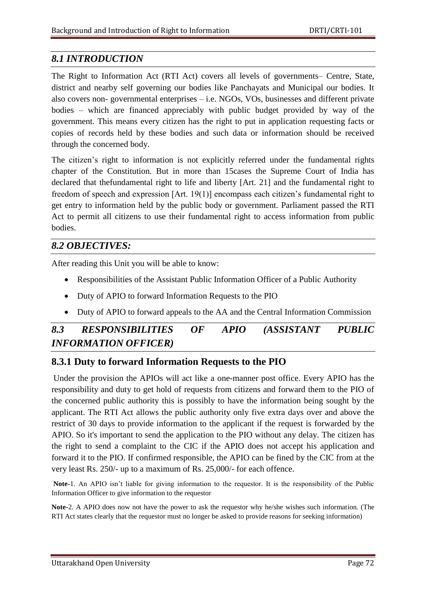## *8.1 INTRODUCTION*

The Right to Information Act (RTI Act) covers all levels of governments– Centre, State, district and nearby self governing our bodies like Panchayats and Municipal our bodies. It also covers non- governmental enterprises – i.e. NGOs, VOs, businesses and different private bodies – which are financed appreciably with public budget provided by way of the government. This means every citizen has the right to put in application requesting facts or copies of records held by these bodies and such data or information should be received through the concerned body.

The citizen's right to information is not explicitly referred under the fundamental rights chapter of the Constitution. But in more than 15cases the Supreme Court of India has declared that thefundamental right to life and liberty [Art. 21] and the fundamental right to freedom of speech and expression [Art. 19(1)] encompass each citizen's fundamental right to get entry to information held by the public body or government. Parliament passed the RTI Act to permit all citizens to use their fundamental right to access information from public bodies.

## *8.2 OBJECTIVES:*

After reading this Unit you will be able to know:

- Responsibilities of the Assistant Public Information Officer of a Public Authority
- Duty of APIO to forward Information Requests to the PIO
- Duty of APIO to forward appeals to the AA and the Central Information Commission

# *8.3 RESPONSIBILITIES OF APIO (ASSISTANT PUBLIC INFORMATION OFFICER)*

## **8.3.1 Duty to forward Information Requests to the PIO**

Under the provision the APIOs will act like a one-manner post office. Every APIO has the responsibility and duty to get hold of requests from citizens and forward them to the PIO of the concerned public authority this is possibly to have the information being sought by the applicant. The RTI Act allows the public authority only five extra days over and above the restrict of 30 days to provide information to the applicant if the request is forwarded by the APIO. So it's important to send the application to the PIO without any delay. The citizen has the right to send a complaint to the CIC if the APIO does not accept his application and forward it to the PIO. If confirmed responsible, the APIO can be fined by the CIC from at the very least Rs. 250/- up to a maximum of Rs. 25,000/- for each offence.

**Note-**1. An APIO isn't liable for giving information to the requestor. It is the responsibility of the Public Information Officer to give information to the requestor

**Note-**2. A APIO does now not have the power to ask the requestor why he/she wishes such information. (The RTI Act states clearly that the requestor must no longer be asked to provide reasons for seeking information)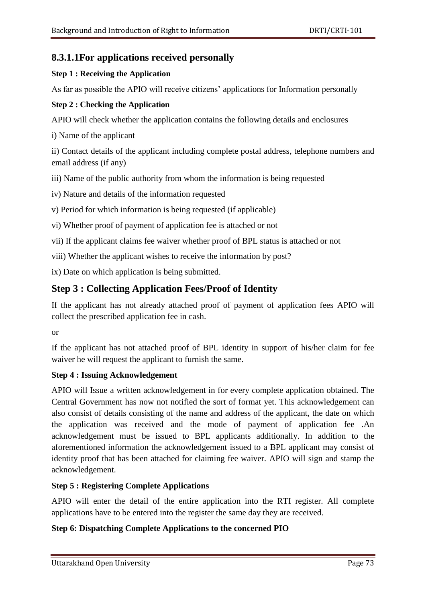# **8.3.1.1For applications received personally**

#### **Step 1 : Receiving the Application**

As far as possible the APIO will receive citizens' applications for Information personally

#### **Step 2 : Checking the Application**

APIO will check whether the application contains the following details and enclosures

i) Name of the applicant

ii) Contact details of the applicant including complete postal address, telephone numbers and email address (if any)

iii) Name of the public authority from whom the information is being requested

iv) Nature and details of the information requested

v) Period for which information is being requested (if applicable)

vi) Whether proof of payment of application fee is attached or not

vii) If the applicant claims fee waiver whether proof of BPL status is attached or not

viii) Whether the applicant wishes to receive the information by post?

ix) Date on which application is being submitted.

# **Step 3 : Collecting Application Fees/Proof of Identity**

If the applicant has not already attached proof of payment of application fees APIO will collect the prescribed application fee in cash.

or

If the applicant has not attached proof of BPL identity in support of his/her claim for fee waiver he will request the applicant to furnish the same.

#### **Step 4 : Issuing Acknowledgement**

APIO will Issue a written acknowledgement in for every complete application obtained. The Central Government has now not notified the sort of format yet. This acknowledgement can also consist of details consisting of the name and address of the applicant, the date on which the application was received and the mode of payment of application fee .An acknowledgement must be issued to BPL applicants additionally. In addition to the aforementioned information the acknowledgement issued to a BPL applicant may consist of identity proof that has been attached for claiming fee waiver. APIO will sign and stamp the acknowledgement.

#### **Step 5 : Registering Complete Applications**

APIO will enter the detail of the entire application into the RTI register. All complete applications have to be entered into the register the same day they are received.

#### **Step 6: Dispatching Complete Applications to the concerned PIO**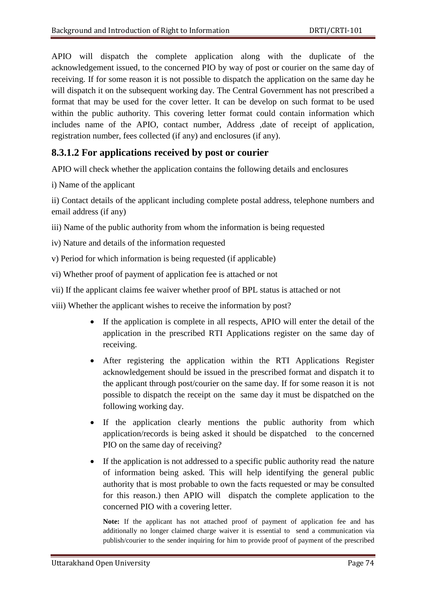APIO will dispatch the complete application along with the duplicate of the acknowledgement issued, to the concerned PIO by way of post or courier on the same day of receiving. If for some reason it is not possible to dispatch the application on the same day he will dispatch it on the subsequent working day. The Central Government has not prescribed a format that may be used for the cover letter. It can be develop on such format to be used within the public authority. This covering letter format could contain information which includes name of the APIO, contact number, Address ,date of receipt of application, registration number, fees collected (if any) and enclosures (if any).

# **8.3.1.2 For applications received by post or courier**

APIO will check whether the application contains the following details and enclosures

i) Name of the applicant

ii) Contact details of the applicant including complete postal address, telephone numbers and email address (if any)

iii) Name of the public authority from whom the information is being requested

iv) Nature and details of the information requested

v) Period for which information is being requested (if applicable)

vi) Whether proof of payment of application fee is attached or not

vii) If the applicant claims fee waiver whether proof of BPL status is attached or not

viii) Whether the applicant wishes to receive the information by post?

- If the application is complete in all respects, APIO will enter the detail of the application in the prescribed RTI Applications register on the same day of receiving.
- After registering the application within the RTI Applications Register acknowledgement should be issued in the prescribed format and dispatch it to the applicant through post/courier on the same day. If for some reason it is not possible to dispatch the receipt on the same day it must be dispatched on the following working day.
- If the application clearly mentions the public authority from which application/records is being asked it should be dispatched to the concerned PIO on the same day of receiving?
- If the application is not addressed to a specific public authority read the nature of information being asked. This will help identifying the general public authority that is most probable to own the facts requested or may be consulted for this reason.) then APIO will dispatch the complete application to the concerned PIO with a covering letter.

**Note:** If the applicant has not attached proof of payment of application fee and has additionally no longer claimed charge waiver it is essential to send a communication via publish/courier to the sender inquiring for him to provide proof of payment of the prescribed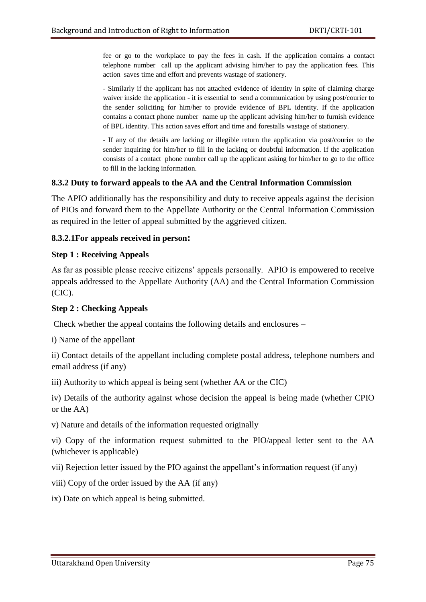fee or go to the workplace to pay the fees in cash. If the application contains a contact telephone number call up the applicant advising him/her to pay the application fees. This action saves time and effort and prevents wastage of stationery.

- Similarly if the applicant has not attached evidence of identity in spite of claiming charge waiver inside the application - it is essential to send a communication by using post/courier to the sender soliciting for him/her to provide evidence of BPL identity. If the application contains a contact phone number name up the applicant advising him/her to furnish evidence of BPL identity. This action saves effort and time and forestalls wastage of stationery.

- If any of the details are lacking or illegible return the application via post/courier to the sender inquiring for him/her to fill in the lacking or doubtful information. If the application consists of a contact phone number call up the applicant asking for him/her to go to the office to fill in the lacking information.

#### **8.3.2 Duty to forward appeals to the AA and the Central Information Commission**

The APIO additionally has the responsibility and duty to receive appeals against the decision of PIOs and forward them to the Appellate Authority or the Central Information Commission as required in the letter of appeal submitted by the aggrieved citizen.

#### **8.3.2.1For appeals received in person:**

#### **Step 1 : Receiving Appeals**

As far as possible please receive citizens' appeals personally. APIO is empowered to receive appeals addressed to the Appellate Authority (AA) and the Central Information Commission (CIC).

#### **Step 2 : Checking Appeals**

Check whether the appeal contains the following details and enclosures –

i) Name of the appellant

ii) Contact details of the appellant including complete postal address, telephone numbers and email address (if any)

iii) Authority to which appeal is being sent (whether AA or the CIC)

iv) Details of the authority against whose decision the appeal is being made (whether CPIO or the AA)

v) Nature and details of the information requested originally

vi) Copy of the information request submitted to the PIO/appeal letter sent to the AA (whichever is applicable)

vii) Rejection letter issued by the PIO against the appellant's information request (if any)

viii) Copy of the order issued by the AA (if any)

ix) Date on which appeal is being submitted.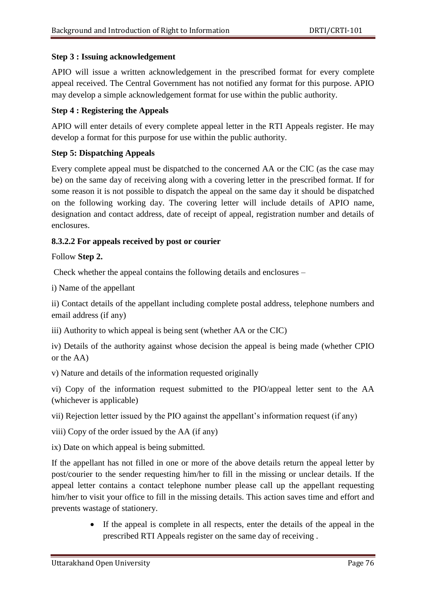#### **Step 3 : Issuing acknowledgement**

APIO will issue a written acknowledgement in the prescribed format for every complete appeal received. The Central Government has not notified any format for this purpose. APIO may develop a simple acknowledgement format for use within the public authority.

#### **Step 4 : Registering the Appeals**

APIO will enter details of every complete appeal letter in the RTI Appeals register. He may develop a format for this purpose for use within the public authority.

#### **Step 5: Dispatching Appeals**

Every complete appeal must be dispatched to the concerned AA or the CIC (as the case may be) on the same day of receiving along with a covering letter in the prescribed format. If for some reason it is not possible to dispatch the appeal on the same day it should be dispatched on the following working day. The covering letter will include details of APIO name, designation and contact address, date of receipt of appeal, registration number and details of enclosures.

#### **8.3.2.2 For appeals received by post or courier**

#### Follow **Step 2.**

Check whether the appeal contains the following details and enclosures –

i) Name of the appellant

ii) Contact details of the appellant including complete postal address, telephone numbers and email address (if any)

iii) Authority to which appeal is being sent (whether AA or the CIC)

iv) Details of the authority against whose decision the appeal is being made (whether CPIO or the AA)

v) Nature and details of the information requested originally

vi) Copy of the information request submitted to the PIO/appeal letter sent to the AA (whichever is applicable)

vii) Rejection letter issued by the PIO against the appellant's information request (if any)

viii) Copy of the order issued by the AA (if any)

ix) Date on which appeal is being submitted.

If the appellant has not filled in one or more of the above details return the appeal letter by post/courier to the sender requesting him/her to fill in the missing or unclear details. If the appeal letter contains a contact telephone number please call up the appellant requesting him/her to visit your office to fill in the missing details. This action saves time and effort and prevents wastage of stationery.

> If the appeal is complete in all respects, enter the details of the appeal in the prescribed RTI Appeals register on the same day of receiving .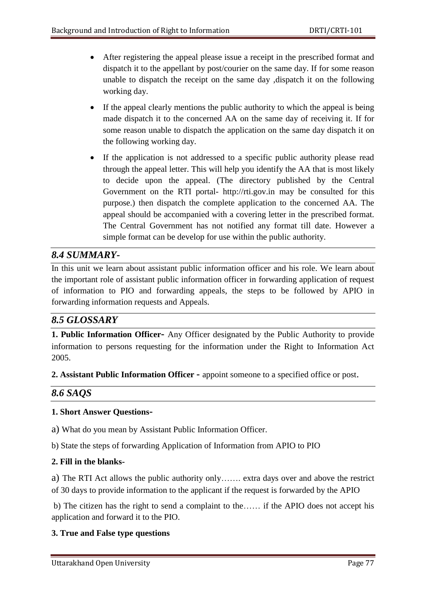- After registering the appeal please issue a receipt in the prescribed format and dispatch it to the appellant by post/courier on the same day. If for some reason unable to dispatch the receipt on the same day ,dispatch it on the following working day.
- If the appeal clearly mentions the public authority to which the appeal is being made dispatch it to the concerned AA on the same day of receiving it. If for some reason unable to dispatch the application on the same day dispatch it on the following working day.
- If the application is not addressed to a specific public authority please read through the appeal letter. This will help you identify the AA that is most likely to decide upon the appeal. (The directory published by the Central Government on the RTI portal- http://rti.gov.in may be consulted for this purpose.) then dispatch the complete application to the concerned AA. The appeal should be accompanied with a covering letter in the prescribed format. The Central Government has not notified any format till date. However a simple format can be develop for use within the public authority.

# *8.4 SUMMARY-*

In this unit we learn about assistant public information officer and his role. We learn about the important role of assistant public information officer in forwarding application of request of information to PIO and forwarding appeals, the steps to be followed by APIO in forwarding information requests and Appeals.

# *8.5 GLOSSARY*

**1. Public Information Officer-** Any Officer designated by the Public Authority to provide information to persons requesting for the information under the Right to Information Act 2005.

**2. Assistant Public Information Officer -** appoint someone to a specified office or post.

# *8.6 SAQS*

#### **1. Short Answer Questions-**

a) What do you mean by Assistant Public Information Officer.

b) State the steps of forwarding Application of Information from APIO to PIO

#### **2. Fill in the blanks-**

a) The RTI Act allows the public authority only……. extra days over and above the restrict of 30 days to provide information to the applicant if the request is forwarded by the APIO

b) The citizen has the right to send a complaint to the…… if the APIO does not accept his application and forward it to the PIO.

#### **3. True and False type questions**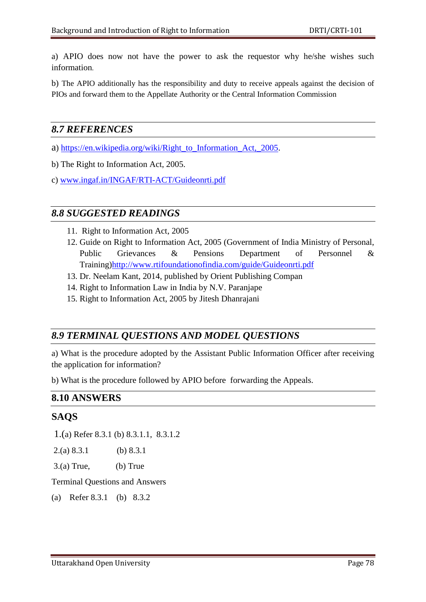a) APIO does now not have the power to ask the requestor why he/she wishes such information.

b) The APIO additionally has the responsibility and duty to receive appeals against the decision of PIOs and forward them to the Appellate Authority or the Central Information Commission

### *8.7 REFERENCES*

- a) [https://en.wikipedia.org/wiki/Right\\_to\\_Information\\_Act,\\_2005.](https://en.wikipedia.org/wiki/Right_to_Information_Act,_2005)
- b) The Right to Information Act, 2005.
- c) [www.ingaf.in/INGAF/RTI-ACT/Guideonrti.pdf](http://www.ingaf.in/INGAF/RTI-ACT/Guideonrti.pdf)

### *8.8 SUGGESTED READINGS*

- 11. Right to Information Act, 2005
- 12. Guide on Right to Information Act, 2005 (Government of India Ministry of Personal, Public Grievances & Pensions Department of Personnel & Training[\)http://www.rtifoundationofindia.com/guide/Guideonrti.pdf](http://www.rtifoundationofindia.com/guide/Guideonrti.pdf)
- 13. Dr. Neelam Kant, 2014, published by Orient Publishing Compan
- 14. Right to Information Law in India by N.V. Paranjape
- 15. Right to Information Act, 2005 by Jitesh Dhanrajani

# *8.9 TERMINAL QUESTIONS AND MODEL QUESTIONS*

a) What is the procedure adopted by the Assistant Public Information Officer after receiving the application for information?

b) What is the procedure followed by APIO before forwarding the Appeals.

#### **8.10 ANSWERS**

#### **SAQS**

1.(a) Refer 8.3.1 (b) 8.3.1.1, 8.3.1.2

2.(a) 8.3.1 (b) 8.3.1

3.(a) True, (b) True

Terminal Questions and Answers

(a) Refer 8.3.1 (b) 8.3.2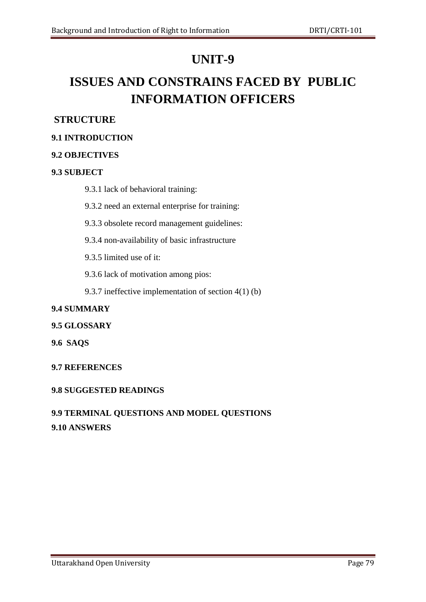# **UNIT-9**

# **ISSUES AND CONSTRAINS FACED BY PUBLIC INFORMATION OFFICERS**

# **STRUCTURE**

#### **9.1 INTRODUCTION**

#### **9.2 OBJECTIVES**

#### **9.3 SUBJECT**

9.3.1 lack of behavioral training:

9.3.2 need an external enterprise for training:

9.3.3 obsolete record management guidelines:

9.3.4 non-availability of basic infrastructure

9.3.5 limited use of it:

9.3.6 lack of motivation among pios:

9.3.7 ineffective implementation of section 4(1) (b)

#### **9.4 SUMMARY**

#### **9.5 GLOSSARY**

**9.6 SAQS**

#### **9.7 REFERENCES**

#### **9.8 SUGGESTED READINGS**

# **9.9 TERMINAL QUESTIONS AND MODEL QUESTIONS 9.10 ANSWERS**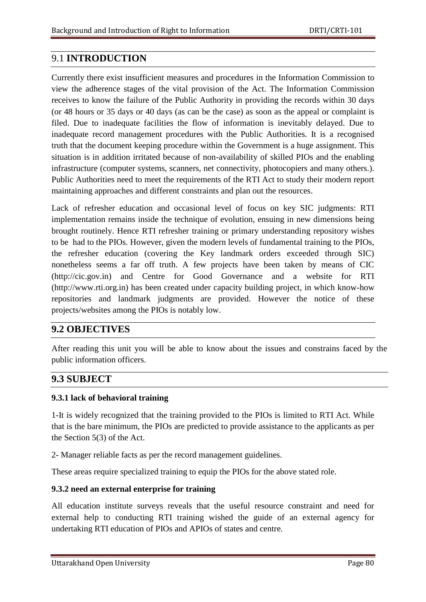# 9.1 **INTRODUCTION**

Currently there exist insufficient measures and procedures in the Information Commission to view the adherence stages of the vital provision of the Act. The Information Commission receives to know the failure of the Public Authority in providing the records within 30 days (or 48 hours or 35 days or 40 days (as can be the case) as soon as the appeal or complaint is filed. Due to inadequate facilities the flow of information is inevitably delayed. Due to inadequate record management procedures with the Public Authorities. It is a recognised truth that the document keeping procedure within the Government is a huge assignment. This situation is in addition irritated because of non-availability of skilled PIOs and the enabling infrastructure (computer systems, scanners, net connectivity, photocopiers and many others.). Public Authorities need to meet the requirements of the RTI Act to study their modern report maintaining approaches and different constraints and plan out the resources.

Lack of refresher education and occasional level of focus on key SIC judgments: RTI implementation remains inside the technique of evolution, ensuing in new dimensions being brought routinely. Hence RTI refresher training or primary understanding repository wishes to be had to the PIOs. However, given the modern levels of fundamental training to the PIOs, the refresher education (covering the Key landmark orders exceeded through SIC) nonetheless seems a far off truth. A few projects have been taken by means of CIC (http://cic.gov.in) and Centre for Good Governance and a website for RTI (http://www.rti.org.in) has been created under capacity building project, in which know-how repositories and landmark judgments are provided. However the notice of these projects/websites among the PIOs is notably low.

#### **9.2 OBJECTIVES**

After reading this unit you will be able to know about the issues and constrains faced by the public information officers.

#### **9.3 SUBJECT**

#### **9.3.1 lack of behavioral training**

1-It is widely recognized that the training provided to the PIOs is limited to RTI Act. While that is the bare minimum, the PIOs are predicted to provide assistance to the applicants as per the Section 5(3) of the Act.

2- Manager reliable facts as per the record management guidelines.

These areas require specialized training to equip the PIOs for the above stated role.

#### **9.3.2 need an external enterprise for training**

All education institute surveys reveals that the useful resource constraint and need for external help to conducting RTI training wished the guide of an external agency for undertaking RTI education of PIOs and APIOs of states and centre.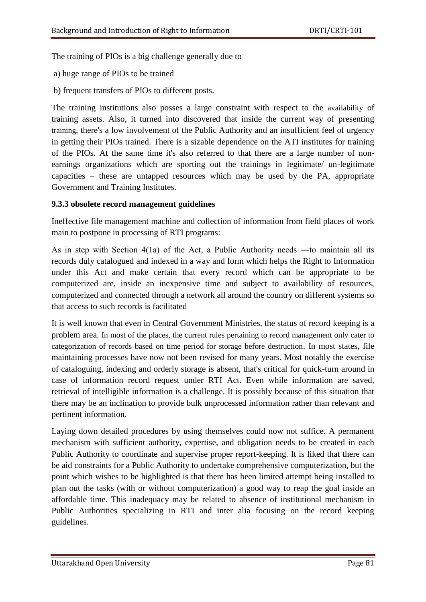The training of PIOs is a big challenge generally due to

- a) huge range of PIOs to be trained
- b) frequent transfers of PIOs to different posts.

The training institutions also posses a large constraint with respect to the availability of training assets. Also, it turned into discovered that inside the current way of presenting training, there's a low involvement of the Public Authority and an insufficient feel of urgency in getting their PIOs trained. There is a sizable dependence on the ATI institutes for training of the PIOs. At the same time it's also referred to that there are a large number of nonearnings organizations which are sporting out the trainings in legitimate/ un-legitimate capacities – these are untapped resources which may be used by the PA, appropriate Government and Training Institutes.

#### **9.3.3 obsolete record management guidelines**

Ineffective file management machine and collection of information from field places of work main to postpone in processing of RTI programs:

As in step with Section 4(1a) of the Act, a Public Authority needs ―to maintain all its records duly catalogued and indexed in a way and form which helps the Right to Information under this Act and make certain that every record which can be appropriate to be computerized are, inside an inexpensive time and subject to availability of resources, computerized and connected through a network all around the country on different systems so that access to such records is facilitated

It is well known that even in Central Government Ministries, the status of record keeping is a problem area. In most of the places, the current rules pertaining to record management only cater to categorization of records based on time period for storage before destruction. In most states, file maintaining processes have now not been revised for many years. Most notably the exercise of cataloguing, indexing and orderly storage is absent, that's critical for quick-turn around in case of information record request under RTI Act. Even while information are saved, retrieval of intelligible information is a challenge. It is possibly because of this situation that there may be an inclination to provide bulk unprocessed information rather than relevant and pertinent information.

Laying down detailed procedures by using themselves could now not suffice. A permanent mechanism with sufficient authority, expertise, and obligation needs to be created in each Public Authority to coordinate and supervise proper report-keeping. It is liked that there can be aid constraints for a Public Authority to undertake comprehensive computerization, but the point which wishes to be highlighted is that there has been limited attempt being installed to plan out the tasks (with or without computerization) a good way to reap the goal inside an affordable time. This inadequacy may be related to absence of institutional mechanism in Public Authorities specializing in RTI and inter alia focusing on the record keeping guidelines.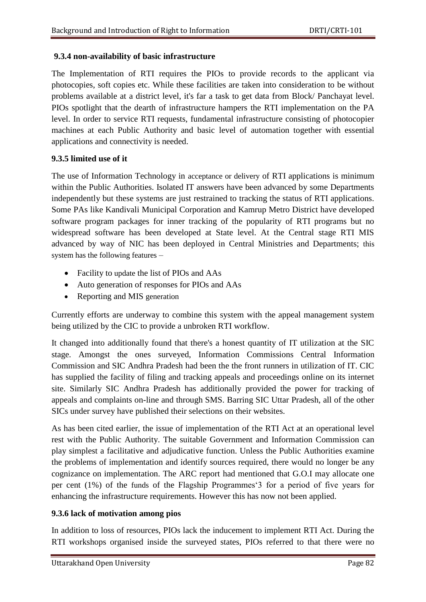#### **9.3.4 non-availability of basic infrastructure**

The Implementation of RTI requires the PIOs to provide records to the applicant via photocopies, soft copies etc. While these facilities are taken into consideration to be without problems available at a district level, it's far a task to get data from Block/ Panchayat level. PIOs spotlight that the dearth of infrastructure hampers the RTI implementation on the PA level. In order to service RTI requests, fundamental infrastructure consisting of photocopier machines at each Public Authority and basic level of automation together with essential applications and connectivity is needed.

#### **9.3.5 limited use of it**

The use of Information Technology in acceptance or delivery of RTI applications is minimum within the Public Authorities. Isolated IT answers have been advanced by some Departments independently but these systems are just restrained to tracking the status of RTI applications. Some PAs like Kandivali Municipal Corporation and Kamrup Metro District have developed software program packages for inner tracking of the popularity of RTI programs but no widespread software has been developed at State level. At the Central stage RTI MIS advanced by way of NIC has been deployed in Central Ministries and Departments; this system has the following features –

- Facility to update the list of PIOs and AAs
- Auto generation of responses for PIOs and AAs
- Reporting and MIS generation

Currently efforts are underway to combine this system with the appeal management system being utilized by the CIC to provide a unbroken RTI workflow.

It changed into additionally found that there's a honest quantity of IT utilization at the SIC stage. Amongst the ones surveyed, Information Commissions Central Information Commission and SIC Andhra Pradesh had been the the front runners in utilization of IT. CIC has supplied the facility of filing and tracking appeals and proceedings online on its internet site. Similarly SIC Andhra Pradesh has additionally provided the power for tracking of appeals and complaints on-line and through SMS. Barring SIC Uttar Pradesh, all of the other SICs under survey have published their selections on their websites.

As has been cited earlier, the issue of implementation of the RTI Act at an operational level rest with the Public Authority. The suitable Government and Information Commission can play simplest a facilitative and adjudicative function. Unless the Public Authorities examine the problems of implementation and identify sources required, there would no longer be any cognizance on implementation. The ARC report had mentioned that G.O.I may allocate one per cent  $(1\%)$  of the funds of the Flagship Programmes<sup>2</sup> for a period of five years for enhancing the infrastructure requirements. However this has now not been applied.

#### **9.3.6 lack of motivation among pios**

In addition to loss of resources, PIOs lack the inducement to implement RTI Act. During the RTI workshops organised inside the surveyed states, PIOs referred to that there were no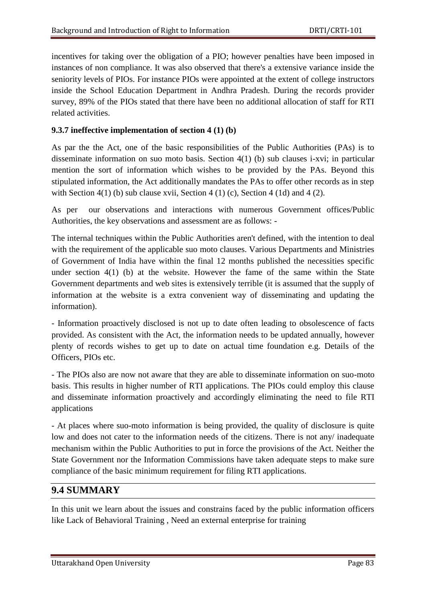incentives for taking over the obligation of a PIO; however penalties have been imposed in instances of non compliance. It was also observed that there's a extensive variance inside the seniority levels of PIOs. For instance PIOs were appointed at the extent of college instructors inside the School Education Department in Andhra Pradesh. During the records provider survey, 89% of the PIOs stated that there have been no additional allocation of staff for RTI related activities.

#### **9.3.7 ineffective implementation of section 4 (1) (b)**

As par the the Act, one of the basic responsibilities of the Public Authorities (PAs) is to disseminate information on suo moto basis. Section 4(1) (b) sub clauses i-xvi; in particular mention the sort of information which wishes to be provided by the PAs. Beyond this stipulated information, the Act additionally mandates the PAs to offer other records as in step with Section  $4(1)$  (b) sub clause xvii, Section  $4(1)$  (c), Section  $4(1d)$  and  $4(2)$ .

As per our observations and interactions with numerous Government offices/Public Authorities, the key observations and assessment are as follows: -

The internal techniques within the Public Authorities aren't defined, with the intention to deal with the requirement of the applicable suo moto clauses. Various Departments and Ministries of Government of India have within the final 12 months published the necessities specific under section 4(1) (b) at the website. However the fame of the same within the State Government departments and web sites is extensively terrible (it is assumed that the supply of information at the website is a extra convenient way of disseminating and updating the information).

- Information proactively disclosed is not up to date often leading to obsolescence of facts provided. As consistent with the Act, the information needs to be updated annually, however plenty of records wishes to get up to date on actual time foundation e.g. Details of the Officers, PIOs etc.

- The PIOs also are now not aware that they are able to disseminate information on suo-moto basis. This results in higher number of RTI applications. The PIOs could employ this clause and disseminate information proactively and accordingly eliminating the need to file RTI applications

- At places where suo-moto information is being provided, the quality of disclosure is quite low and does not cater to the information needs of the citizens. There is not any/ inadequate mechanism within the Public Authorities to put in force the provisions of the Act. Neither the State Government nor the Information Commissions have taken adequate steps to make sure compliance of the basic minimum requirement for filing RTI applications.

# **9.4 SUMMARY**

In this unit we learn about the issues and constrains faced by the public information officers like Lack of Behavioral Training , Need an external enterprise for training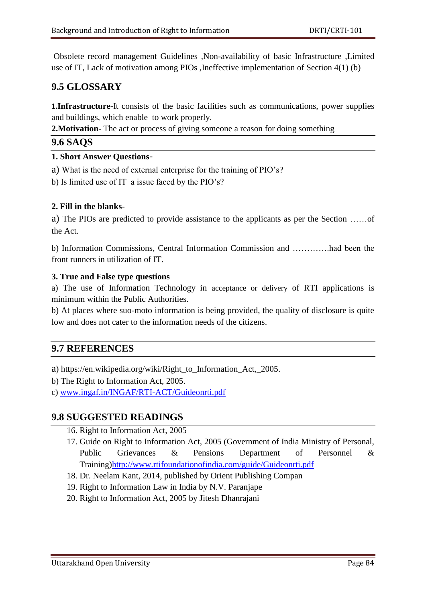Obsolete record management Guidelines ,Non-availability of basic Infrastructure ,Limited use of IT, Lack of motivation among PIOs ,Ineffective implementation of Section 4(1) (b)

# **9.5 GLOSSARY**

**1.Infrastructure**-It consists of the basic facilities such as communications, power supplies and buildings, which enable to work properly.

**2.Motivation**- The act or process of giving someone a reason for doing something

#### **9.6 SAQS**

#### **1. Short Answer Questions**-

- a) What is the need of external enterprise for the training of PIO's?
- b) Is limited use of IT a issue faced by the PIO's?

#### **2. Fill in the blanks-**

a) The PIOs are predicted to provide assistance to the applicants as per the Section ……of the Act.

b) Information Commissions, Central Information Commission and ………….had been the front runners in utilization of IT.

#### **3. True and False type questions**

a) The use of Information Technology in acceptance or delivery of RTI applications is minimum within the Public Authorities.

b) At places where suo-moto information is being provided, the quality of disclosure is quite low and does not cater to the information needs of the citizens.

#### **9.7 REFERENCES**

a) [https://en.wikipedia.org/wiki/Right\\_to\\_Information\\_Act,\\_2005.](https://en.wikipedia.org/wiki/Right_to_Information_Act,_2005)

b) The Right to Information Act, 2005.

c) [www.ingaf.in/INGAF/RTI-ACT/Guideonrti.pdf](http://www.ingaf.in/INGAF/RTI-ACT/Guideonrti.pdf)

#### **9.8 SUGGESTED READINGS**

- 16. Right to Information Act, 2005
- 17. Guide on Right to Information Act, 2005 (Government of India Ministry of Personal, Public Grievances & Pensions Department of Personnel & Training[\)http://www.rtifoundationofindia.com/guide/Guideonrti.pdf](http://www.rtifoundationofindia.com/guide/Guideonrti.pdf)
- 18. Dr. Neelam Kant, 2014, published by Orient Publishing Compan
- 19. Right to Information Law in India by N.V. Paranjape
- 20. Right to Information Act, 2005 by Jitesh Dhanrajani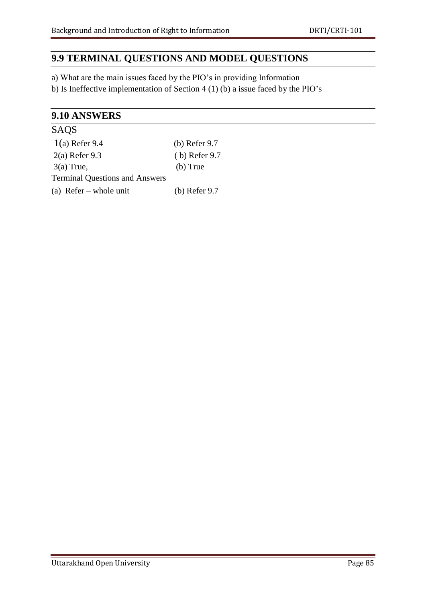# **9.9 TERMINAL QUESTIONS AND MODEL QUESTIONS**

a) What are the main issues faced by the PIO's in providing Information

b) Is Ineffective implementation of Section 4 (1) (b) a issue faced by the PIO's

### **9.10 ANSWERS**

# SAQS

| $1(a)$ Refer 9.4                      | (b) Refer $9.7$ |
|---------------------------------------|-----------------|
| $2(a)$ Refer 9.3                      | $(b)$ Refer 9.7 |
| $3(a)$ True,                          | $(b)$ True      |
| <b>Terminal Questions and Answers</b> |                 |
| (a) Refer – whole unit                | (b) Refer $9.7$ |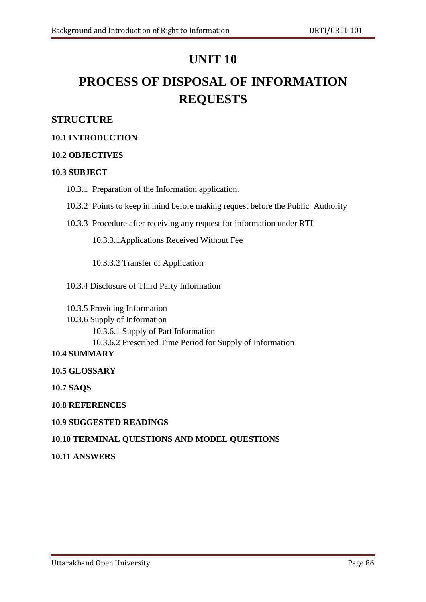# **UNIT 10**

# **PROCESS OF DISPOSAL OF INFORMATION REQUESTS**

## **STRUCTURE**

#### **10.1 INTRODUCTION**

#### **10.2 OBJECTIVES**

#### **10.3 SUBJECT**

- 10.3.1 Preparation of the Information application.
- 10.3.2 Points to keep in mind before making request before the Public Authority
- 10.3.3 Procedure after receiving any request for information under RTI

10.3.3.1Applications Received Without Fee

10.3.3.2 Transfer of Application

- 10.3.4 Disclosure of Third Party Information
- 10.3.5 Providing Information
- 10.3.6 Supply of Information 10.3.6.1 Supply of Part Information 10.3.6.2 Prescribed Time Period for Supply of Information

#### **10.4 SUMMARY**

**10.5 GLOSSARY**

**10.7 SAQS**

**10.8 REFERENCES**

#### **10.9 SUGGESTED READINGS**

#### **10.10 TERMINAL QUESTIONS AND MODEL QUESTIONS**

**10.11 ANSWERS**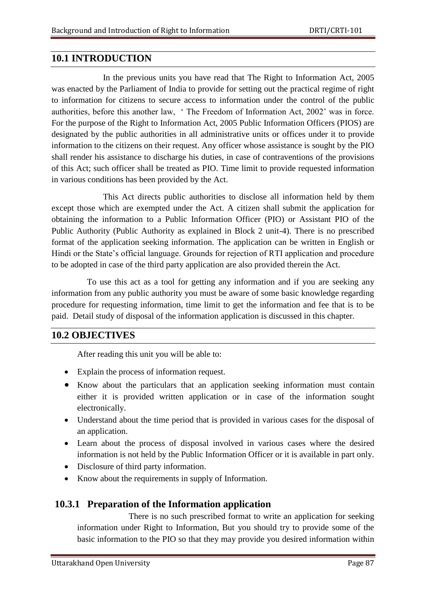#### **10.1 INTRODUCTION**

In the previous units you have read that The Right to Information Act, 2005 was enacted by the Parliament of India to provide for setting out the practical regime of right to information for citizens to secure access to information under the control of the public authorities, before this another law, ‗ The Freedom of Information Act, 2002' was in force. For the purpose of the Right to Information Act, 2005 Public Information Officers (PIOS) are designated by the public authorities in all administrative units or offices under it to provide information to the citizens on their request. Any officer whose assistance is sought by the PIO shall render his assistance to discharge his duties, in case of contraventions of the provisions of this Act; such officer shall be treated as PIO. Time limit to provide requested information in various conditions has been provided by the Act.

This Act directs public authorities to disclose all information held by them except those which are exempted under the Act. A citizen shall submit the application for obtaining the information to a Public Information Officer (PIO) or Assistant PIO of the Public Authority (Public Authority as explained in Block 2 unit-4). There is no prescribed format of the application seeking information. The application can be written in English or Hindi or the State's official language. Grounds for rejection of RTI application and procedure to be adopted in case of the third party application are also provided therein the Act.

To use this act as a tool for getting any information and if you are seeking any information from any public authority you must be aware of some basic knowledge regarding procedure for requesting information, time limit to get the information and fee that is to be paid. Detail study of disposal of the information application is discussed in this chapter.

### **10.2 OBJECTIVES**

After reading this unit you will be able to:

- Explain the process of information request.
- Know about the particulars that an application seeking information must contain either it is provided written application or in case of the information sought electronically.
- Understand about the time period that is provided in various cases for the disposal of an application.
- Learn about the process of disposal involved in various cases where the desired information is not held by the Public Information Officer or it is available in part only.
- Disclosure of third party information.
- Know about the requirements in supply of Information.

# **10.3.1 Preparation of the Information application**

There is no such prescribed format to write an application for seeking information under Right to Information, But you should try to provide some of the basic information to the PIO so that they may provide you desired information within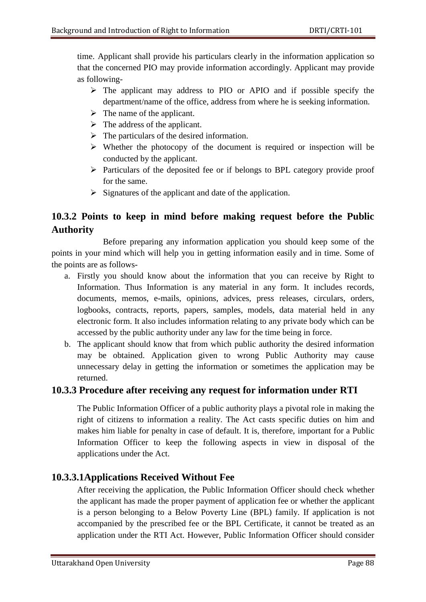time. Applicant shall provide his particulars clearly in the information application so that the concerned PIO may provide information accordingly. Applicant may provide as following-

- $\triangleright$  The applicant may address to PIO or APIO and if possible specify the department/name of the office, address from where he is seeking information.
- $\triangleright$  The name of the applicant.
- $\triangleright$  The address of the applicant.
- $\triangleright$  The particulars of the desired information.
- $\triangleright$  Whether the photocopy of the document is required or inspection will be conducted by the applicant.
- $\triangleright$  Particulars of the deposited fee or if belongs to BPL category provide proof for the same.
- $\triangleright$  Signatures of the applicant and date of the application.

# **10.3.2 Points to keep in mind before making request before the Public Authority**

Before preparing any information application you should keep some of the points in your mind which will help you in getting information easily and in time. Some of the points are as follows-

- a. Firstly you should know about the information that you can receive by Right to Information. Thus Information is any material in any form. It includes records, documents, memos, e-mails, opinions, advices, press releases, circulars, orders, logbooks, contracts, reports, papers, samples, models, data material held in any electronic form. It also includes information relating to any private body which can be accessed by the public authority under any law for the time being in force.
- b. The applicant should know that from which public authority the desired information may be obtained. Application given to wrong Public Authority may cause unnecessary delay in getting the information or sometimes the application may be returned.

# **10.3.3 Procedure after receiving any request for information under RTI**

The Public Information Officer of a public authority plays a pivotal role in making the right of citizens to information a reality. The Act casts specific duties on him and makes him liable for penalty in case of default. It is, therefore, important for a Public Information Officer to keep the following aspects in view in disposal of the applications under the Act.

# **10.3.3.1Applications Received Without Fee**

After receiving the application, the Public Information Officer should check whether the applicant has made the proper payment of application fee or whether the applicant is a person belonging to a Below Poverty Line (BPL) family. If application is not accompanied by the prescribed fee or the BPL Certificate, it cannot be treated as an application under the RTI Act. However, Public Information Officer should consider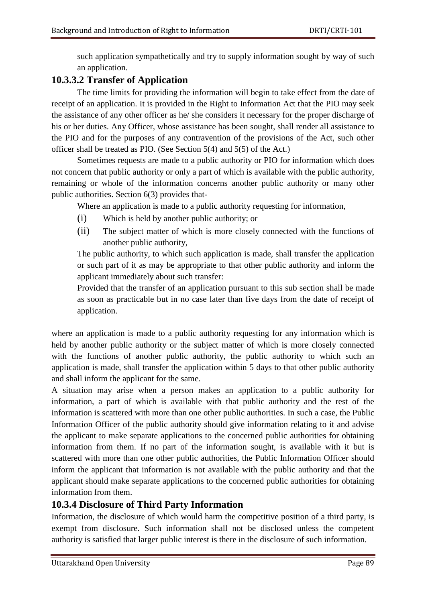such application sympathetically and try to supply information sought by way of such an application.

# **10.3.3.2 Transfer of Application**

The time limits for providing the information will begin to take effect from the date of receipt of an application. It is provided in the Right to Information Act that the PIO may seek the assistance of any other officer as he/ she considers it necessary for the proper discharge of his or her duties. Any Officer, whose assistance has been sought, shall render all assistance to the PIO and for the purposes of any contravention of the provisions of the Act, such other officer shall be treated as PIO. (See Section 5(4) and 5(5) of the Act.)

Sometimes requests are made to a public authority or PIO for information which does not concern that public authority or only a part of which is available with the public authority, remaining or whole of the information concerns another public authority or many other public authorities. Section 6(3) provides that-

Where an application is made to a public authority requesting for information,

- (i) Which is held by another public authority; or
- (ii) The subject matter of which is more closely connected with the functions of another public authority,

The public authority, to which such application is made, shall transfer the application or such part of it as may be appropriate to that other public authority and inform the applicant immediately about such transfer:

Provided that the transfer of an application pursuant to this sub section shall be made as soon as practicable but in no case later than five days from the date of receipt of application.

where an application is made to a public authority requesting for any information which is held by another public authority or the subject matter of which is more closely connected with the functions of another public authority, the public authority to which such an application is made, shall transfer the application within 5 days to that other public authority and shall inform the applicant for the same.

A situation may arise when a person makes an application to a public authority for information, a part of which is available with that public authority and the rest of the information is scattered with more than one other public authorities. In such a case, the Public Information Officer of the public authority should give information relating to it and advise the applicant to make separate applications to the concerned public authorities for obtaining information from them. If no part of the information sought, is available with it but is scattered with more than one other public authorities, the Public Information Officer should inform the applicant that information is not available with the public authority and that the applicant should make separate applications to the concerned public authorities for obtaining information from them.

# **10.3.4 Disclosure of Third Party Information**

Information, the disclosure of which would harm the competitive position of a third party, is exempt from disclosure. Such information shall not be disclosed unless the competent authority is satisfied that larger public interest is there in the disclosure of such information.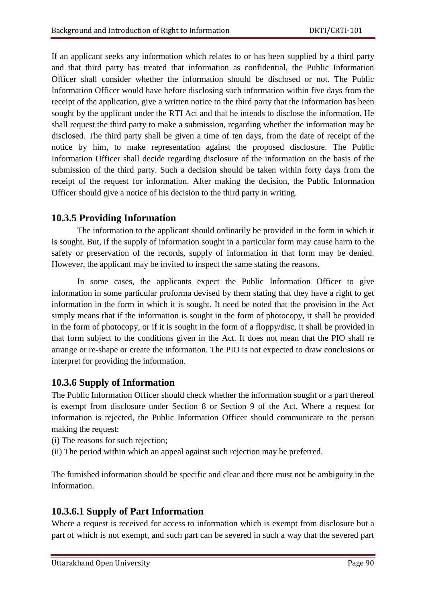If an applicant seeks any information which relates to or has been supplied by a third party and that third party has treated that information as confidential, the Public Information Officer shall consider whether the information should be disclosed or not. The Public Information Officer would have before disclosing such information within five days from the receipt of the application, give a written notice to the third party that the information has been sought by the applicant under the RTI Act and that he intends to disclose the information. He shall request the third party to make a submission, regarding whether the information may be disclosed. The third party shall be given a time of ten days, from the date of receipt of the notice by him, to make representation against the proposed disclosure. The Public Information Officer shall decide regarding disclosure of the information on the basis of the submission of the third party. Such a decision should be taken within forty days from the receipt of the request for information. After making the decision, the Public Information Officer should give a notice of his decision to the third party in writing.

# **10.3.5 Providing Information**

The information to the applicant should ordinarily be provided in the form in which it is sought. But, if the supply of information sought in a particular form may cause harm to the safety or preservation of the records, supply of information in that form may be denied. However, the applicant may be invited to inspect the same stating the reasons.

In some cases, the applicants expect the Public Information Officer to give information in some particular proforma devised by them stating that they have a right to get information in the form in which it is sought. It need be noted that the provision in the Act simply means that if the information is sought in the form of photocopy, it shall be provided in the form of photocopy, or if it is sought in the form of a floppy/disc, it shall be provided in that form subject to the conditions given in the Act. It does not mean that the PIO shall re arrange or re-shape or create the information. The PIO is not expected to draw conclusions or interpret for providing the information.

# **10.3.6 Supply of Information**

The Public Information Officer should check whether the information sought or a part thereof is exempt from disclosure under Section 8 or Section 9 of the Act. Where a request for information is rejected, the Public Information Officer should communicate to the person making the request:

- (i) The reasons for such rejection;
- (ii) The period within which an appeal against such rejection may be preferred.

The furnished information should be specific and clear and there must not be ambiguity in the information.

# **10.3.6.1 Supply of Part Information**

Where a request is received for access to information which is exempt from disclosure but a part of which is not exempt, and such part can be severed in such a way that the severed part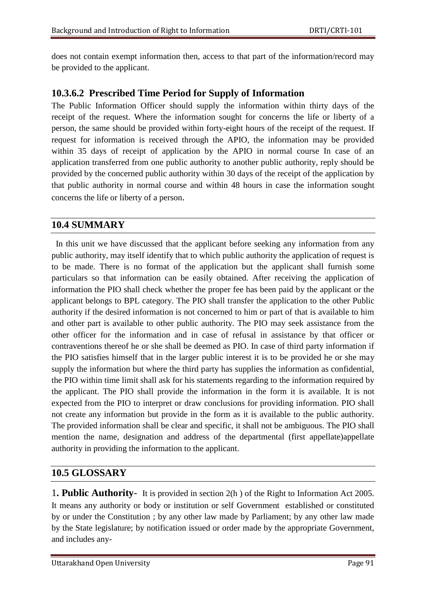does not contain exempt information then, access to that part of the information/record may be provided to the applicant.

# **10.3.6.2 Prescribed Time Period for Supply of Information**

The Public Information Officer should supply the information within thirty days of the receipt of the request. Where the information sought for concerns the life or liberty of a person, the same should be provided within forty-eight hours of the receipt of the request. If request for information is received through the APIO, the information may be provided within 35 days of receipt of application by the APIO in normal course In case of an application transferred from one public authority to another public authority, reply should be provided by the concerned public authority within 30 days of the receipt of the application by that public authority in normal course and within 48 hours in case the information sought concerns the life or liberty of a person.

# **10.4 SUMMARY**

 In this unit we have discussed that the applicant before seeking any information from any public authority, may itself identify that to which public authority the application of request is to be made. There is no format of the application but the applicant shall furnish some particulars so that information can be easily obtained. After receiving the application of information the PIO shall check whether the proper fee has been paid by the applicant or the applicant belongs to BPL category. The PIO shall transfer the application to the other Public authority if the desired information is not concerned to him or part of that is available to him and other part is available to other public authority. The PIO may seek assistance from the other officer for the information and in case of refusal in assistance by that officer or contraventions thereof he or she shall be deemed as PIO. In case of third party information if the PIO satisfies himself that in the larger public interest it is to be provided he or she may supply the information but where the third party has supplies the information as confidential, the PIO within time limit shall ask for his statements regarding to the information required by the applicant. The PIO shall provide the information in the form it is available. It is not expected from the PIO to interpret or draw conclusions for providing information. PIO shall not create any information but provide in the form as it is available to the public authority. The provided information shall be clear and specific, it shall not be ambiguous. The PIO shall mention the name, designation and address of the departmental (first appellate)appellate authority in providing the information to the applicant.

# **10.5 GLOSSARY**

1**. Public Authority**- It is provided in section 2(h ) of the Right to Information Act 2005. It means any authority or body or institution or self Government established or constituted by or under the Constitution ; by any other law made by Parliament; by any other law made by the State legislature; by notification issued or order made by the appropriate Government, and includes any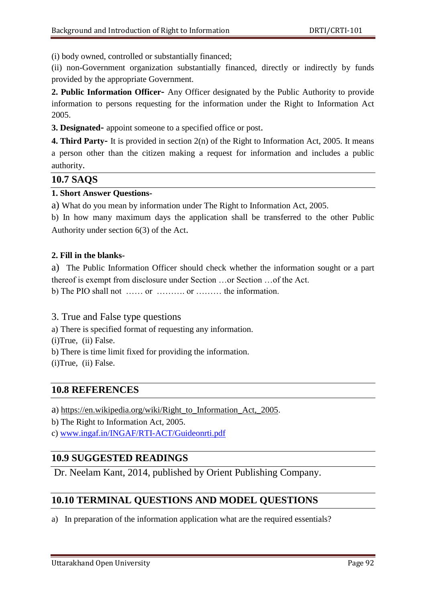(i) body owned, controlled or substantially financed;

(ii) non-Government organization substantially financed, directly or indirectly by funds provided by the appropriate Government.

**2. Public Information Officer-** Any Officer designated by the Public Authority to provide information to persons requesting for the information under the Right to Information Act 2005.

**3. Designated-** appoint someone to a specified office or post.

**4. Third Party-** It is provided in section 2(n) of the Right to Information Act, 2005. It means a person other than the citizen making a request for information and includes a public authority.

#### **10.7 SAQS**

#### **1. Short Answer Questions-**

a) What do you mean by information under The Right to Information Act, 2005.

b) In how many maximum days the application shall be transferred to the other Public Authority under section 6(3) of the Act.

#### **2. Fill in the blanks-**

a) The Public Information Officer should check whether the information sought or a part thereof is exempt from disclosure under Section …or Section …of the Act. b) The PIO shall not …… or ………. or ……… the information.

3. True and False type questions

a) There is specified format of requesting any information.

(i)True, (ii) False.

b) There is time limit fixed for providing the information.

(i)True, (ii) False.

#### **10.8 REFERENCES**

a) [https://en.wikipedia.org/wiki/Right\\_to\\_Information\\_Act,\\_2005.](https://en.wikipedia.org/wiki/Right_to_Information_Act,_2005)

b) The Right to Information Act, 2005.

c) [www.ingaf.in/INGAF/RTI-ACT/Guideonrti.pdf](http://www.ingaf.in/INGAF/RTI-ACT/Guideonrti.pdf)

#### **10.9 SUGGESTED READINGS**

Dr. Neelam Kant, 2014, published by Orient Publishing Company.

# **10.10 TERMINAL QUESTIONS AND MODEL QUESTIONS**

a) In preparation of the information application what are the required essentials?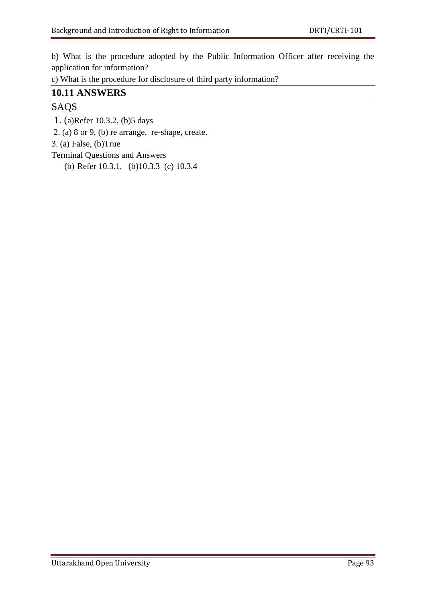b) What is the procedure adopted by the Public Information Officer after receiving the application for information?

c) What is the procedure for disclosure of third party information?

# **10.11 ANSWERS**

# SAQS

- 1. (a)Refer 10.3.2, (b)5 days
- 2. (a) 8 or 9, (b) re arrange, re-shape, create.
- 3. (a) False, (b)True
- Terminal Questions and Answers
	- (b) Refer 10.3.1, (b)10.3.3 (c) 10.3.4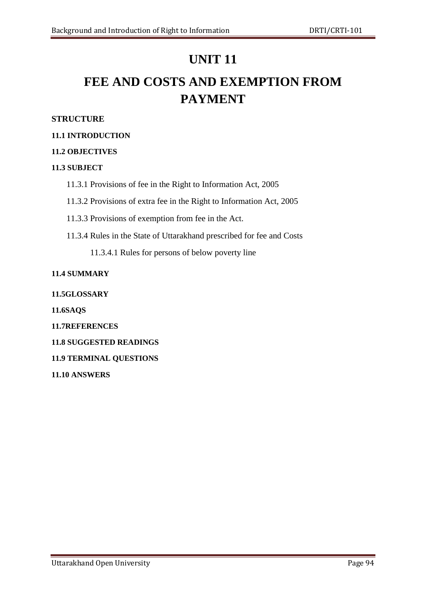# **UNIT 11**

# **FEE AND COSTS AND EXEMPTION FROM PAYMENT**

#### **STRUCTURE**

#### **11.1 INTRODUCTION**

#### **11.2 OBJECTIVES**

#### **11.3 SUBJECT**

- 11.3.1 Provisions of fee in the Right to Information Act, 2005
- 11.3.2 Provisions of extra fee in the Right to Information Act, 2005
- 11.3.3 Provisions of exemption from fee in the Act.
- 11.3.4 Rules in the State of Uttarakhand prescribed for fee and Costs
	- 11.3.4.1 Rules for persons of below poverty line

#### **11.4 SUMMARY**

**11.5GLOSSARY**

**11.6SAQS**

**11.7REFERENCES**

**11.8 SUGGESTED READINGS**

#### **11.9 TERMINAL QUESTIONS**

**11.10 ANSWERS**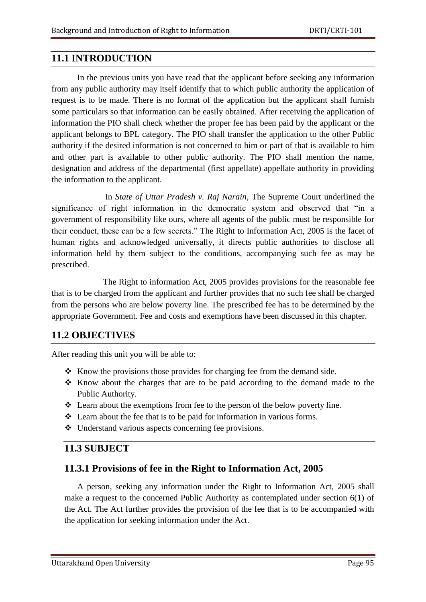### **11.1 INTRODUCTION**

In the previous units you have read that the applicant before seeking any information from any public authority may itself identify that to which public authority the application of request is to be made. There is no format of the application but the applicant shall furnish some particulars so that information can be easily obtained. After receiving the application of information the PIO shall check whether the proper fee has been paid by the applicant or the applicant belongs to BPL category. The PIO shall transfer the application to the other Public authority if the desired information is not concerned to him or part of that is available to him and other part is available to other public authority. The PIO shall mention the name, designation and address of the departmental (first appellate) appellate authority in providing the information to the applicant.

In *State of Uttar Pradesh v. Raj Narain*, The Supreme Court underlined the significance of right information in the democratic system and observed that "in a government of responsibility like ours, where all agents of the public must be responsible for their conduct, these can be a few secrets." The Right to Information Act, 2005 is the facet of human rights and acknowledged universally, it directs public authorities to disclose all information held by them subject to the conditions, accompanying such fee as may be prescribed.

The Right to information Act, 2005 provides provisions for the reasonable fee that is to be charged from the applicant and further provides that no such fee shall be charged from the persons who are below poverty line. The prescribed fee has to be determined by the appropriate Government. Fee and costs and exemptions have been discussed in this chapter.

# **11.2 OBJECTIVES**

After reading this unit you will be able to:

- $\triangleleft$  Know the provisions those provides for charging fee from the demand side.
- \* Know about the charges that are to be paid according to the demand made to the Public Authority.
- Learn about the exemptions from fee to the person of the below poverty line.
- Learn about the fee that is to be paid for information in various forms.
- Understand various aspects concerning fee provisions.

#### **11.3 SUBJECT**

# **11.3.1 Provisions of fee in the Right to Information Act, 2005**

A person, seeking any information under the Right to Information Act, 2005 shall make a request to the concerned Public Authority as contemplated under section 6(1) of the Act. The Act further provides the provision of the fee that is to be accompanied with the application for seeking information under the Act.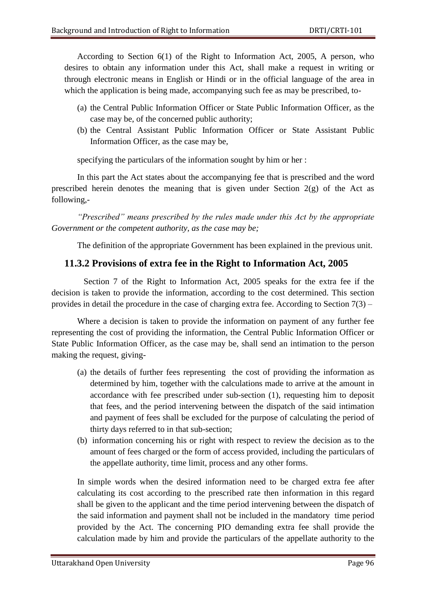According to Section 6(1) of the Right to Information Act, 2005, A person, who desires to obtain any information under this Act, shall make a request in writing or through electronic means in English or Hindi or in the official language of the area in which the application is being made, accompanying such fee as may be prescribed, to-

- (a) the Central Public Information Officer or State Public Information Officer, as the case may be, of the concerned public authority;
- (b) the Central Assistant Public Information Officer or State Assistant Public Information Officer, as the case may be,

specifying the particulars of the information sought by him or her :

In this part the Act states about the accompanying fee that is prescribed and the word prescribed herein denotes the meaning that is given under Section  $2(g)$  of the Act as following,-

*"Prescribed" means prescribed by the rules made under this Act by the appropriate Government or the competent authority, as the case may be;* 

The definition of the appropriate Government has been explained in the previous unit.

### **11.3.2 Provisions of extra fee in the Right to Information Act, 2005**

Section 7 of the Right to Information Act, 2005 speaks for the extra fee if the decision is taken to provide the information, according to the cost determined. This section provides in detail the procedure in the case of charging extra fee. According to Section 7(3) *–*

Where a decision is taken to provide the information on payment of any further fee representing the cost of providing the information, the Central Public Information Officer or State Public Information Officer, as the case may be, shall send an intimation to the person making the request, giving-

- (a) the details of further fees representing the cost of providing the information as determined by him, together with the calculations made to arrive at the amount in accordance with fee prescribed under sub-section (1), requesting him to deposit that fees, and the period intervening between the dispatch of the said intimation and payment of fees shall be excluded for the purpose of calculating the period of thirty days referred to in that sub-section;
- (b) information concerning his or right with respect to review the decision as to the amount of fees charged or the form of access provided, including the particulars of the appellate authority, time limit, process and any other forms.

In simple words when the desired information need to be charged extra fee after calculating its cost according to the prescribed rate then information in this regard shall be given to the applicant and the time period intervening between the dispatch of the said information and payment shall not be included in the mandatory time period provided by the Act. The concerning PIO demanding extra fee shall provide the calculation made by him and provide the particulars of the appellate authority to the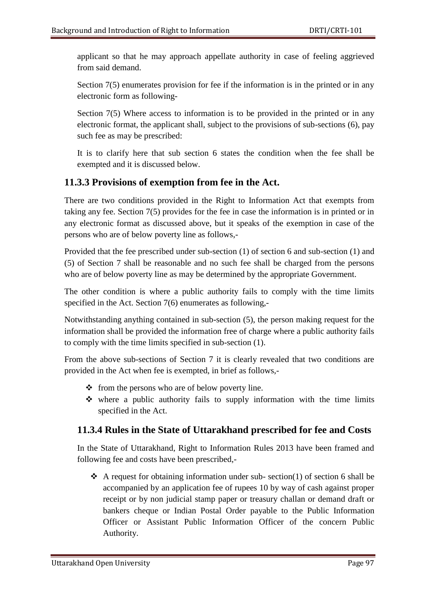applicant so that he may approach appellate authority in case of feeling aggrieved from said demand.

Section 7(5) enumerates provision for fee if the information is in the printed or in any electronic form as following-

Section 7(5) Where access to information is to be provided in the printed or in any electronic format, the applicant shall, subject to the provisions of sub-sections (6), pay such fee as may be prescribed:

It is to clarify here that sub section 6 states the condition when the fee shall be exempted and it is discussed below.

# **11.3.3 Provisions of exemption from fee in the Act.**

There are two conditions provided in the Right to Information Act that exempts from taking any fee. Section 7(5) provides for the fee in case the information is in printed or in any electronic format as discussed above, but it speaks of the exemption in case of the persons who are of below poverty line as follows,-

Provided that the fee prescribed under sub-section (1) of section 6 and sub-section (1) and (5) of Section 7 shall be reasonable and no such fee shall be charged from the persons who are of below poverty line as may be determined by the appropriate Government.

The other condition is where a public authority fails to comply with the time limits specified in the Act. Section 7(6) enumerates as following,-

Notwithstanding anything contained in sub-section (5), the person making request for the information shall be provided the information free of charge where a public authority fails to comply with the time limits specified in sub-section (1).

From the above sub-sections of Section 7 it is clearly revealed that two conditions are provided in the Act when fee is exempted, in brief as follows,-

- $\div$  from the persons who are of below poverty line.
- $\cdot \cdot$  where a public authority fails to supply information with the time limits specified in the Act.

# **11.3.4 Rules in the State of Uttarakhand prescribed for fee and Costs**

In the State of Uttarakhand, Right to Information Rules 2013 have been framed and following fee and costs have been prescribed,-

A request for obtaining information under sub- section(1) of section 6 shall be accompanied by an application fee of rupees 10 by way of cash against proper receipt or by non judicial stamp paper or treasury challan or demand draft or bankers cheque or Indian Postal Order payable to the Public Information Officer or Assistant Public Information Officer of the concern Public Authority.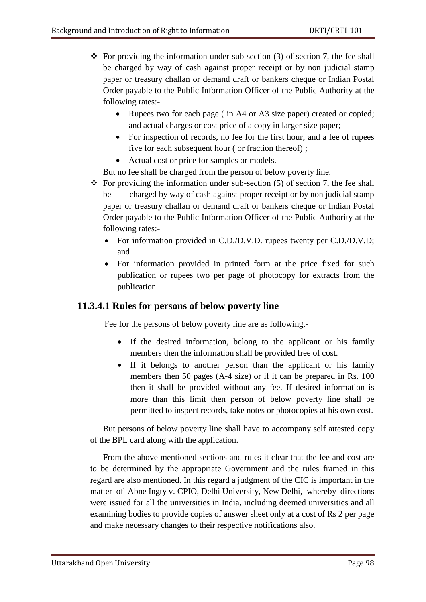- $\bullet$  For providing the information under sub section (3) of section 7, the fee shall be charged by way of cash against proper receipt or by non judicial stamp paper or treasury challan or demand draft or bankers cheque or Indian Postal Order payable to the Public Information Officer of the Public Authority at the following rates:-
	- Rupees two for each page (in A4 or A3 size paper) created or copied; and actual charges or cost price of a copy in larger size paper;
	- For inspection of records, no fee for the first hour; and a fee of rupees five for each subsequent hour ( or fraction thereof) ;
	- Actual cost or price for samples or models.

But no fee shall be charged from the person of below poverty line.

- $\triangle$  For providing the information under sub-section (5) of section 7, the fee shall be charged by way of cash against proper receipt or by non judicial stamp paper or treasury challan or demand draft or bankers cheque or Indian Postal Order payable to the Public Information Officer of the Public Authority at the following rates:-
	- For information provided in C.D./D.V.D. rupees twenty per C.D./D.V.D; and
	- For information provided in printed form at the price fixed for such publication or rupees two per page of photocopy for extracts from the publication.

# **11.3.4.1 Rules for persons of below poverty line**

Fee for the persons of below poverty line are as following,-

- If the desired information, belong to the applicant or his family members then the information shall be provided free of cost.
- If it belongs to another person than the applicant or his family members then 50 pages (A-4 size) or if it can be prepared in Rs. 100 then it shall be provided without any fee. If desired information is more than this limit then person of below poverty line shall be permitted to inspect records, take notes or photocopies at his own cost.

But persons of below poverty line shall have to accompany self attested copy of the BPL card along with the application.

From the above mentioned sections and rules it clear that the fee and cost are to be determined by the appropriate Government and the rules framed in this regard are also mentioned. In this regard a judgment of the CIC is important in the matter of Abne Ingty v. CPIO, Delhi University, New Delhi, whereby directions were issued for all the universities in India, including deemed universities and all examining bodies to provide copies of answer sheet only at a cost of Rs 2 per page and make necessary changes to their respective notifications also.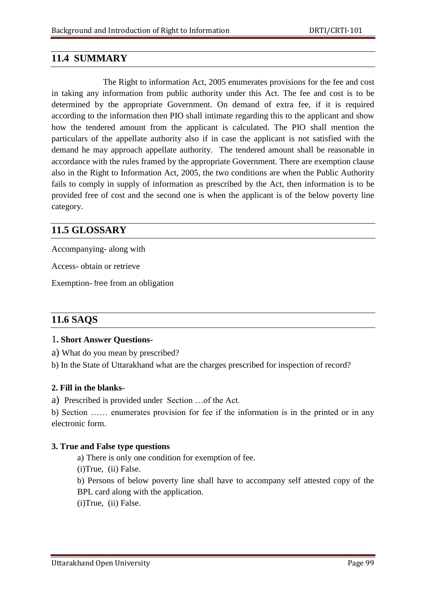### **11.4 SUMMARY**

The Right to information Act, 2005 enumerates provisions for the fee and cost in taking any information from public authority under this Act. The fee and cost is to be determined by the appropriate Government. On demand of extra fee, if it is required according to the information then PIO shall intimate regarding this to the applicant and show how the tendered amount from the applicant is calculated. The PIO shall mention the particulars of the appellate authority also if in case the applicant is not satisfied with the demand he may approach appellate authority. The tendered amount shall be reasonable in accordance with the rules framed by the appropriate Government. There are exemption clause also in the Right to Information Act, 2005, the two conditions are when the Public Authority fails to comply in supply of information as prescribed by the Act, then information is to be provided free of cost and the second one is when the applicant is of the below poverty line category.

# **11.5 GLOSSARY**

Accompanying- along with

Access- obtain or retrieve

Exemption- free from an obligation

# **11.6 SAQS**

#### 1**. Short Answer Questions-**

- a) What do you mean by prescribed?
- b) In the State of Uttarakhand what are the charges prescribed for inspection of record?

#### **2. Fill in the blanks-**

a) Prescribed is provided under Section …of the Act.

b) Section …… enumerates provision for fee if the information is in the printed or in any electronic form.

#### **3. True and False type questions**

a) There is only one condition for exemption of fee.

(i)True, (ii) False.

b) Persons of below poverty line shall have to accompany self attested copy of the BPL card along with the application.

(i)True, (ii) False.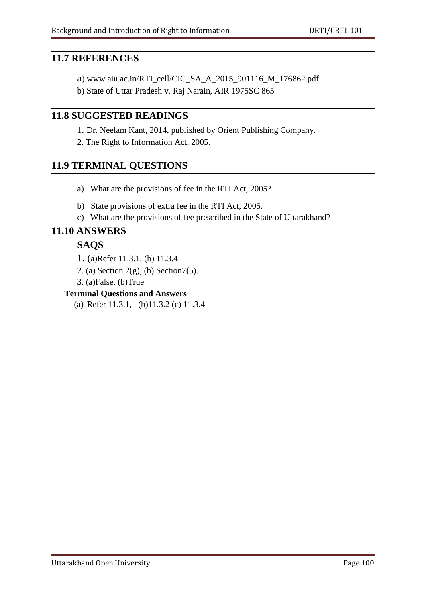#### **11.7 REFERENCES**

a) www.aiu.ac.in/RTI\_cell/CIC\_SA\_A\_2015\_901116\_M\_176862.pdf

b) State of Uttar Pradesh v. Raj Narain, AIR 1975SC 865

# **11.8 SUGGESTED READINGS**

1. Dr. Neelam Kant, 2014, published by Orient Publishing Company.

2. The Right to Information Act, 2005.

# **11.9 TERMINAL QUESTIONS**

- a) What are the provisions of fee in the RTI Act, 2005?
- b) State provisions of extra fee in the RTI Act, 2005.
- c) What are the provisions of fee prescribed in the State of Uttarakhand?

#### **11.10 ANSWERS**

# **SAQS**

- 1. (a)Refer 11.3.1, (b) 11.3.4
- 2. (a) Section  $2(g)$ , (b) Section  $7(5)$ .
- 3. (a)False, (b)True

#### **Terminal Questions and Answers**

(a) Refer 11.3.1, (b)11.3.2 (c) 11.3.4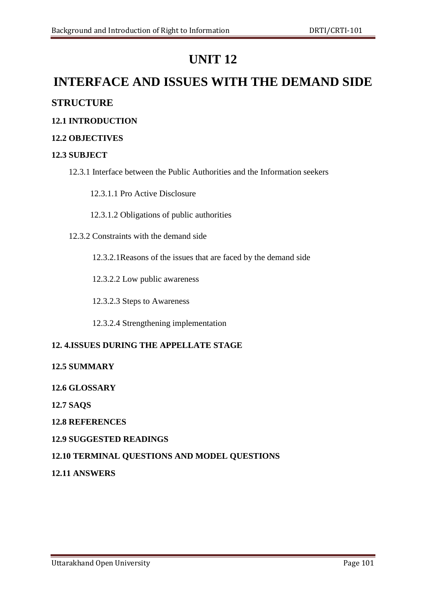# **UNIT 12**

# **INTERFACE AND ISSUES WITH THE DEMAND SIDE STRUCTURE**

#### **12.1 INTRODUCTION**

#### **12.2 OBJECTIVES**

#### **12.3 SUBJECT**

12.3.1 Interface between the Public Authorities and the Information seekers

12.3.1.1 Pro Active Disclosure

12.3.1.2 Obligations of public authorities

12.3.2 Constraints with the demand side

12.3.2.1Reasons of the issues that are faced by the demand side

12.3.2.2 Low public awareness

12.3.2.3 Steps to Awareness

12.3.2.4 Strengthening implementation

#### **12. 4.ISSUES DURING THE APPELLATE STAGE**

#### **12.5 SUMMARY**

**12.6 GLOSSARY**

**12.7 SAQS**

#### **12.8 REFERENCES**

#### **12.9 SUGGESTED READINGS**

#### **12.10 TERMINAL QUESTIONS AND MODEL QUESTIONS**

**12.11 ANSWERS**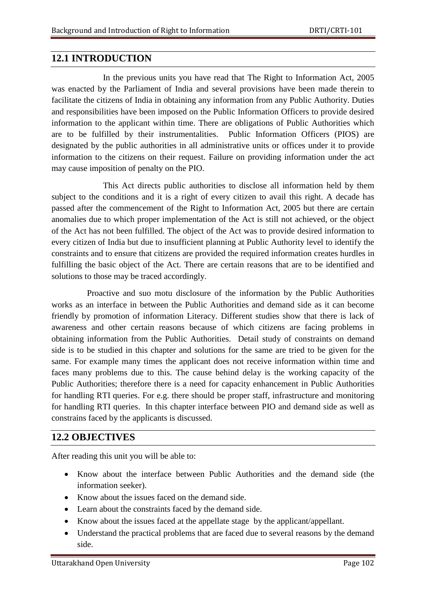#### **12.1 INTRODUCTION**

In the previous units you have read that The Right to Information Act, 2005 was enacted by the Parliament of India and several provisions have been made therein to facilitate the citizens of India in obtaining any information from any Public Authority. Duties and responsibilities have been imposed on the Public Information Officers to provide desired information to the applicant within time. There are obligations of Public Authorities which are to be fulfilled by their instrumentalities. Public Information Officers (PIOS) are designated by the public authorities in all administrative units or offices under it to provide information to the citizens on their request. Failure on providing information under the act may cause imposition of penalty on the PIO.

This Act directs public authorities to disclose all information held by them subject to the conditions and it is a right of every citizen to avail this right. A decade has passed after the commencement of the Right to Information Act, 2005 but there are certain anomalies due to which proper implementation of the Act is still not achieved, or the object of the Act has not been fulfilled. The object of the Act was to provide desired information to every citizen of India but due to insufficient planning at Public Authority level to identify the constraints and to ensure that citizens are provided the required information creates hurdles in fulfilling the basic object of the Act. There are certain reasons that are to be identified and solutions to those may be traced accordingly.

Proactive and suo motu disclosure of the information by the Public Authorities works as an interface in between the Public Authorities and demand side as it can become friendly by promotion of information Literacy. Different studies show that there is lack of awareness and other certain reasons because of which citizens are facing problems in obtaining information from the Public Authorities. Detail study of constraints on demand side is to be studied in this chapter and solutions for the same are tried to be given for the same. For example many times the applicant does not receive information within time and faces many problems due to this. The cause behind delay is the working capacity of the Public Authorities; therefore there is a need for capacity enhancement in Public Authorities for handling RTI queries. For e.g. there should be proper staff, infrastructure and monitoring for handling RTI queries. In this chapter interface between PIO and demand side as well as constrains faced by the applicants is discussed.

# **12.2 OBJECTIVES**

After reading this unit you will be able to:

- Know about the interface between Public Authorities and the demand side (the information seeker).
- Know about the issues faced on the demand side.
- Learn about the constraints faced by the demand side.
- Know about the issues faced at the appellate stage by the applicant/appellant.
- Understand the practical problems that are faced due to several reasons by the demand side.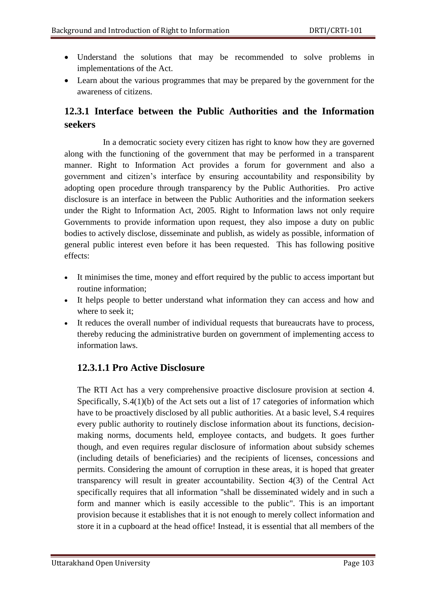- Understand the solutions that may be recommended to solve problems in implementations of the Act.
- Learn about the various programmes that may be prepared by the government for the awareness of citizens.

# **12.3.1 Interface between the Public Authorities and the Information seekers**

In a democratic society every citizen has right to know how they are governed along with the functioning of the government that may be performed in a transparent manner. Right to Information Act provides a forum for government and also a government and citizen's interface by ensuring accountability and responsibility by adopting open procedure through transparency by the Public Authorities. Pro active disclosure is an interface in between the Public Authorities and the information seekers under the Right to Information Act, 2005. Right to Information laws not only require Governments to provide information upon request, they also impose a duty on public bodies to actively disclose, disseminate and publish, as widely as possible, information of general public interest even before it has been requested. This has following positive effects:

- It minimises the time, money and effort required by the public to access important but routine information;
- It helps people to better understand what information they can access and how and where to seek it;
- It reduces the overall number of individual requests that bureaucrats have to process, thereby reducing the administrative burden on government of implementing access to information laws.

# **12.3.1.1 Pro Active Disclosure**

The RTI Act has a very comprehensive proactive disclosure provision at section 4. Specifically,  $S(4(1)(b))$  of the Act sets out a list of 17 categories of information which have to be proactively disclosed by all public authorities. At a basic level, S.4 requires every public authority to routinely disclose information about its functions, decisionmaking norms, documents held, employee contacts, and budgets. It goes further though, and even requires regular disclosure of information about subsidy schemes (including details of beneficiaries) and the recipients of licenses, concessions and permits. Considering the amount of corruption in these areas, it is hoped that greater transparency will result in greater accountability. Section 4(3) of the Central Act specifically requires that all information "shall be disseminated widely and in such a form and manner which is easily accessible to the public". This is an important provision because it establishes that it is not enough to merely collect information and store it in a cupboard at the head office! Instead, it is essential that all members of the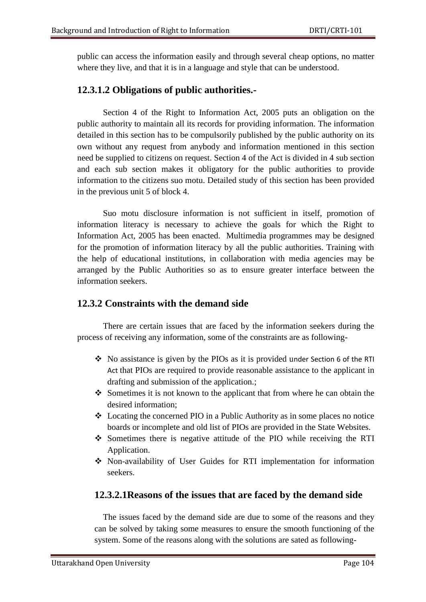public can access the information easily and through several cheap options, no matter where they live, and that it is in a language and style that can be understood.

# **12.3.1.2 Obligations of public authorities.-**

Section 4 of the Right to Information Act, 2005 puts an obligation on the public authority to maintain all its records for providing information. The information detailed in this section has to be compulsorily published by the public authority on its own without any request from anybody and information mentioned in this section need be supplied to citizens on request. Section 4 of the Act is divided in 4 sub section and each sub section makes it obligatory for the public authorities to provide information to the citizens suo motu. Detailed study of this section has been provided in the previous unit 5 of block 4.

Suo motu disclosure information is not sufficient in itself, promotion of information literacy is necessary to achieve the goals for which the Right to Information Act, 2005 has been enacted. Multimedia programmes may be designed for the promotion of information literacy by all the public authorities. Training with the help of educational institutions, in collaboration with media agencies may be arranged by the Public Authorities so as to ensure greater interface between the information seekers.

# **12.3.2 Constraints with the demand side**

There are certain issues that are faced by the information seekers during the process of receiving any information, some of the constraints are as following-

- $\mathbf{\hat{P}}$  No assistance is given by the PIOs as it is provided under Section 6 of the RTI Act that PIOs are required to provide reasonable assistance to the applicant in drafting and submission of the application.;
- Sometimes it is not known to the applicant that from where he can obtain the desired information;
- Locating the concerned PIO in a Public Authority as in some places no notice boards or incomplete and old list of PIOs are provided in the State Websites.
- Sometimes there is negative attitude of the PIO while receiving the RTI Application.
- Non-availability of User Guides for RTI implementation for information seekers.

# **12.3.2.1Reasons of the issues that are faced by the demand side**

The issues faced by the demand side are due to some of the reasons and they can be solved by taking some measures to ensure the smooth functioning of the system. Some of the reasons along with the solutions are sated as following-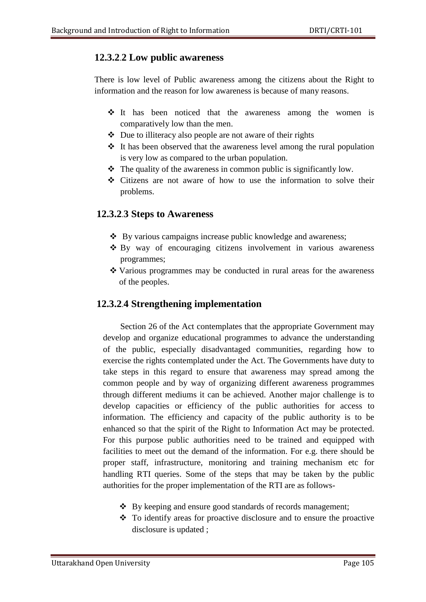# **12.3.2**.**2 Low public awareness**

There is low level of Public awareness among the citizens about the Right to information and the reason for low awareness is because of many reasons.

- It has been noticed that the awareness among the women is comparatively low than the men.
- Due to illiteracy also people are not aware of their rights
- $\div$  It has been observed that the awareness level among the rural population is very low as compared to the urban population.
- $\triangle$  The quality of the awareness in common public is significantly low.
- Citizens are not aware of how to use the information to solve their problems.

# **12.3.2**.**3 Steps to Awareness**

- ❖ By various campaigns increase public knowledge and awareness;
- By way of encouraging citizens involvement in various awareness programmes;
- $\triangle$  Various programmes may be conducted in rural areas for the awareness of the peoples.

# **12.3.2**.**4 Strengthening implementation**

Section 26 of the Act contemplates that the appropriate Government may develop and organize educational programmes to advance the understanding of the public, especially disadvantaged communities, regarding how to exercise the rights contemplated under the Act. The Governments have duty to take steps in this regard to ensure that awareness may spread among the common people and by way of organizing different awareness programmes through different mediums it can be achieved. Another major challenge is to develop capacities or efficiency of the public authorities for access to information. The efficiency and capacity of the public authority is to be enhanced so that the spirit of the Right to Information Act may be protected. For this purpose public authorities need to be trained and equipped with facilities to meet out the demand of the information. For e.g. there should be proper staff, infrastructure, monitoring and training mechanism etc for handling RTI queries. Some of the steps that may be taken by the public authorities for the proper implementation of the RTI are as follows-

- ❖ By keeping and ensure good standards of records management;
- To identify areas for proactive disclosure and to ensure the proactive disclosure is updated ;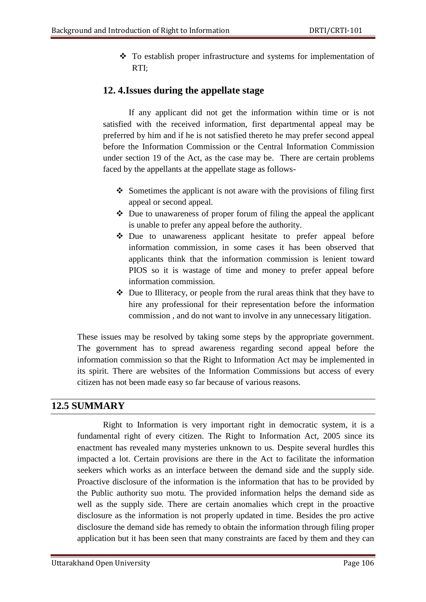• To establish proper infrastructure and systems for implementation of RTI;

# **12. 4.Issues during the appellate stage**

If any applicant did not get the information within time or is not satisfied with the received information, first departmental appeal may be preferred by him and if he is not satisfied thereto he may prefer second appeal before the Information Commission or the Central Information Commission under section 19 of the Act, as the case may be. There are certain problems faced by the appellants at the appellate stage as follows-

- $\triangleleft$  Sometimes the applicant is not aware with the provisions of filing first appeal or second appeal.
- Due to unawareness of proper forum of filing the appeal the applicant is unable to prefer any appeal before the authority.
- Due to unawareness applicant hesitate to prefer appeal before information commission, in some cases it has been observed that applicants think that the information commission is lenient toward PIOS so it is wastage of time and money to prefer appeal before information commission.
- Due to Illiteracy, or people from the rural areas think that they have to hire any professional for their representation before the information commission , and do not want to involve in any unnecessary litigation.

These issues may be resolved by taking some steps by the appropriate government. The government has to spread awareness regarding second appeal before the information commission so that the Right to Information Act may be implemented in its spirit. There are websites of the Information Commissions but access of every citizen has not been made easy so far because of various reasons.

# **12.5 SUMMARY**

Right to Information is very important right in democratic system, it is a fundamental right of every citizen. The Right to Information Act, 2005 since its enactment has revealed many mysteries unknown to us. Despite several hurdles this impacted a lot. Certain provisions are there in the Act to facilitate the information seekers which works as an interface between the demand side and the supply side. Proactive disclosure of the information is the information that has to be provided by the Public authority suo motu. The provided information helps the demand side as well as the supply side. There are certain anomalies which crept in the proactive disclosure as the information is not properly updated in time. Besides the pro active disclosure the demand side has remedy to obtain the information through filing proper application but it has been seen that many constraints are faced by them and they can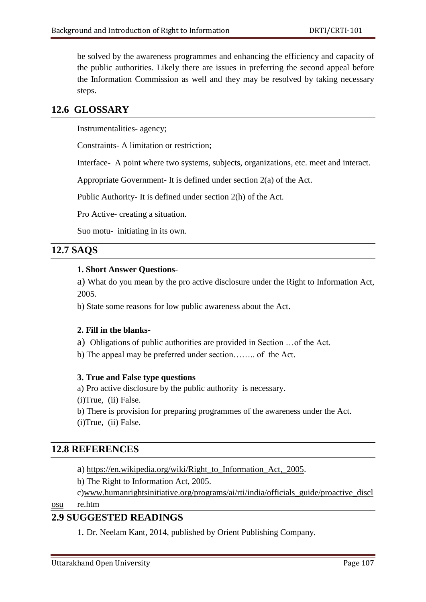be solved by the awareness programmes and enhancing the efficiency and capacity of the public authorities. Likely there are issues in preferring the second appeal before the Information Commission as well and they may be resolved by taking necessary steps.

#### **12.6 GLOSSARY**

Instrumentalities- agency;

Constraints- A limitation or restriction;

Interface- A point where two systems, subjects, organizations, etc. meet and interact.

Appropriate Government- It is defined under section 2(a) of the Act.

Public Authority- It is defined under section 2(h) of the Act.

Pro Active- creating a situation.

Suo motu- initiating in its own.

#### **12.7 SAQS**

#### **1. Short Answer Questions-**

a) What do you mean by the pro active disclosure under the Right to Information Act, 2005.

b) State some reasons for low public awareness about the Act.

#### **2. Fill in the blanks-**

- a) Obligations of public authorities are provided in Section …of the Act.
- b) The appeal may be preferred under section…….. of the Act.

#### **3. True and False type questions**

a) Pro active disclosure by the public authority is necessary.

(i)True, (ii) False.

- b) There is provision for preparing programmes of the awareness under the Act.
- (i)True, (ii) False.

#### **12.8 REFERENCES**

a) [https://en.wikipedia.org/wiki/Right\\_to\\_Information\\_Act,\\_2005.](https://en.wikipedia.org/wiki/Right_to_Information_Act,_2005)

b) The Right to Information Act, 2005.

c[\)www.humanrightsinitiative.org/programs/ai/rti/india/officials\\_guide/proactive\\_discl](http://www.humanrightsinitiative.org/programs/ai/rti/india/officials_guide/proactive_disclosu)

#### [osu](http://www.humanrightsinitiative.org/programs/ai/rti/india/officials_guide/proactive_disclosu) re.htm

#### **2.9 SUGGESTED READINGS**

1. Dr. Neelam Kant, 2014, published by Orient Publishing Company.